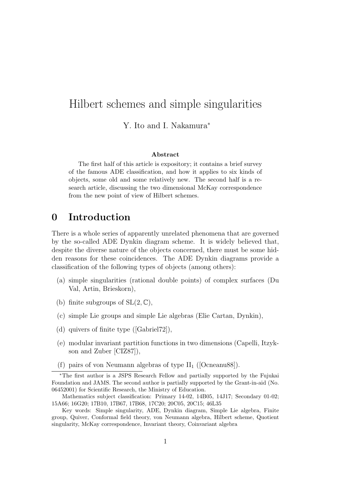Y. Ito and I. Nakamura<sup>∗</sup>

#### Abstract

The first half of this article is expository; it contains a brief survey of the famous ADE classification, and how it applies to six kinds of objects, some old and some relatively new. The second half is a research article, discussing the two dimensional McKay correspondence from the new point of view of Hilbert schemes.

## 0 Introduction

There is a whole series of apparently unrelated phenomena that are governed by the so-called ADE Dynkin diagram scheme. It is widely believed that, despite the diverse nature of the objects concerned, there must be some hidden reasons for these coincidences. The ADE Dynkin diagrams provide a classification of the following types of objects (among others):

- (a) simple singularities (rational double points) of complex surfaces (Du Val, Artin, Brieskorn),
- (b) finite subgroups of  $SL(2, \mathbb{C})$ ,
- (c) simple Lie groups and simple Lie algebras (Elie Cartan, Dynkin),
- (d) quivers of finite type ([Gabriel72]),
- (e) modular invariant partition functions in two dimensions (Capelli, Itzykson and Zuber [CIZ87]),
- (f) pairs of von Neumann algebras of type  $II_1$  ([Ocneanu88]).

<sup>∗</sup>The first author is a JSPS Research Fellow and partially supported by the Fujukai Foundation and JAMS. The second author is partially supported by the Grant-in-aid (No. 06452001) for Scientific Research, the Ministry of Education.

Mathematics subject classification: Primary 14-02, 14B05, 14J17; Secondary 01-02; 15A66; 16G20; 17B10, 17B67, 17B68, 17C20; 20C05, 20C15; 46L35

Key words: Simple singularity, ADE, Dynkin diagram, Simple Lie algebra, Finite group, Quiver, Conformal field theory, von Neumann algebra, Hilbert scheme, Quotient singularity, McKay correspondence, Invariant theory, Coinvariant algebra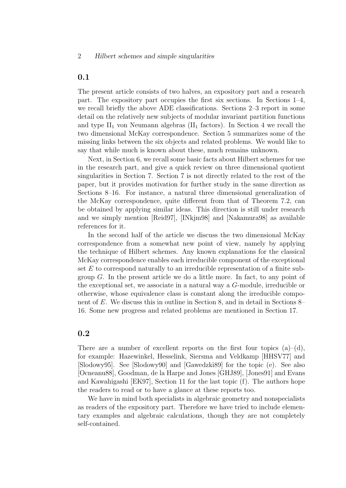#### 0.1

The present article consists of two halves, an expository part and a research part. The expository part occupies the first six sections. In Sections 1–4, we recall briefly the above ADE classifications. Sections 2–3 report in some detail on the relatively new subjects of modular invariant partition functions and type  $II_1$  von Neumann algebras ( $II_1$  factors). In Section 4 we recall the two dimensional McKay correspondence. Section 5 summarizes some of the missing links between the six objects and related problems. We would like to say that while much is known about these, much remains unknown.

Next, in Section 6, we recall some basic facts about Hilbert schemes for use in the research part, and give a quick review on three dimensional quotient singularities in Section 7. Section 7 is not directly related to the rest of the paper, but it provides motivation for further study in the same direction as Sections 8–16. For instance, a natural three dimensional generalization of the McKay correspondence, quite different from that of Theorem 7.2, can be obtained by applying similar ideas. This direction is still under research and we simply mention [Reid97], [INkjm98] and [Nakamura98] as available references for it.

In the second half of the article we discuss the two dimensional McKay correspondence from a somewhat new point of view, namely by applying the technique of Hilbert schemes. Any known explanations for the classical McKay correspondence enables each irreducible component of the exceptional set  $E$  to correspond naturally to an irreducible representation of a finite subgroup  $G$ . In the present article we do a little more. In fact, to any point of the exceptional set, we associate in a natural way a G-module, irreducible or otherwise, whose equivalence class is constant along the irreducible component of E. We discuss this in outline in Section 8, and in detail in Sections 8– 16. Some new progress and related problems are mentioned in Section 17.

#### 0.2

There are a number of excellent reports on the first four topics  $(a)$ – $(d)$ , for example: Hazewinkel, Hesselink, Siersma and Veldkamp [HHSV77] and [Slodowy95]. See [Slodowy90] and [Gawedzki89] for the topic (e). See also [Ocneanu88], Goodman, de la Harpe and Jones [GHJ89], [Jones91] and Evans and Kawahigashi [EK97], Section 11 for the last topic (f). The authors hope the readers to read or to have a glance at these reports too.

We have in mind both specialists in algebraic geometry and nonspecialists as readers of the expository part. Therefore we have tried to include elementary examples and algebraic calculations, though they are not completely self-contained.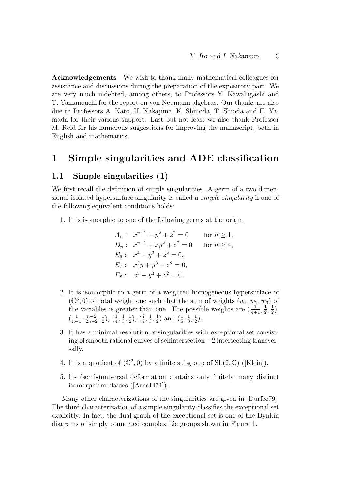Acknowledgements We wish to thank many mathematical colleagues for assistance and discussions during the preparation of the expository part. We are very much indebted, among others, to Professors Y. Kawahigashi and T. Yamanouchi for the report on von Neumann algebras. Our thanks are also due to Professors A. Kato, H. Nakajima, K. Shinoda, T. Shioda and H. Yamada for their various support. Last but not least we also thank Professor M. Reid for his numerous suggestions for improving the manuscript, both in English and mathematics.

## 1 Simple singularities and ADE classification

### 1.1 Simple singularities (1)

We first recall the definition of simple singularities. A germ of a two dimensional isolated hypersurface singularity is called a simple singularity if one of the following equivalent conditions holds:

1. It is isomorphic to one of the following germs at the origin

$$
A_n: x^{n+1} + y^2 + z^2 = 0 \quad \text{for } n \ge 1,
$$
  
\n
$$
D_n: x^{n-1} + xy^2 + z^2 = 0 \quad \text{for } n \ge 4,
$$
  
\n
$$
E_6: x^4 + y^3 + z^2 = 0,
$$
  
\n
$$
E_7: x^3y + y^3 + z^2 = 0,
$$
  
\n
$$
E_8: x^5 + y^3 + z^2 = 0.
$$

- 2. It is isomorphic to a germ of a weighted homogeneous hypersurface of  $(\mathbb{C}^3,0)$  of total weight one such that the sum of weights  $(w_1, w_2, w_3)$  of the variables is greater than one. The possible weights are  $(\frac{1}{n+1}, \frac{1}{2})$  $\frac{1}{2}, \frac{1}{2}$  $(\frac{1}{2}),$  $\left(\frac{1}{n}\right)$  $\frac{1}{n-1}, \frac{n-2}{2n-2}$  $\frac{n-2}{2n-2}, \frac{1}{2}$  $(\frac{1}{4}, \frac{1}{3})$  $\frac{1}{3}, \frac{1}{2}$  $(\frac{1}{2}), (\frac{2}{9}, \frac{1}{3})$  $\frac{1}{3}, \frac{1}{2}$  $(\frac{1}{2})$  and  $(\frac{1}{5}, \frac{1}{3})$  $\frac{1}{3}, \frac{1}{2}$  $\frac{1}{2}$ .
- 3. It has a minimal resolution of singularities with exceptional set consisting of smooth rational curves of selfintersection −2 intersecting transversally.
- 4. It is a quotient of  $(\mathbb{C}^2,0)$  by a finite subgroup of  $SL(2,\mathbb{C})$  ([Klein]).
- 5. Its (semi-)universal deformation contains only finitely many distinct isomorphism classes ([Arnold74]).

Many other characterizations of the singularities are given in [Durfee79]. The third characterization of a simple singularity classifies the exceptional set explicitly. In fact, the dual graph of the exceptional set is one of the Dynkin diagrams of simply connected complex Lie groups shown in Figure 1.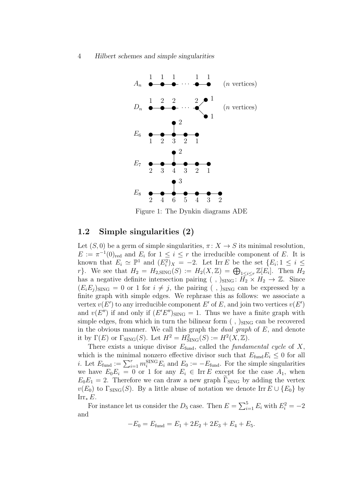

Figure 1: The Dynkin diagrams ADE

## 1.2 Simple singularities (2)

Let  $(S, 0)$  be a germ of simple singularities,  $\pi \colon X \to S$  its minimal resolution,  $E := \pi^{-1}(0)_{\text{red}}$  and  $E_i$  for  $1 \leq i \leq r$  the irreducible component of E. It is known that  $E_i \simeq \mathbb{P}^1$  and  $(E_i^2)_X = -2$ . Let Irr E be the set  $\{E_i; 1 \leq i \leq n\}$ r}. We see that  $H_2 = H_{2,\text{SING}}(S) := H_2(X,\mathbb{Z}) = \bigoplus_{1 \leq i \leq r} \mathbb{Z}[E_i].$  Then  $H_2$ has a negative definite intersection pairing (, ) $_{\text{SING}}$ :  $\overline{H_2} \times H_2 \rightarrow \mathbb{Z}$ . Since  $(E_i E_j)_{\text{SING}} = 0$  or 1 for  $i \neq j$ , the pairing (, )<sub>SING</sub> can be expressed by a finite graph with simple edges. We rephrase this as follows: we associate a vertex  $v(E')$  to any irreducible component E' of E, and join two vertices  $v(E')$ and  $v(E'')$  if and only if  $(E'E'')_{\text{SING}} = 1$ . Thus we have a finite graph with simple edges, from which in turn the bilinear form  $($ ,  $)_{\text{SING}}$  can be recovered in the obvious manner. We call this graph the *dual graph* of  $E$ , and denote it by  $\Gamma(E)$  or  $\Gamma_{\text{SING}}(S)$ . Let  $H^2 = H^2_{\text{SING}}(S) := H^2(X, \mathbb{Z})$ .

There exists a unique divisor  $E_{\text{fund}}$ , called the *fundamental cycle* of X, which is the minimal nonzero effective divisor such that  $E_{\text{fund}}E_i \leq 0$  for all *i*. Let  $E_{\text{fund}} := \sum_{i=1}^r m_i^{\text{SING}} E_i$  and  $E_0 := -E_{\text{fund}}$ . For the simple singularities we have  $E_0E_i = 0$  or 1 for any  $E_i \in \text{Irr } E$  except for the case  $A_1$ , when  $E_0E_1 = 2$ . Therefore we can draw a new graph  $\Gamma_{\text{SING}}$  by adding the vertex  $v(E_0)$  to  $\Gamma_{\text{SING}}(S)$ . By a little abuse of notation we denote Irr  $E \cup \{E_0\}$  by Irr<sub>∗</sub> $E$ .

For instance let us consider the  $D_5$  case. Then  $E = \sum_{i=1}^{5} E_i$  with  $E_i^2 = -2$ and

 $-E_0 = E_{\text{fund}} = E_1 + 2E_2 + 2E_3 + E_4 + E_5.$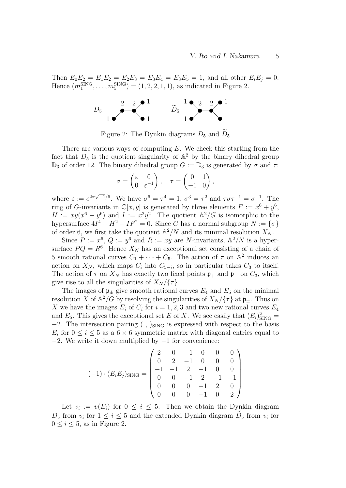Then  $E_0E_2 = E_1E_2 = E_2E_3 = E_3E_4 = E_3E_5 = 1$ , and all other  $E_iE_j = 0$ . Hence  $(m_1^{\text{SING}}, \dots, m_5^{\text{SING}}) = (1, 2, 2, 1, 1)$ , as indicated in Figure 2.



Figure 2: The Dynkin diagrams  $D_5$  and  $D_5$ 

There are various ways of computing  $E$ . We check this starting from the fact that  $D_5$  is the quotient singularity of  $\mathbb{A}^2$  by the binary dihedral group  $\mathbb{D}_3$  of order 12. The binary dihedral group  $G := \mathbb{D}_3$  is generated by  $\sigma$  and  $\tau$ :

$$
\sigma = \begin{pmatrix} \varepsilon & 0 \\ 0 & \varepsilon^{-1} \end{pmatrix}, \quad \tau = \begin{pmatrix} 0 & 1 \\ -1 & 0 \end{pmatrix},
$$

where  $\varepsilon := e^{2\pi\sqrt{-1}/6}$ . We have  $\sigma^6 = \tau^4 = 1$ ,  $\sigma^3 = \tau^2$  and  $\tau\sigma\tau^{-1} = \sigma^{-1}$ . The ring of G-invariants in  $\mathbb{C}[x, y]$  is generated by three elements  $F := x^6 + y^6$ ,  $H := xy(x^6 - y^6)$  and  $I := x^2y^2$ . The quotient  $\mathbb{A}^2/G$  is isomorphic to the hypersurface  $4I^4 + H^2 - IF^2 = 0$ . Since G has a normal subgroup  $N := {\sigma}$ of order 6, we first take the quotient  $\mathbb{A}^2/N$  and its minimal resolution  $X_N$ .

Since  $P := x^6$ ,  $Q := y^6$  and  $R := xy$  are N-invariants,  $\mathbb{A}^2/N$  is a hypersurface  $PQ = R^6$ . Hence  $X_N$  has an exceptional set consisting of a chain of 5 smooth rational curves  $C_1 + \cdots + C_5$ . The action of  $\tau$  on  $\mathbb{A}^2$  induces an action on  $X_N$ , which maps  $C_i$  into  $C_{5-i}$ , so in particular takes  $C_3$  to itself. The action of  $\tau$  on  $X_N$  has exactly two fixed points  $\mathfrak{p}_+$  and  $\mathfrak{p}_-$  on  $C_3$ , which give rise to all the singularities of  $X_N/\{\tau\}$ .

The images of  $\mathfrak{p}_\pm$  give smooth rational curves  $E_4$  and  $E_5$  on the minimal resolution X of  $\mathbb{A}^2/G$  by resolving the singularities of  $X_N/\{\tau\}$  at  $\mathfrak{p}_\pm$ . Thus on X we have the images  $E_i$  of  $C_i$  for  $i = 1, 2, 3$  and two new rational curves  $E_4$ and  $E_5$ . This gives the exceptional set E of X. We see easily that  $(E_i)_{\text{SING}}^2 =$  $-2$ . The intersection pairing (, )<sub>SING</sub> is expressed with respect to the basis  $E_i$  for  $0 \le i \le 5$  as a  $6 \times 6$  symmetric matrix with diagonal entries equal to  $-2$ . We write it down multiplied by  $-1$  for convenience:

$$
(-1) \cdot (E_i E_j)_{\text{SING}} = \begin{pmatrix} 2 & 0 & -1 & 0 & 0 & 0 \\ 0 & 2 & -1 & 0 & 0 & 0 \\ -1 & -1 & 2 & -1 & 0 & 0 \\ 0 & 0 & -1 & 2 & -1 & -1 \\ 0 & 0 & 0 & -1 & 2 & 0 \\ 0 & 0 & 0 & -1 & 0 & 2 \end{pmatrix}
$$

Let  $v_i := v(E_i)$  for  $0 \leq i \leq 5$ . Then we obtain the Dynkin diagram  $D_5$  from  $v_i$  for  $1 \leq i \leq 5$  and the extended Dynkin diagram  $D_5$  from  $v_i$  for  $0 \leq i \leq 5$ , as in Figure 2.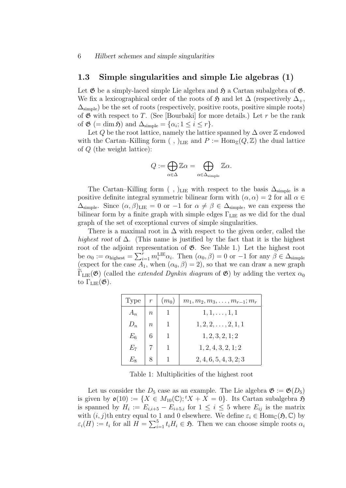### 1.3 Simple singularities and simple Lie algebras (1)

Let  $\mathfrak G$  be a simply-laced simple Lie algebra and  $\mathfrak H$  a Cartan subalgebra of  $\mathfrak G$ . We fix a lexicographical order of the roots of  $\mathfrak{H}$  and let  $\Delta$  (respectively  $\Delta_{+}$ ,  $\Delta_{\text{simple}}$ ) be the set of roots (respectively, positive roots, positive simple roots) of  $\mathfrak G$  with respect to T. (See [Bourbaki] for more details.) Let r be the rank of  $\mathfrak{G}$  (= dim  $\mathfrak{H}$ ) and  $\Delta_{\text{simple}} = {\alpha_i; 1 \leq i \leq r}.$ 

Let Q be the root lattice, namely the lattice spanned by  $\Delta$  over  $\mathbb Z$  endowed with the Cartan–Killing form (, )<sub>LIE</sub> and  $P := \text{Hom}_{\mathbb{Z}}(Q, \mathbb{Z})$  the dual lattice of Q (the weight lattice):

$$
Q:=\bigoplus_{\alpha\in\Delta}\mathbb{Z}\alpha=\bigoplus_{\alpha\in\Delta_{\text{simple}}}\mathbb{Z}\alpha.
$$

The Cartan–Killing form (, )<sub>LIE</sub> with respect to the basis  $\Delta_{\text{simple}}$  is a positive definite integral symmetric bilinear form with  $(\alpha, \alpha) = 2$  for all  $\alpha \in$  $\Delta_{\text{simple}}$ . Since  $(\alpha, \beta)_{\text{LIE}} = 0$  or  $-1$  for  $\alpha \neq \beta \in \Delta_{\text{simple}}$ , we can express the bilinear form by a finite graph with simple edges  $\Gamma_{\text{LIE}}$  as we did for the dual graph of the set of exceptional curves of simple singularities.

There is a maximal root in  $\Delta$  with respect to the given order, called the highest root of  $\Delta$ . (This name is justified by the fact that it is the highest root of the adjoint representation of  $\mathfrak{G}$ . See Table 1.) Let the highest root be  $\alpha_0 := \alpha_{\text{highest}} = \sum_{i=1}^r m_i^{\text{LIE}} \alpha_i$ . Then  $(\alpha_0, \beta) = 0$  or  $-1$  for any  $\beta \in \Delta_{\text{simple}}$ (expect for the case  $A_1$ , when  $(\alpha_0, \beta) = 2$ ), so that we can draw a new graph  $\Gamma_{\text{LIE}}(\mathfrak{G})$  (called the *extended Dynkin diagram* of  $\mathfrak{G}$ ) by adding the vertex  $\alpha_0$ to  $\Gamma_{\rm LIE}(\mathfrak{G})$ .

| Type  | $\mathcal{r}$    | $(m_0)$ | $m_1, m_2, m_3, \ldots, m_{r-1}; m_r$ |
|-------|------------------|---------|---------------------------------------|
| $A_n$ | $\boldsymbol{n}$ |         | $1, 1, \ldots, 1, 1$                  |
| $D_n$ | $\eta$           |         | $1, 2, 2, \ldots, 2, 1, 1$            |
| $E_6$ |                  |         | 1, 2, 3, 2, 1; 2                      |
| $E_7$ |                  |         | 1, 2, 4, 3, 2, 1; 2                   |
|       |                  |         | 2, 4, 6, 5, 4, 3, 2; 3                |

Table 1: Multiplicities of the highest root

Let us consider the  $D_5$  case as an example. The Lie algebra  $\mathfrak{G} := \mathfrak{G}(D_5)$ is given by  $\mathfrak{o}(10) := \{X \in M_{10}(\mathbb{C}); {}^t X + X = 0\}.$  Its Cartan subalgebra  $\mathfrak{H}$ is spanned by  $H_i := E_{i,i+5} - E_{i+5,i}$  for  $1 \leq i \leq 5$  where  $E_{ij}$  is the matrix with  $(i, j)$ th entry equal to 1 and 0 elsewhere. We define  $\varepsilon_i \in \text{Hom}_{\mathbb{C}}(\mathfrak{H}, \mathbb{C})$  by  $\varepsilon_i(H) := t_i$  for all  $H = \sum_{i=1}^5 t_i H_i \in \mathfrak{H}$ . Then we can choose simple roots  $\alpha_i$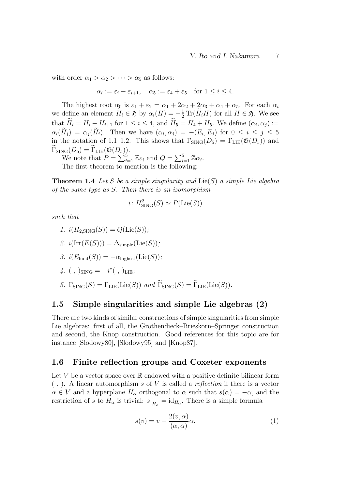with order  $\alpha_1 > \alpha_2 > \cdots > \alpha_5$  as follows:

$$
\alpha_i := \varepsilon_i - \varepsilon_{i+1}, \quad \alpha_5 := \varepsilon_4 + \varepsilon_5 \quad \text{for } 1 \le i \le 4.
$$

The highest root  $\alpha_0$  is  $\varepsilon_1 + \varepsilon_2 = \alpha_1 + 2\alpha_2 + 2\alpha_3 + \alpha_4 + \alpha_5$ . For each  $\alpha_i$ we define an element  $\widetilde{H}_i \in \mathfrak{H}$  by  $\alpha_i(H) = -\frac{1}{2} \text{Tr}(\widetilde{H}_i H)$  for all  $H \in \mathfrak{H}$ . We see that  $H_i = H_i - H_{i+1}$  for  $1 \leq i \leq 4$ , and  $H_5 = H_4 + H_5$ . We define  $(\alpha_i, \alpha_j) :=$  $\alpha_i(H_j) = \alpha_j(H_i)$ . Then we have  $(\alpha_i, \alpha_j) = -(E_i, E_j)$  for  $0 \le i \le j \le 5$ in the notation of 1.1–1.2. This shows that  $\Gamma_{\text{SING}}(D_5) = \Gamma_{\text{LIE}}(\mathfrak{G}(D_5))$  and  $\Gamma_{\text{SING}}(D_5) = \Gamma_{\text{LIE}}(\mathfrak{G}(D_5)).$ 

We note that  $P = \sum_{i=1}^{5} \mathbb{Z} \varepsilon_i$  and  $Q = \sum_{i=1}^{5} \mathbb{Z} \alpha_i$ . The first theorem to mention is the following:

**Theorem 1.4** Let S be a simple singularity and  $Lie(S)$  a simple Lie algebra of the same type as S. Then there is an isomorphism

$$
i: H^2_{\text{SING}}(S) \simeq P(\text{Lie}(S))
$$

such that

$$
1. \ i(H_{2,\text{SING}}(S)) = Q(\text{Lie}(S));
$$

2. 
$$
i(\text{Irr}(E(S))) = \Delta_{\text{simple}}(\text{Lie}(S));
$$

3. 
$$
i(E_{\text{fund}}(S)) = -\alpha_{\text{highest}}(\text{Lie}(S)),
$$

4. ( , )<sub>SING</sub> = 
$$
-i^*
$$
( , )<sub>LIE</sub>;

5.  $\Gamma_{\text{SING}}(S) = \Gamma_{\text{LIE}}(\text{Lie}(S))$  and  $\widetilde{\Gamma}_{\text{SING}}(S) = \widetilde{\Gamma}_{\text{LIE}}(\text{Lie}(S)).$ 

### 1.5 Simple singularities and simple Lie algebras (2)

There are two kinds of similar constructions of simple singularities from simple Lie algebras: first of all, the Grothendieck–Brieskorn–Springer construction and second, the Knop construction. Good references for this topic are for instance [Slodowy80], [Slodowy95] and [Knop87].

#### 1.6 Finite reflection groups and Coxeter exponents

Let V be a vector space over  $\mathbb R$  endowed with a positive definite bilinear form  $($ ,  $)$ . A linear automorphism s of V is called a reflection if there is a vector  $\alpha \in V$  and a hyperplane  $H_{\alpha}$  orthogonal to  $\alpha$  such that  $s(\alpha) = -\alpha$ , and the restriction of s to  $H_{\alpha}$  is trivial:  $s_{|H_{\alpha}} = id_{H_{\alpha}}$ . There is a simple formula

$$
s(v) = v - \frac{2(v, \alpha)}{(\alpha, \alpha)} \alpha.
$$
 (1)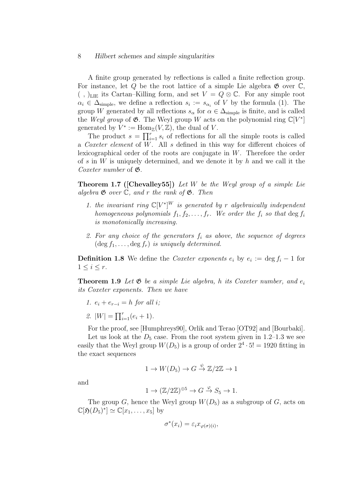A finite group generated by reflections is called a finite reflection group. For instance, let Q be the root lattice of a simple Lie algebra  $\mathfrak{G}$  over  $\mathbb{C},$  $($ ,  $)$ <sub>LIE</sub> its Cartan–Killing form, and set  $V = Q \otimes \mathbb{C}$ . For any simple root  $\alpha_i \in \Delta_{\text{simple}}$ , we define a reflection  $s_i := s_{\alpha_i}$  of V by the formula (1). The group W generated by all reflections  $s_{\alpha}$  for  $\alpha \in \Delta_{\text{simple}}$  is finite, and is called the Weyl group of  $\mathfrak{G}$ . The Weyl group W acts on the polynomial ring  $\mathbb{C}[V^*]$ generated by  $V^* := \text{Hom}_{\mathbb{Z}}(V, \mathbb{Z})$ , the dual of V.

The product  $s = \prod_{i=1}^r s_i$  of reflections for all the simple roots is called a Coxeter element of W. All s defined in this way for different choices of lexicographical order of the roots are conjugate in  $W$ . Therefore the order of s in W is uniquely determined, and we denote it by  $h$  and we call it the Coxeter number of  $\mathfrak{G}$ .

**Theorem 1.7 ([Chevalley55])** Let W be the Weyl group of a simple Lie algebra  $\mathfrak{G}$  over  $\mathbb{C}$ , and r the rank of  $\mathfrak{G}$ . Then

- 1. the invariant ring  $\mathbb{C}[V^*]^W$  is generated by r algebraically independent homogeneous polynomials  $f_1, f_2, \ldots, f_r$ . We order the  $f_i$  so that  $\deg f_i$ is monotonically increasing.
- 2. For any choice of the generators  $f_i$  as above, the sequence of degrees  $(\deg f_1, \ldots, \deg f_r)$  is uniquely determined.

**Definition 1.8** We define the *Coxeter exponents*  $e_i$  by  $e_i := \deg f_i - 1$  for  $1 \leq i \leq r$ .

**Theorem 1.9** Let  $\mathfrak{G}$  be a simple Lie algebra, h its Coxeter number, and  $e_i$ its Coxeter exponents. Then we have

- 1.  $e_i + e_{r-i} = h$  for all i;
- 2.  $|W| = \prod_{i=1}^{r} (e_i + 1)$ .

For the proof, see [Humphreys90], Orlik and Terao [OT92] and [Bourbaki].

Let us look at the  $D_5$  case. From the root system given in 1.2–1.3 we see easily that the Weyl group  $W(D_5)$  is a group of order  $2^4 \cdot 5! = 1920$  fitting in the exact sequences

$$
1 \to W(D_5) \to G \stackrel{\psi}{\to} \mathbb{Z}/2\mathbb{Z} \to 1
$$

and

$$
1 \to (\mathbb{Z}/2\mathbb{Z})^{\oplus 5} \to G \stackrel{\varphi}{\to} S_5 \to 1.
$$

The group G, hence the Weyl group  $W(D_5)$  as a subgroup of G, acts on  $\mathbb{C}[\mathfrak{H}(D_5)^*] \simeq \mathbb{C}[x_1,\ldots,x_5]$  by

$$
\sigma^*(x_i) = \varepsilon_i x_{\varphi(\sigma)(i)},
$$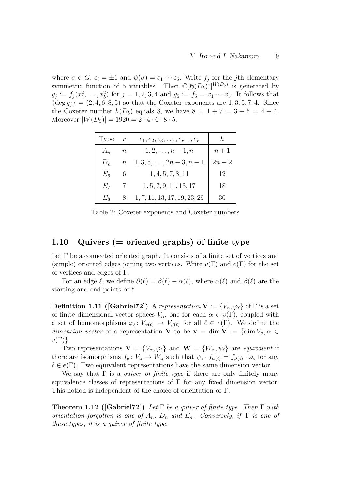where  $\sigma \in G$ ,  $\varepsilon_i = \pm 1$  and  $\psi(\sigma) = \varepsilon_1 \cdots \varepsilon_5$ . Write  $f_j$  for the *j*th elementary symmetric function of 5 variables. Then  $\mathbb{C}[\mathfrak{H}(D_5)^*]^{W(D_5)}$  is generated by  $g_j := f_j(x_1^2, \ldots, x_5^2)$  for  $j = 1, 2, 3, 4$  and  $g_5 := f_5 = x_1 \cdots x_5$ . It follows that  $\{\deg g_i\} = (2, 4, 6, 8, 5)$  so that the Coxeter exponents are  $1, 3, 5, 7, 4$ . Since the Coxeter number  $h(D_5)$  equals 8, we have  $8 = 1 + 7 = 3 + 5 = 4 + 4$ . Moreover  $|W(D_5)| = 1920 = 2 \cdot 4 \cdot 6 \cdot 8 \cdot 5$ .

| 'Type |                  | $e_1, e_2, e_3, \ldots, e_{r-1}, e_r$ | h,     |
|-------|------------------|---------------------------------------|--------|
| $A_n$ | $\boldsymbol{n}$ | $1, 2, \ldots, n-1, n$                | $n+1$  |
| $D_n$ | $\, n$           | $1, 3, 5, \ldots, 2n-3, n-1$          | $2n-2$ |
| $E_6$ | 6                | 1, 4, 5, 7, 8, 11                     | 12     |
| E7    |                  | 1, 5, 7, 9, 11, 13, 17                | 18     |
| Еs    |                  | 1, 7, 11, 13, 17, 19, 23, 29          | 30     |

Table 2: Coxeter exponents and Coxeter numbers

### 1.10 Quivers  $(=$  oriented graphs) of finite type

Let  $\Gamma$  be a connected oriented graph. It consists of a finite set of vertices and (simple) oriented edges joining two vertices. Write  $v(\Gamma)$  and  $e(\Gamma)$  for the set of vertices and edges of  $\Gamma$ .

For an edge  $\ell$ , we define  $\partial(\ell) = \beta(\ell) - \alpha(\ell)$ , where  $\alpha(\ell)$  and  $\beta(\ell)$  are the starting and end points of  $\ell$ .

**Definition 1.11 ([Gabriel72])** A representation  $V := \{V_{\alpha}, \varphi_{\ell}\}\$  of  $\Gamma$  is a set of finite dimensional vector spaces  $V_{\alpha}$ , one for each  $\alpha \in v(\Gamma)$ , coupled with a set of homomorphisms  $\varphi_{\ell} \colon V_{\alpha(\ell)} \to V_{\beta(\ell)}$  for all  $\ell \in e(\Gamma)$ . We define the dimension vector of a representation V to be  $\mathbf{v} = \dim V := \{\dim V_{\alpha}; \alpha \in$  $v(\Gamma)$ .

Two representations  $\mathbf{V} = \{V_{\alpha}, \varphi_{\ell}\}\$ and  $\mathbf{W} = \{W_{\alpha}, \psi_{\ell}\}\$ are equivalent if there are isomorphisms  $f_{\alpha} : V_{\alpha} \to W_{\alpha}$  such that  $\psi_{\ell} \cdot f_{\alpha(\ell)} = f_{\beta(\ell)} \cdot \varphi_{\ell}$  for any  $\ell \in e(\Gamma)$ . Two equivalent representations have the same dimension vector.

We say that  $\Gamma$  is a *quiver of finite type* if there are only finitely many equivalence classes of representations of  $\Gamma$  for any fixed dimension vector. This notion is independent of the choice of orientation of Γ.

**Theorem 1.12 ([Gabriel72])** Let  $\Gamma$  be a quiver of finite type. Then  $\Gamma$  with orientation forgotten is one of  $A_n$ ,  $D_n$  and  $E_n$ . Conversely, if  $\Gamma$  is one of these types, it is a quiver of finite type.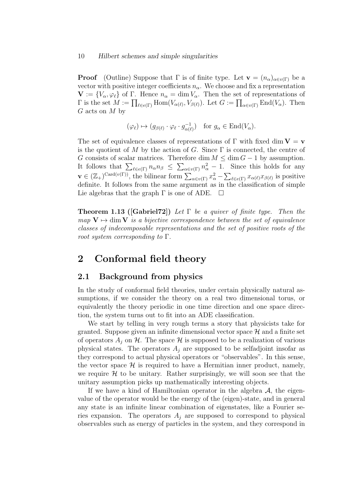**Proof** (Outline) Suppose that  $\Gamma$  is of finite type. Let  $\mathbf{v} = (n_{\alpha})_{\alpha \in v(\Gamma)}$  be a vector with positive integer coefficients  $n_{\alpha}$ . We choose and fix a representation  $\mathbf{V} := \{V_{\alpha}, \varphi_{\ell}\}\$  of Γ. Hence  $n_{\alpha} = \dim V_{\alpha}$ . Then the set of representations of  $\Gamma$  is the set  $M := \prod_{\ell \in e(\Gamma)} \text{Hom}(V_{\alpha(\ell)}, V_{\beta(\ell)})$ . Let  $G := \prod_{\alpha \in v(\Gamma)} \text{End}(V_{\alpha})$ . Then  $G$  acts on  $M$  by

$$
(\varphi_{\ell}) \mapsto (g_{\beta(\ell)} \cdot \varphi_{\ell} \cdot g_{\alpha(\ell)}^{-1}) \quad \text{for } g_{\alpha} \in \text{End}(V_{\alpha}).
$$

The set of equivalence classes of representations of  $\Gamma$  with fixed dim  $V = v$ is the quotient of M by the action of G. Since  $\Gamma$  is connected, the centre of G consists of scalar matrices. Therefore dim  $M \leq \dim G - 1$  by assumption. It follows that  $\sum_{\ell \in e(\Gamma)} n_{\alpha} n_{\beta} \leq \sum_{\alpha \in v(\Gamma)} n_{\alpha}^2 - 1$ . Since this holds for any  $\mathbf{v} \in (\mathbb{Z}_+)^{\mathrm{Card}(v(\Gamma))}$ , the bilinear form  $\sum_{\alpha \in v(\Gamma)} x_\alpha^2 - \sum_{\ell \in e(\Gamma)} x_{\alpha(\ell)} x_{\beta(\ell)}$  is positive definite. It follows from the same argument as in the classification of simple Lie algebras that the graph  $\Gamma$  is one of ADE.  $\Box$ 

**Theorem 1.13 ([Gabriel72])** Let  $\Gamma$  be a quiver of finite type. Then the map  $V \mapsto \text{dim } V$  is a bijective correspondence between the set of equivalence classes of indecomposable representations and the set of positive roots of the root system corresponding to  $\Gamma$ .

## 2 Conformal field theory

### 2.1 Background from physics

In the study of conformal field theories, under certain physically natural assumptions, if we consider the theory on a real two dimensional torus, or equivalently the theory periodic in one time direction and one space direction, the system turns out to fit into an ADE classification.

We start by telling in very rough terms a story that physicists take for granted. Suppose given an infinite dimensional vector space  $\mathcal H$  and a finite set of operators  $A_i$  on H. The space H is supposed to be a realization of various physical states. The operators  $A_j$  are supposed to be selfadjoint insofar as they correspond to actual physical operators or "observables". In this sense, the vector space  $\mathcal{H}$  is required to have a Hermitian inner product, namely, we require  $\mathcal H$  to be unitary. Rather surprisingly, we will soon see that the unitary assumption picks up mathematically interesting objects.

If we have a kind of Hamiltonian operator in the algebra  $A$ , the eigenvalue of the operator would be the energy of the (eigen)-state, and in general any state is an infinite linear combination of eigenstates, like a Fourier series expansion. The operators  $A_i$  are supposed to correspond to physical observables such as energy of particles in the system, and they correspond in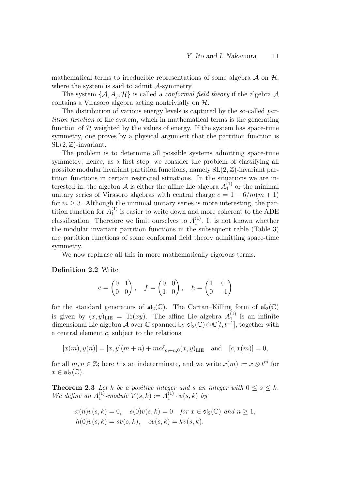mathematical terms to irreducible representations of some algebra  $\mathcal A$  on  $\mathcal H$ , where the system is said to admit  $\mathcal{A}$ -symmetry.

The system  $\{A, A_j, \mathcal{H}\}$  is called a *conformal field theory* if the algebra  $\mathcal A$ contains a Virasoro algebra acting nontrivially on H.

The distribution of various energy levels is captured by the so-called partition function of the system, which in mathematical terms is the generating function of  $\mathcal H$  weighted by the values of energy. If the system has space-time symmetry, one proves by a physical argument that the partition function is  $SL(2, \mathbb{Z})$ -invariant.

The problem is to determine all possible systems admitting space-time symmetry; hence, as a first step, we consider the problem of classifying all possible modular invariant partition functions, namely  $SL(2, \mathbb{Z})$ -invariant partition functions in certain restricted situations. In the situations we are interested in, the algebra A is either the affine Lie algebra  $A_1^{(1)}$  $1^{(1)}$  or the minimal unitary series of Virasoro algebras with central charge  $c = 1 - 6/m(m + 1)$ for  $m > 3$ . Although the minimal unitary series is more interesting, the partition function for  $A_1^{(1)}$  $_1^{(1)}$  is easier to write down and more coherent to the ADE classification. Therefore we limit ourselves to  $A_1^{(1)}$  $1^{(1)}$ . It is not known whether the modular invariant partition functions in the subsequent table (Table 3) are partition functions of some conformal field theory admitting space-time symmetry.

We now rephrase all this in more mathematically rigorous terms.

#### Definition 2.2 Write

$$
e = \begin{pmatrix} 0 & 1 \\ 0 & 0 \end{pmatrix}, \quad f = \begin{pmatrix} 0 & 0 \\ 1 & 0 \end{pmatrix}, \quad h = \begin{pmatrix} 1 & 0 \\ 0 & -1 \end{pmatrix}
$$

for the standard generators of  $\mathfrak{sl}_2(\mathbb{C})$ . The Cartan–Killing form of  $\mathfrak{sl}_2(\mathbb{C})$ is given by  $(x, y)_{\text{LIE}} = \text{Tr}(xy)$ . The affine Lie algebra  $A_1^{(1)}$  $i_1^{(1)}$  is an infinite dimensional Lie algebra A over  $\mathbb C$  spanned by  $\mathfrak{sl}_2(\mathbb C)\otimes \mathbb C[t,t^{-1}],$  together with a central element c, subject to the relations

$$
[x(m), y(n)] = [x, y](m+n) + mc\delta_{m+n,0}(x, y)_{\text{LIE}} \text{ and } [c, x(m)] = 0,
$$

for all  $m, n \in \mathbb{Z}$ ; here t is an indeterminate, and we write  $x(m) := x \otimes t^m$  for  $x \in \mathfrak{sl}_2(\mathbb{C}).$ 

**Theorem 2.3** Let k be a positive integer and s an integer with  $0 \leq s \leq k$ . We define an  $A_1^{(1)}$  $1^{(1)}$ -module  $V(s,k) := A_1^{(1)}$  $y_1^{(1)} \cdot v(s,k)$  by

$$
x(n)v(s, k) = 0
$$
,  $e(0)v(s, k) = 0$  for  $x \in \mathfrak{sl}_2(\mathbb{C})$  and  $n \ge 1$ ,  
\n $h(0)v(s, k) = sv(s, k)$ ,  $cv(s, k) = kv(s, k)$ .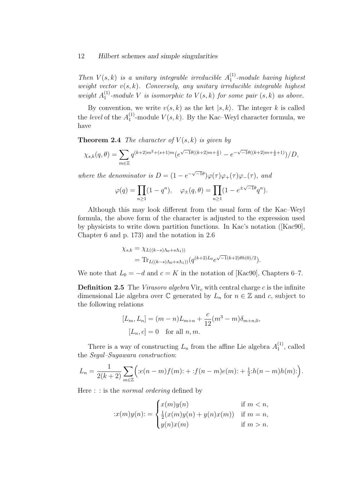Then  $V(s,k)$  is a unitary integrable irreducible  $A_1^{(1)}$  $1^{(1)}$ -module having highest weight vector  $v(s, k)$ . Conversely, any unitary irreducible integrable highest weight  $A_1^{(1)}$  $_1^{(1)}$ -module V is isomorphic to  $V(s,k)$  for some pair  $(s,k)$  as above.

By convention, we write  $v(s, k)$  as the ket  $|s, k\rangle$ . The integer k is called the *level* of the  $A_1^{(1)}$  $_1^{(1)}$ -module  $V(s, k)$ . By the Kac–Weyl character formula, we have

**Theorem 2.4** The character of  $V(s, k)$  is given by

$$
\chi_{s,k}(q,\theta) = \sum_{m \in \mathbb{Z}} q^{(k+2)m^2 + (s+1)m} \left( e^{\sqrt{-1}\theta((k+2)m + \frac{s}{2})} - e^{-\sqrt{-1}\theta((k+2)m + \frac{s}{2} + 1)} \right) / D,
$$

where the denominator is  $D = (1 - e^{-\sqrt{-1}\theta})\varphi(\tau)\varphi_+(\tau)\varphi_-(\tau)$ , and

$$
\varphi(q) = \prod_{n \ge 1} (1 - q^n), \quad \varphi_{\pm}(q, \theta) = \prod_{n \ge 1} (1 - e^{\pm \sqrt{-1}\theta} q^n).
$$

Although this may look different from the usual form of the Kac–Weyl formula, the above form of the character is adjusted to the expression used by physicists to write down partition functions. In Kac's notation ([Kac90], Chapter 6 and p. 173) and the notation in 2.6

$$
\chi_{s,k} = \chi_{L((k-s)\Lambda_0 + s\Lambda_1))}
$$
  
= Tr<sub>L((k-s)\Lambda\_0 + s\Lambda\_1)(q^{(k+2)L\_0}e^{\sqrt{-1}(k+2)\theta h(0)/2}).</sub>

We note that  $L_0 = -d$  and  $c = K$  in the notation of [Kac90], Chapters 6–7.

**Definition 2.5** The Virasoro algebra  $Vir_c$  with central charge c is the infinite dimensional Lie algebra over  $\mathbb C$  generated by  $L_n$  for  $n \in \mathbb Z$  and c, subject to the following relations

$$
[L_m, L_n] = (m - n)L_{m+n} + \frac{c}{12}(m^3 - m)\delta_{m+n,0},
$$
  

$$
[L_n, c] = 0 \text{ for all } n, m.
$$

There is a way of constructing  $L_n$  from the affine Lie algebra  $A_1^{(1)}$  $\binom{1}{1}$ , called the Segal–Sugawara construction:

$$
L_n = \frac{1}{2(k+2)} \sum_{m \in \mathbb{Z}} \Big( :e(n-m)f(m) : + :f(n-m)e(m) : + \frac{1}{2} :h(n-m)h(m) : \Big).
$$

Here : : is the normal ordering defined by

$$
:x(m)y(n): = \begin{cases} x(m)y(n) & \text{if } m < n, \\ \frac{1}{2}(x(m)y(n) + y(n)x(m)) & \text{if } m = n, \\ y(n)x(m) & \text{if } m > n. \end{cases}
$$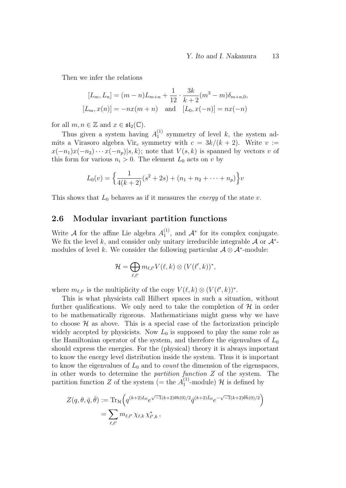Then we infer the relations

$$
[L_m, L_n] = (m - n)L_{m+n} + \frac{1}{12} \cdot \frac{3k}{k+2}(m^3 - m)\delta_{m+n,0},
$$
  

$$
[L_m, x(n)] = -nx(m+n) \text{ and } [L_0, x(-n)] = nx(-n)
$$

for all  $m, n \in \mathbb{Z}$  and  $x \in \mathfrak{sl}_2(\mathbb{C})$ .

Thus given a system having  $A_1^{(1)}$  $_1^{(1)}$  symmetry of level k, the system admits a Virasoro algebra Vir<sub>c</sub> symmetry with  $c = 3k/(k+2)$ . Write  $v :=$  $x(-n_1)x(-n_2)\cdots x(-n_p)|s,k\rangle$ ; note that  $V(s,k)$  is spanned by vectors v of this form for various  $n_i > 0$ . The element  $L_0$  acts on v by

$$
L_0(v) = \left\{ \frac{1}{4(k+2)}(s^2+2s) + (n_1 + n_2 + \dots + n_p) \right\} v
$$

This shows that  $L_0$  behaves as if it measures the *energy* of the state v.

### 2.6 Modular invariant partition functions

Write A for the affine Lie algebra  $A_1^{(1)}$  $1^{(1)}$ , and  $\mathcal{A}^*$  for its complex conjugate. We fix the level k, and consider only unitary irreducible integrable  $A$  or  $A^*$ modules of level k. We consider the following particular  $\mathcal{A} \otimes \mathcal{A}^*$ -module:

$$
\mathcal{H}=\bigoplus_{\ell,\ell'}m_{\ell,\ell'}V(\ell,k)\otimes (V(\ell',k))^*,
$$

where  $m_{\ell,\ell'}$  is the multiplicity of the copy  $V(\ell, k) \otimes (V(\ell', k))^*$ .

This is what physicists call Hilbert spaces in such a situation, without further qualifications. We only need to take the completion of  $\mathcal H$  in order to be mathematically rigorous. Mathematicians might guess why we have to choose  $\mathcal H$  as above. This is a special case of the factorization principle widely accepted by physicists. Now  $L_0$  is supposed to play the same role as the Hamiltonian operator of the system, and therefore the eigenvalues of  $L_0$ should express the energies. For the (physical) theory it is always important to know the energy level distribution inside the system. Thus it is important to know the eigenvalues of  $L_0$  and to *count* the dimension of the eigenspaces, in other words to determine the partition function Z of the system. The partition function Z of the system (= the  $A_1^{(1)}$ )  $1^{(1)}$ -module) H is defined by

$$
Z(q, \theta, \bar{q}, \bar{\theta}) := \text{Tr}_{\mathcal{H}} \Big( q^{(k+2)L_0} e^{\sqrt{-1}(k+2)\theta h(0)/2} \bar{q}^{(k+2)\bar{L}_0} e^{-\sqrt{-1}(k+2)\bar{\theta}\bar{h}(0)/2} \Big)
$$
  
= 
$$
\sum_{\ell, \ell'} m_{\ell, \ell'} \chi_{\ell, k} \chi_{\ell', k}^*,
$$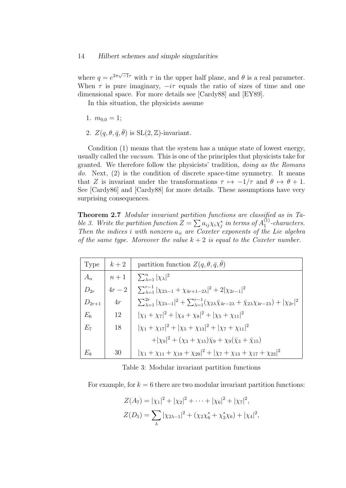where  $q = e^{2\pi\sqrt{-1}\tau}$  with  $\tau$  in the upper half plane, and  $\theta$  is a real parameter. When  $\tau$  is pure imaginary,  $-i\tau$  equals the ratio of sizes of time and one dimensional space. For more details see [Cardy88] and [EY89].

In this situation, the physicists assume

- 1.  $m_{0.0} = 1$ ;
- 2.  $Z(q, \theta, \bar{q}, \bar{\theta})$  is  $SL(2, \mathbb{Z})$ -invariant.

Condition (1) means that the system has a unique state of lowest energy, usually called the vacuum. This is one of the principles that physicists take for granted. We therefore follow the physicists' tradition, doing as the Romans do. Next,  $(2)$  is the condition of discrete space-time symmetry. It means that Z is invariant under the transformations  $\tau \mapsto -1/\tau$  and  $\theta \mapsto \theta + 1$ . See [Cardy86] and [Cardy88] for more details. These assumptions have very surprising consequences.

Theorem 2.7 Modular invariant partition functions are classified as in Table 3. Write the partition function  $Z = \sum a_{ij} \chi_i \chi_j^*$  in terms of  $A_1^{(1)}$  $1^{(1)}$ -characters. Then the indices i with nonzero  $a_{ii}$  are Coxeter exponents of the Lie algebra of the same type. Moreover the value  $k + 2$  is equal to the Coxeter number.

| Type       | $k+2$  | partition function $Z(q, \theta, \bar{q}, \theta)$                                                                                                                 |
|------------|--------|--------------------------------------------------------------------------------------------------------------------------------------------------------------------|
| $A_n$      |        | $\left  n+1 \right  \sum_{\lambda=1}^n  \chi_\lambda ^2$                                                                                                           |
| $D_{2r}$   | $4r-2$ | $\sum_{\lambda=1}^{r-1}  \chi_{2\lambda-1} + \chi_{4r+1-2\lambda} ^2 + 2 \chi_{2r-1} ^2$                                                                           |
| $D_{2r+1}$ | $4r$   | $\sum_{\lambda=1}^{2r} \chi_{2\lambda-1} ^2+\sum_{\lambda=1}^{r-1}(\chi_{2\lambda}\bar{\chi}_{4r-2\lambda}+\bar{\chi}_{2\lambda}\chi_{4r-2\lambda})+ \chi_{2r} ^2$ |
| $E_6$      | 12     | $ x_1 + x_7 ^2 +  x_4 + x_8 ^2 +  x_5 + x_{11} ^2$                                                                                                                 |
| $E_7$      | 18     | $ \chi_1 + \chi_{17} ^2 +  \chi_5 + \chi_{13} ^2 +  \chi_7 + \chi_{11} ^2$                                                                                         |
|            |        | $+ \chi_9 ^2 + (\chi_3 + \chi_{15})\bar{\chi}_9 + \chi_9(\bar{\chi}_3 + \bar{\chi}_{15})$                                                                          |
| $E_8$      | 30     | $ \chi_1 + \chi_{11} + \chi_{19} + \chi_{29} ^2 +  \chi_7 + \chi_{13} + \chi_{17} + \chi_{23} ^2$                                                                  |

Table 3: Modular invariant partition functions

For example, for  $k = 6$  there are two modular invariant partition functions:

$$
Z(A_7) = |\chi_1|^2 + |\chi_2|^2 + \dots + |\chi_6|^2 + |\chi_7|^2,
$$
  

$$
Z(D_5) = \sum_{\lambda} |\chi_{2\lambda - 1}|^2 + (\chi_2 \chi_6^* + \chi_2^* \chi_6) + |\chi_4|^2,
$$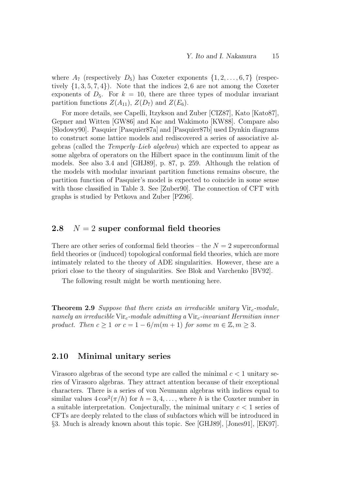where  $A_7$  (respectively  $D_5$ ) has Coxeter exponents  $\{1, 2, \ldots, 6, 7\}$  (respectively  $\{1, 3, 5, 7, 4\}$ . Note that the indices 2,6 are not among the Coxeter exponents of  $D_5$ . For  $k = 10$ , there are three types of modular invariant partition functions  $Z(A_{11}), Z(D_7)$  and  $Z(E_6)$ .

For more details, see Capelli, Itzykson and Zuber [CIZ87], Kato [Kato87], Gepner and Witten [GW86] and Kac and Wakimoto [KW88]. Compare also [Slodowy90]. Pasquier [Pasquier87a] and [Pasquier87b] used Dynkin diagrams to construct some lattice models and rediscovered a series of associative algebras (called the Temperly–Lieb algebras) which are expected to appear as some algebra of operators on the Hilbert space in the continuum limit of the models. See also 3.4 and [GHJ89], p. 87, p. 259. Although the relation of the models with modular invariant partition functions remains obscure, the partition function of Pasquier's model is expected to coincide in some sense with those classified in Table 3. See [Zuber90]. The connection of CFT with graphs is studied by Petkova and Zuber [PZ96].

### 2.8  $N = 2$  super conformal field theories

There are other series of conformal field theories – the  $N = 2$  superconformal field theories or (induced) topological conformal field theories, which are more intimately related to the theory of ADE singularities. However, these are a priori close to the theory of singularities. See Blok and Varchenko [BV92].

The following result might be worth mentioning here.

**Theorem 2.9** Suppose that there exists an irreducible unitary  $Vir<sub>c</sub>$ -module, namely an irreducible  $Vir_c$ -module admitting a  $Vir_c$ -invariant Hermitian inner product. Then  $c \geq 1$  or  $c = 1 - 6/m(m + 1)$  for some  $m \in \mathbb{Z}, m \geq 3$ .

### 2.10 Minimal unitary series

Virasoro algebras of the second type are called the minimal  $c < 1$  unitary series of Virasoro algebras. They attract attention because of their exceptional characters. There is a series of von Neumann algebras with indices equal to similar values  $4\cos^2(\pi/h)$  for  $h = 3, 4, \ldots$ , where h is the Coxeter number in a suitable interpretation. Conjecturally, the minimal unitary  $c < 1$  series of CFTs are deeply related to the class of subfactors which will be introduced in §3. Much is already known about this topic. See [GHJ89], [Jones91], [EK97].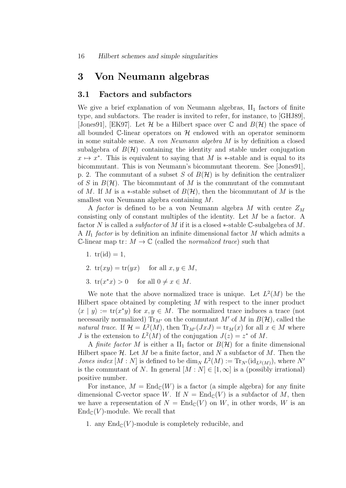## 3 Von Neumann algebras

### 3.1 Factors and subfactors

We give a brief explanation of von Neumann algebras,  $II_1$  factors of finite type, and subfactors. The reader is invited to refer, for instance, to [GHJ89], [Jones91], [EK97]. Let  $\mathcal H$  be a Hilbert space over  $\mathbb C$  and  $B(\mathcal H)$  the space of all bounded  $\mathbb{C}$ -linear operators on  $\mathcal{H}$  endowed with an operator seminorm in some suitable sense. A von Neumann algebra M is by definition a closed subalgebra of  $B(\mathcal{H})$  containing the identity and stable under conjugation  $x \mapsto x^*$ . This is equivalent to saying that M is  $*$ -stable and is equal to its bicommutant. This is von Neumann's bicommutant theorem. See [Jones91], p. 2. The commutant of a subset S of  $B(\mathcal{H})$  is by definition the centralizer of S in  $B(\mathcal{H})$ . The bicommutant of M is the commutant of the commutant of M. If M is a  $\ast$ -stable subset of  $B(\mathcal{H})$ , then the bicommutant of M is the smallest von Neumann algebra containing M.

A factor is defined to be a von Neumann algebra M with centre  $Z_M$ consisting only of constant multiples of the identity. Let M be a factor. A factor N is called a *subfactor* of M if it is a closed  $*$ -stable  $\mathbb{C}$ -subalgebra of M. A  $II_1$  factor is by definition an infinite dimensional factor M which admits a C-linear map tr:  $M \to \mathbb{C}$  (called the *normalized trace*) such that

- 1.  $tr(id) = 1$ ,
- 2.  $tr(xy) = tr(yx)$  for all  $x, y \in M$ ,
- 3.  $tr(x^*x) > 0$  for all  $0 \neq x \in M$ .

We note that the above normalized trace is unique. Let  $L^2(M)$  be the Hilbert space obtained by completing  $M$  with respect to the inner product  $\langle x | y \rangle := \text{tr}(x^*y)$  for  $x, y \in M$ . The normalized trace induces a trace (not necessarily normalized)  $Tr_{M'}$  on the commutant M' of M in  $B(H)$ , called the natural trace. If  $\mathcal{H} = L^2(M)$ , then  $\text{Tr}_{M'}(JxJ) = \text{tr}_M(x)$  for all  $x \in M$  where *J* is the extension to  $L^2(M)$  of the conjugation  $J(z) = z^*$  of M.

A finite factor M is either a  $II_1$  factor or  $B(\mathcal{H})$  for a finite dimensional Hilbert space  $\mathcal H$ . Let M be a finite factor, and N a subfactor of M. Then the *Jones index* [M : N] is defined to be  $\dim_N L^2(M) := \text{Tr}_{N'}(\text{id}_{L^2(M)})$ , where N' is the commutant of N. In general  $[M : N] \in [1, \infty]$  is a (possibly irrational) positive number.

For instance,  $M = \text{End}_{\mathbb{C}}(W)$  is a factor (a simple algebra) for any finite dimensional C-vector space W. If  $N = \text{End}_{\mathbb{C}}(V)$  is a subfactor of M, then we have a representation of  $N = \text{End}_{\mathbb{C}}(V)$  on W, in other words, W is an  $\text{End}_{\mathbb{C}}(V)$ -module. We recall that

1. any  $\text{End}_{\mathbb{C}}(V)$ -module is completely reducible, and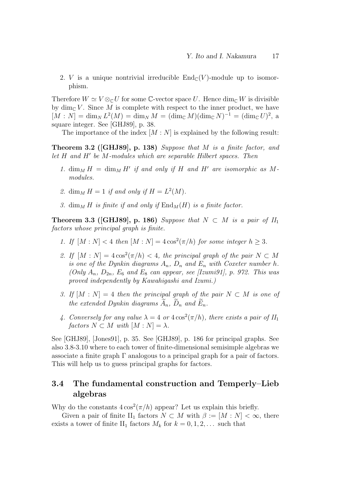2. V is a unique nontrivial irreducible  $\text{End}_{\mathbb{C}}(V)$ -module up to isomorphism.

Therefore  $W \simeq V \otimes_{\mathbb{C}} U$  for some C-vector space U. Hence  $\dim_{\mathbb{C}} W$  is divisible by  $\dim_{\mathbb{C}} V$ . Since M is complete with respect to the inner product, we have  $[M : N] = \dim_N L^2(M) = \dim_N M = (\dim_{\mathbb{C}} M)(\dim_{\mathbb{C}} N)^{-1} = (\dim_{\mathbb{C}} U)^2$ , a square integer. See [GHJ89], p. 38.

The importance of the index  $[M : N]$  is explained by the following result:

**Theorem 3.2 ([GHJ89], p. 138)** Suppose that M is a finite factor, and let  $H$  and  $H'$  be  $M$ -modules which are separable Hilbert spaces. Then

- 1.  $\dim_M H = \dim_M H'$  if and only if H and H' are isomorphic as Mmodules.
- 2. dim<sub>M</sub>  $H = 1$  if and only if  $H = L<sup>2</sup>(M)$ .
- 3. dim<sub>M</sub> H is finite if and only if  $\text{End}_M(H)$  is a finite factor.

Theorem 3.3 ([GHJ89], p. 186) Suppose that  $N \subset M$  is a pair of  $II_1$ factors whose principal graph is finite.

- 1. If  $[M : N] < 4$  then  $[M : N] = 4 \cos^2(\pi/h)$  for some integer  $h \geq 3$ .
- 2. If  $[M : N] = 4\cos^2(\pi/h) < 4$ , the principal graph of the pair  $N \subset M$ is one of the Dynkin diagrams  $A_n$ ,  $D_n$  and  $E_n$  with Coxeter number h. (Only  $A_n$ ,  $D_{2n}$ ,  $E_6$  and  $E_8$  can appear, see [Izumi91], p. 972. This was proved independently by Kawahigashi and Izumi.)
- 3. If  $[M : N] = 4$  then the principal graph of the pair  $N \subset M$  is one of the extended Dynkin diagrams  $A_n$ ,  $D_n$  and  $E_n$ .
- 4. Conversely for any value  $\lambda = 4$  or  $4\cos^2(\pi/h)$ , there exists a pair of  $II_1$ factors  $N \subset M$  with  $[M : N] = \lambda$ .

See [GHJ89], [Jones91], p. 35. See [GHJ89], p. 186 for principal graphs. See also 3.8-3.10 where to each tower of finite-dimensional semisimple algebras we associate a finite graph  $\Gamma$  analogous to a principal graph for a pair of factors. This will help us to guess principal graphs for factors.

## 3.4 The fundamental construction and Temperly–Lieb algebras

Why do the constants  $4\cos^2(\pi/h)$  appear? Let us explain this briefly.

Given a pair of finite II<sub>1</sub> factors  $N \subset M$  with  $\beta := [M : N] < \infty$ , there exists a tower of finite II<sub>1</sub> factors  $M_k$  for  $k = 0, 1, 2, \ldots$  such that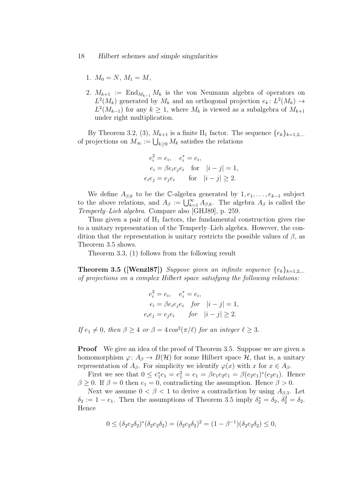- 1.  $M_0 = N$ ,  $M_1 = M$ ,
- 2.  $M_{k+1} := \text{End}_{M_{k-1}} M_k$  is the von Neumann algebra of operators on  $L^2(M_k)$  generated by  $M_k$  and an orthogonal projection  $e_k: L^2(M_k) \to$  $L^2(M_{k-1})$  for any  $k \geq 1$ , where  $M_k$  is viewed as a subalgebra of  $M_{k+1}$ under right multiplication.

By Theorem 3.2, (3),  $M_{k+1}$  is a finite  $II_1$  factor. The sequence  $\{e_k\}_{k=1,2,\dots}$ of projections on  $M_{\infty} := \bigcup_{k \geq 0} M_k$  satisfies the relations

$$
e_i^2 = e_i, \quad e_i^* = e_i,
$$
  
\n
$$
e_i = \beta e_i e_j e_i \quad \text{for} \quad |i - j| = 1,
$$
  
\n
$$
e_i e_j = e_j e_i \quad \text{for} \quad |i - j| \ge 2.
$$

We define  $A_{\beta,k}$  to be the C-algebra generated by  $1, e_1, \ldots, e_{k-1}$  subject to the above relations, and  $A_{\beta} := \bigcup_{k=1}^{\infty} A_{\beta,k}$ . The algebra  $A_{\beta}$  is called the Temperly–Lieb algebra. Compare also [GHJ89], p. 259.

Thus given a pair of  $II_1$  factors, the fundamental construction gives rise to a unitary representation of the Temperly–Lieb algebra. However, the condition that the representation is unitary restricts the possible values of  $\beta$ , as Theorem 3.5 shows.

Theorem 3.3, (1) follows from the following result

**Theorem 3.5 ([Wenzl87])** Suppose given an infinite sequence  $\{e_k\}_{k=1,2,\dots}$ of projections on a complex Hilbert space satisfying the following relations:

$$
e_i^2 = e_i
$$
,  $e_i^* = e_i$ ,  
\n $e_i = \beta e_i e_j e_i$  for  $|i - j| = 1$ ,  
\n $e_i e_j = e_j e_i$  for  $|i - j| \ge 2$ .

If  $e_1 \neq 0$ , then  $\beta \geq 4$  or  $\beta = 4 \cos^2(\pi/\ell)$  for an integer  $\ell \geq 3$ .

**Proof** We give an idea of the proof of Theorem 3.5. Suppose we are given a homomorphism  $\varphi: A_{\beta} \to B(\mathcal{H})$  for some Hilbert space  $\mathcal{H}$ , that is, a unitary representation of  $A_\beta$ . For simplicity we identify  $\varphi(x)$  with x for  $x \in A_\beta$ .

First we see that  $0 \le e_1^* e_1 = e_1^2 = e_1 = \beta e_1 e_2 e_1 = \beta (e_2 e_1)^* (e_2 e_1)$ . Hence  $\beta \geq 0$ . If  $\beta = 0$  then  $e_1 = 0$ , contradicting the assumption. Hence  $\beta > 0$ .

Next we assume  $0 < \beta < 1$  to derive a contradiction by using  $A_{\beta,3}$ . Let  $\delta_2 := 1 - e_1$ . Then the assumptions of Theorem 3.5 imply  $\delta_2^* = \delta_2$ ,  $\delta_2^2 = \delta_2$ . Hence

$$
0 \le (\delta_2 e_2 \delta_2)^* (\delta_2 e_2 \delta_2) = (\delta_2 e_2 \delta_2)^2 = (1 - \beta^{-1})(\delta_2 e_2 \delta_2) \le 0,
$$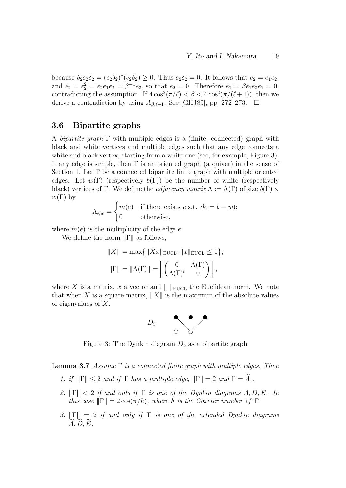because  $\delta_2 e_2 \delta_2 = (e_2 \delta_2)^* (e_2 \delta_2) \geq 0$ . Thus  $e_2 \delta_2 = 0$ . It follows that  $e_2 = e_1 e_2$ , and  $e_2 = e_2^2 = e_2 e_1 e_2 = \beta^{-1} e_2$ , so that  $e_2 = 0$ . Therefore  $e_1 = \beta e_1 e_2 e_1 = 0$ , contradicting the assumption. If  $4\cos^2(\pi/\ell) < \beta < 4\cos^2(\pi/(\ell+1))$ , then we derive a contradiction by using  $A_{\beta,\ell+1}$ . See [GHJ89], pp. 272–273.  $\Box$ 

### 3.6 Bipartite graphs

A *bipartite graph*  $\Gamma$  with multiple edges is a (finite, connected) graph with black and white vertices and multiple edges such that any edge connects a white and black vertex, starting from a white one (see, for example, Figure 3). If any edge is simple, then  $\Gamma$  is an oriented graph (a quiver) in the sense of Section 1. Let Γ be a connected bipartite finite graph with multiple oriented edges. Let  $w(\Gamma)$  (respectively  $b(\Gamma)$ ) be the number of white (respectively black) vertices of Γ. We define the *adjacency matrix*  $\Lambda := \Lambda(\Gamma)$  of size  $b(\Gamma) \times$  $w(\Gamma)$  by

$$
\Lambda_{b,w} = \begin{cases} m(e) & \text{if there exists } e \text{ s.t. } \partial e = b - w; \\ 0 & \text{otherwise.} \end{cases}
$$

where  $m(e)$  is the multiplicity of the edge e.

We define the norm  $\|\Gamma\|$  as follows,

$$
||X|| = \max\{||Xx||_{\text{EUCL}}; ||x||_{\text{EUCL}} \le 1\};
$$
  

$$
||\Gamma|| = ||\Lambda(\Gamma)|| = ||\begin{pmatrix} 0 & \Lambda(\Gamma) \\ \Lambda(\Gamma)^t & 0 \end{pmatrix}||,
$$

where X is a matrix, x a vector and  $\|$   $\|$ <sub>EUCL</sub> the Euclidean norm. We note that when X is a square matrix,  $||X||$  is the maximum of the absolute values of eigenvalues of X.



Figure 3: The Dynkin diagram  $D_5$  as a bipartite graph

**Lemma 3.7** Assume  $\Gamma$  is a connected finite graph with multiple edges. Then

- 1. if  $\|\Gamma\| \leq 2$  and if  $\Gamma$  has a multiple edge,  $\|\Gamma\| = 2$  and  $\Gamma = \widetilde{A}_1$ .
- 2.  $\|\Gamma\| < 2$  if and only if  $\Gamma$  is one of the Dynkin diagrams A, D, E. In this case  $\|\Gamma\| = 2 \cos(\pi/h)$ , where h is the Coxeter number of  $\Gamma$ .
- 3.  $\|\Gamma\| = 2$  if and only if  $\Gamma$  is one of the extended Dynkin diagrams  $A, D, E.$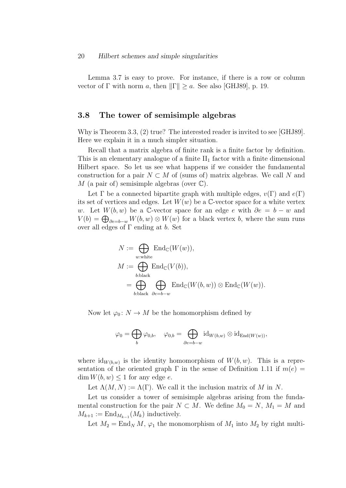Lemma 3.7 is easy to prove. For instance, if there is a row or column vector of Γ with norm a, then  $\|\Gamma\| \ge a$ . See also [GHJ89], p. 19.

### 3.8 The tower of semisimple algebras

Why is Theorem 3.3, (2) true? The interested reader is invited to see [GHJ89]. Here we explain it in a much simpler situation.

Recall that a matrix algebra of finite rank is a finite factor by definition. This is an elementary analogue of a finite  $II_1$  factor with a finite dimensional Hilbert space. So let us see what happens if we consider the fundamental construction for a pair  $N \subset M$  of (sums of) matrix algebras. We call N and M (a pair of) semisimple algebras (over  $\mathbb{C}$ ).

Let  $\Gamma$  be a connected bipartite graph with multiple edges,  $v(\Gamma)$  and  $e(\Gamma)$ its set of vertices and edges. Let  $W(w)$  be a C-vector space for a white vertex w. Let  $W(b, w)$  be a C-vector space for an edge e with  $\partial e = b - w$  and  $V(b) = \bigoplus_{\partial e = b-w} W(b, w) \otimes W(w)$  for a black vertex b, where the sum runs over all edges of  $\Gamma$  ending at b. Set

$$
N := \bigoplus_{w:\text{white}} \text{End}_{\mathbb{C}}(W(w)),
$$
  

$$
M := \bigoplus_{b:\text{black}} \text{End}_{\mathbb{C}}(V(b)),
$$
  

$$
= \bigoplus_{b:\text{black}} \bigoplus_{\partial e=b-w} \text{End}_{\mathbb{C}}(W(b,w)) \otimes \text{End}_{\mathbb{C}}(W(w)).
$$

Now let  $\varphi_0\colon N\to M$  be the homomorphism defined by

$$
\varphi_0 = \bigoplus_b \varphi_{0,b}, \quad \varphi_{0,b} = \bigoplus_{\partial e = b - w} \operatorname{id}_{W(b,w)} \otimes \operatorname{id}_{\operatorname{End}(W(w))},
$$

where  $\mathrm{id}_{W(b,w)}$  is the identity homomorphism of  $W(b, w)$ . This is a representation of the oriented graph  $\Gamma$  in the sense of Definition 1.11 if  $m(e)$  $\dim W(b, w) \leq 1$  for any edge e.

Let  $\Lambda(M, N) := \Lambda(\Gamma)$ . We call it the inclusion matrix of M in N.

Let us consider a tower of semisimple algebras arising from the fundamental construction for the pair  $N \subset M$ . We define  $M_0 = N$ ,  $M_1 = M$  and  $M_{k+1} := \text{End}_{M_{k-1}}(M_k)$  inductively.

Let  $M_2 = \text{End}_N M$ ,  $\varphi_1$  the monomorphism of  $M_1$  into  $M_2$  by right multi-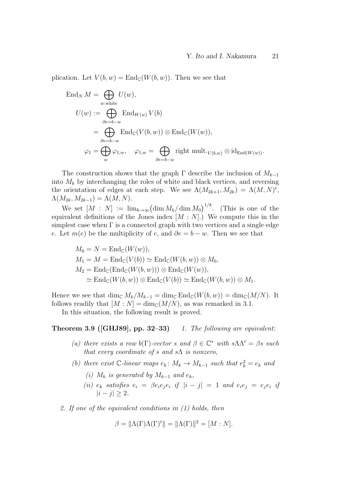plication. Let  $V(b, w) = \text{End}_{\mathbb{C}}(W(b, w))$ . Then we see that

End<sub>N</sub> 
$$
M = \bigoplus_{w:\text{white}}
$$
  $U(w)$ ,  
\n
$$
U(w) := \bigoplus_{\partial e = b-w} \text{End}_{W(w)} V(b)
$$
\n
$$
= \bigoplus_{\partial e = b-w} \text{End}_{\mathbb{C}}(V(b, w)) \otimes \text{End}_{\mathbb{C}}(W(w)),
$$
\n
$$
\varphi_1 = \bigoplus_{w} \varphi_{1,w}, \quad \varphi_{1,w} = \bigoplus_{\partial e = b-w} \text{right mult.}_{V(b,w)} \otimes \text{id}_{\text{End}(W(w))}.
$$

The construction shows that the graph  $\Gamma$  describe the inclusion of  $M_{k-1}$ into  $M_k$  by interchanging the roles of white and black vertices, and reversing the orientation of edges at each step. We see  $\Lambda(M_{2k+1}, M_{2k}) = \Lambda(M, N)^t$ ,  $\Lambda(M_{2k},M_{2k-1})=\Lambda(M,N).$ 

We set  $[M : N] := \lim_{k \to \infty} (\dim M_k / \dim M_0)^{1/k}$ . (This is one of the equivalent definitions of the Jones index  $[M : N]$ .) We compute this in the simplest case when  $\Gamma$  is a connected graph with two vertices and a single edge e. Let  $m(e)$  be the multiplicity of e, and  $\partial e = b - w$ . Then we see that

$$
M_0 = N = \text{End}_{\mathbb{C}}(W(w)),
$$
  
\n
$$
M_1 = M = \text{End}_{\mathbb{C}}(V(b)) \simeq \text{End}_{\mathbb{C}}(W(b, w)) \otimes M_0,
$$
  
\n
$$
M_2 = \text{End}_{\mathbb{C}}(\text{End}_{\mathbb{C}}(W(b, w))) \otimes \text{End}_{\mathbb{C}}(W(w)),
$$
  
\n
$$
\simeq \text{End}_{\mathbb{C}}(W(b, w)) \otimes \text{End}_{\mathbb{C}}(V(b)) \simeq \text{End}_{\mathbb{C}}(W(b, w)) \otimes M_1.
$$

Hence we see that  $\dim_{\mathbb{C}} M_k/M_{k-1} = \dim_{\mathbb{C}} \text{End}_{\mathbb{C}}(W(b, w)) = \dim_{\mathbb{C}} (M/N)$ . It follows readily that  $[M : N] = \dim_{\mathbb{C}}(M/N)$ , as was remarked in 3.1.

In this situation, the following result is proved.

#### **Theorem 3.9 ([GHJ89], pp. 32–33)** 1. The following are equivalent:

- (a) there exists a row  $b(\Gamma)$ -vector s and  $\beta \in \mathbb{C}^*$  with  $s \Lambda \Lambda^t = \beta s$  such that every coordinate of s and  $s\Lambda$  is nonzero,
- (b) there exist  $\mathbb{C}\text{-linear maps } e_k: M_k \to M_{k-1}$  such that  $e_k^2 = e_k$  and
	- (i)  $M_k$  is generated by  $M_{k-1}$  and  $e_k$ ,
	- (ii)  $e_k$  satisfies  $e_i = \beta e_i e_j e_i$  if  $|i j| = 1$  and  $e_i e_j = e_j e_i$  if  $|i - j| \geq 2$ .
- 2. If one of the equivalent conditions in (1) holds, then

$$
\beta = \|\Lambda(\Gamma)\Lambda(\Gamma)^t\| = \|\Lambda(\Gamma)\|^2 = [M:N].
$$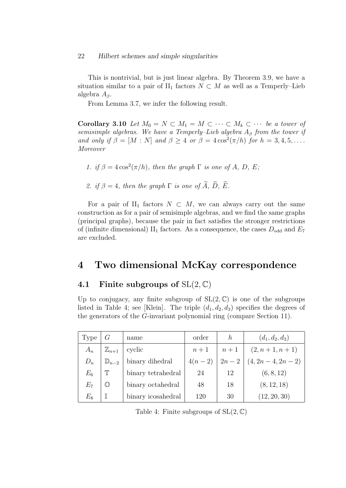This is nontrivial, but is just linear algebra. By Theorem 3.9, we have a situation similar to a pair of  $II_1$  factors  $N \subset M$  as well as a Temperly–Lieb algebra  $A_\beta$ .

From Lemma 3.7, we infer the following result.

Corollary 3.10 Let  $M_0 = N \subset M_1 = M \subset \cdots \subset M_k \subset \cdots$  be a tower of semisimple algebras. We have a Temperly–Lieb algebra  $A_\beta$  from the tower if and only if  $\beta = [M : N]$  and  $\beta \geq 4$  or  $\beta = 4 \cos^2(\pi/h)$  for  $h = 3, 4, 5, \dots$ . Moreover

1. if  $\beta = 4\cos^2(\pi/h)$ , then the graph  $\Gamma$  is one of A, D, E;

2. if  $\beta = 4$ , then the graph  $\Gamma$  is one of  $\widetilde{A}$ ,  $\widetilde{D}$ ,  $\widetilde{E}$ .

For a pair of II<sub>1</sub> factors  $N \subset M$ , we can always carry out the same construction as for a pair of semisimple algebras, and we find the same graphs (principal graphs), because the pair in fact satisfies the stronger restrictions of (infinite dimensional)  $II_1$  factors. As a consequence, the cases  $D_{odd}$  and  $E_7$ are excluded.

## 4 Two dimensional McKay correspondence

### 4.1 Finite subgroups of  $SL(2, \mathbb{C})$

Up to conjugacy, any finite subgroup of  $SL(2,\mathbb{C})$  is one of the subgroups listed in Table 4; see [Klein]. The triple  $(d_1, d_2, d_3)$  specifies the degrees of the generators of the G-invariant polynomial ring (compare Section 11).

| Type    |                    | name               | order    | h      | $(d_1, d_2, d_3)$ |
|---------|--------------------|--------------------|----------|--------|-------------------|
| $A_n$   | $\mathbb{Z}_{n+1}$ | cyclic             | $n+1$    | $n+1$  | $(2, n+1, n+1)$   |
| $D_n$   | $\mathbb{D}_{n-2}$ | binary dihedral    | $4(n-2)$ | $2n-2$ | $(4, 2n-4, 2n-2)$ |
| $E_{6}$ | $\mathbb T$        | binary tetrahedral | 24       | 12     | (6, 8, 12)        |
| $E_7\,$ | $\mathbb{O}$       | binary octahedral  | 48       | 18     | (8, 12, 18)       |
| $E_{8}$ | $\mathbb I$        | binary icosahedral | 120      | 30     | (12, 20, 30)      |

Table 4: Finite subgroups of  $SL(2, \mathbb{C})$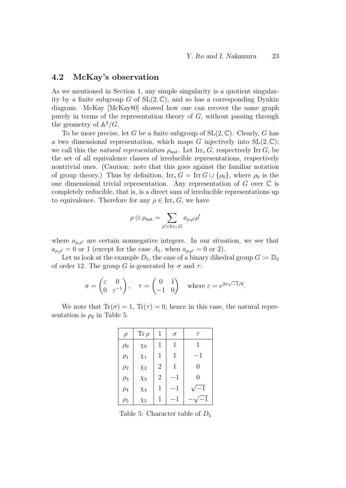#### 4.2 McKay's observation

As we mentioned in Section 1, any simple singularity is a quotient singularity by a finite subgroup G of  $SL(2,\mathbb{C})$ , and so has a corresponding Dynkin diagram. McKay [McKay80] showed how one can recover the same graph purely in terms of the representation theory of  $G$ , without passing through the geometry of  $\mathbb{A}^2/G$ .

To be more precise, let G be a finite subgroup of  $SL(2,\mathbb{C})$ . Clearly, G has a two dimensional representation, which maps G injectively into  $SL(2, \mathbb{C});$ we call this the natural representation  $\rho_{\text{nat}}$ . Let Irr<sub>\*</sub> G, respectively Irr G, be the set of all equivalence classes of irreducible representations, respectively nontrivial ones. (Caution: note that this goes against the familiar notation of group theory.) Thus by definition,  $\text{Irr}_{*} G = \text{Irr } G \cup \{\rho_0\}$ , where  $\rho_0$  is the one dimensional trivial representation. Any representation of  $G$  over  $\mathbb C$  is completely reducible, that is, is a direct sum of irreducible representations up to equivalence. Therefore for any  $\rho \in \text{Irr}_{*} G$ , we have

$$
\rho\otimes\rho_{\mathrm{nat}}=\sum_{\rho'\in\operatorname{Irr}_*G}a_{\rho,\rho'}\rho'
$$

where  $a_{\rho,\rho'}$  are certain nonnegative integers. In our situation, we see that  $a_{\rho,\rho'}=0$  or 1 (except for the case  $A_1$ , when  $a_{\rho,\rho'}=0$  or 2).

Let us look at the example  $D_5$ , the case of a binary dihedral group  $G := \mathbb{D}_3$ of order 12. The group G is generated by  $\sigma$  and  $\tau$ :

$$
\sigma = \begin{pmatrix} \varepsilon & 0 \\ 0 & \varepsilon^{-1} \end{pmatrix}, \quad \tau = \begin{pmatrix} 0 & 1 \\ -1 & 0 \end{pmatrix} \quad \text{where } \varepsilon = e^{2\pi\sqrt{-1}/6}.
$$

We note that  $Tr(\sigma) = 1$ ,  $Tr(\tau) = 0$ , hence in this case, the natural representation is  $\rho_2$  in Table 5.

| $\rho$   | $\text{Tr}\,\rho$ | 1              | $\sigma$    | $\tau$      |
|----------|-------------------|----------------|-------------|-------------|
| $\rho_0$ | $\chi_0$          | 1              | 1           | 1           |
| $\rho_1$ | $\chi_1$          | 1              | 1           | $-1$        |
| $\rho_2$ | $\chi_2$          | $\overline{2}$ | 1           | 0           |
| $\rho_3$ | $\chi_3$          | $\overline{2}$ | $^{\rm -1}$ | 0           |
| $\rho_4$ | $\chi_4$          | 1              | $^{\rm -1}$ | $\sqrt{-1}$ |
| $\rho_5$ | $\chi_5$          | 1              | -1          | $-1$        |

Table 5: Character table of  $D_5$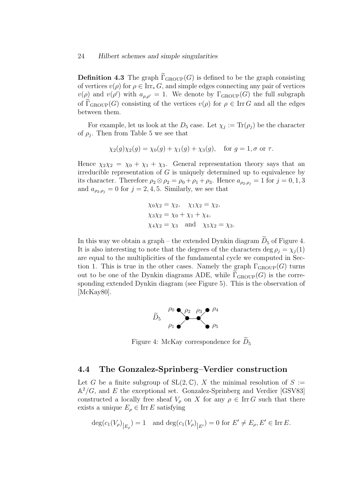**Definition 4.3** The graph  $\Gamma_{\text{GROUP}}(G)$  is defined to be the graph consisting of vertices  $v(\rho)$  for  $\rho \in \text{Irr}_{*} G$ , and simple edges connecting any pair of vertices  $v(\rho)$  and  $v(\rho')$  with  $a_{\rho,\rho'} = 1$ . We denote by  $\Gamma_{\text{GROUP}}(G)$  the full subgraph of  $\Gamma_{\text{GROUP}}(G)$  consisting of the vertices  $v(\rho)$  for  $\rho \in \text{Irr } G$  and all the edges between them.

For example, let us look at the  $D_5$  case. Let  $\chi_j := \text{Tr}(\rho_j)$  be the character of  $\rho_j$ . Then from Table 5 we see that

$$
\chi_2(g)\chi_2(g) = \chi_0(g) + \chi_1(g) + \chi_3(g), \quad \text{for } g = 1, \sigma \text{ or } \tau.
$$

Hence  $\chi_2 \chi_2 = \chi_0 + \chi_1 + \chi_3$ . General representation theory says that an irreducible representation of  $G$  is uniquely determined up to equivalence by its character. Therefore  $\rho_2 \otimes \rho_2 = \rho_0 + \rho_1 + \rho_3$ . Hence  $a_{\rho_2,\rho_j} = 1$  for  $j = 0,1,3$ and  $a_{\rho_2,\rho_j} = 0$  for  $j = 2, 4, 5$ . Similarly, we see that

$$
\chi_0 \chi_2 = \chi_2, \quad \chi_1 \chi_2 = \chi_2,
$$
  
\n
$$
\chi_3 \chi_2 = \chi_0 + \chi_1 + \chi_4,
$$
  
\n
$$
\chi_4 \chi_2 = \chi_3 \quad \text{and} \quad \chi_5 \chi_2 = \chi_3.
$$

In this way we obtain a graph – the extended Dynkin diagram  $\tilde{D}_5$  of Figure 4. It is also interesting to note that the degrees of the characters deg  $\rho_i = \chi_i(1)$ are equal to the multiplicities of the fundamental cycle we computed in Section 1. This is true in the other cases. Namely the graph  $\Gamma_{\text{GROUP}}(G)$  turns out to be one of the Dynkin diagrams ADE, while  $\Gamma_{\text{GROUP}}(G)$  is the corresponding extended Dynkin diagram (see Figure 5). This is the observation of [McKay80].



Figure 4: McKay correspondence for  $\widetilde{D}_5$ 

#### 4.4 The Gonzalez-Sprinberg–Verdier construction

Let G be a finite subgroup of  $SL(2,\mathbb{C})$ , X the minimal resolution of  $S :=$  $\mathbb{A}^2/G$ , and E the exceptional set. Gonzalez-Sprinberg and Verdier [GSV83] constructed a locally free sheaf  $V_{\rho}$  on X for any  $\rho \in \text{Irr } G$  such that there exists a unique  $E_{\rho} \in \text{Irr } E$  satisfying

$$
\deg(c_1(V_{\rho})_{|E_{\rho}}) = 1 \text{ and } \deg(c_1(V_{\rho})_{|E'}) = 0 \text{ for } E' \neq E_{\rho}, E' \in \text{Irr } E.
$$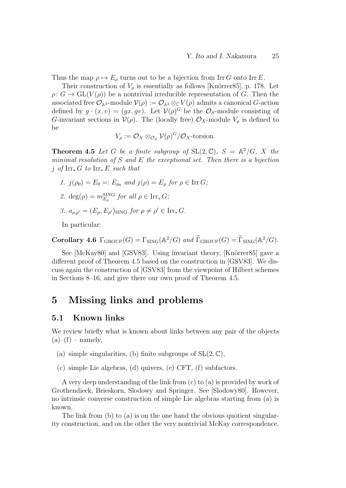Thus the map  $\rho \mapsto E_{\rho}$  turns out to be a bijection from Irr G onto Irr E.

Their construction of  $V_\rho$  is essentially as follows [Knörrer85], p. 178. Let  $\rho: G \to GL(V(\rho))$  be a nontrivial irreducible representation of G. Then the associated free  $\mathcal{O}_{\mathbb{A}^2}$ -module  $\mathcal{V}(\rho) := \mathcal{O}_{\mathbb{A}^2} \otimes_{\mathbb{C}} V(\rho)$  admits a canonical G-action defined by  $g \cdot (x, v) = (gx, gv)$ . Let  $V(\rho)^G$  be the  $\mathcal{O}_S$ -module consisting of G-invariant sections in  $\mathcal{V}(\rho)$ . The (locally free)  $\mathcal{O}_X$ -module  $V_\rho$  is defined to be

$$
V_{\rho} := \mathcal{O}_X \otimes_{\mathcal{O}_S} \mathcal{V}(\rho)^G / \mathcal{O}_X
$$
-torsion.

**Theorem 4.5** Let G be a finite subgroup of  $SL(2, \mathbb{C})$ ,  $S = \mathbb{A}^2/G$ , X the minimal resolution of  $S$  and  $E$  the exceptional set. Then there is a bijection j of Irr $_{*}$  G to Irr $_{*}$  E such that

- 1.  $j(\rho_0) = E_0 =: E_{\rho_0}$  and  $j(\rho) = E_{\rho}$  for  $\rho \in \text{Irr } G$ ;
- 2.  $\deg(\rho) = m_{E_{\rho}}^{\text{SING}}$  for all  $\rho \in \text{Irr}_{*} G$ ;
- 3.  $a_{\rho,\rho'} = (E_{\rho}, E_{\rho'})$ SING for  $\rho \neq \rho' \in \text{Irr}_{*} G$ .

In particular:

Corollary 4.6  $\Gamma_{\text{GROUP}}(G) = \Gamma_{\text{SING}}(\mathbb{A}^2/G)$  and  $\widetilde{\Gamma}_{\text{GROUP}}(G) = \widetilde{\Gamma}_{\text{SING}}(\mathbb{A}^2/G)$ .

See [McKay80] and [GSV83]. Using invariant theory, [Knörrer85] gave a different proof of Theorem 4.5 based on the construction in [GSV83]. We discuss again the construction of [GSV83] from the viewpoint of Hilbert schemes in Sections 8–16, and give there our own proof of Theorem 4.5.

## 5 Missing links and problems

### 5.1 Known links

We review briefly what is known about links between any pair of the objects  $(a)$ – $(f)$  – namely,

- (a) simple singularities, (b) finite subgroups of  $SL(2,\mathbb{C})$ ,
- (c) simple Lie algebras, (d) quivers, (e) CFT, (f) subfactors.

A very deep understanding of the link from (c) to (a) is provided by work of Grothendieck, Brieskorn, Slodowy and Springer. See [Slodowy80]. However, no intrinsic converse construction of simple Lie algebras starting from (a) is known.

The link from (b) to (a) is on the one hand the obvious quotient singularity construction, and on the other the very nontrivial McKay correspondence.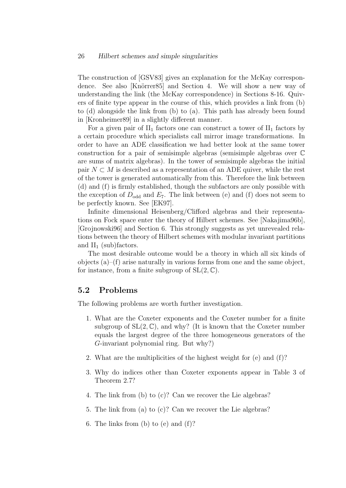The construction of [GSV83] gives an explanation for the McKay correspondence. See also [Knörrer85] and Section 4. We will show a new way of understanding the link (the McKay correspondence) in Sections 8-16. Quivers of finite type appear in the course of this, which provides a link from (b) to (d) alongside the link from (b) to (a). This path has already been found in [Kronheimer89] in a slightly different manner.

For a given pair of  $II_1$  factors one can construct a tower of  $II_1$  factors by a certain procedure which specialists call mirror image transformations. In order to have an ADE classification we had better look at the same tower construction for a pair of semisimple algebras (semisimple algebras over C are sums of matrix algebras). In the tower of semisimple algebras the initial pair  $N \subset M$  is described as a representation of an ADE quiver, while the rest of the tower is generated automatically from this. Therefore the link between (d) and (f) is firmly established, though the subfactors are only possible with the exception of  $D_{odd}$  and  $E_7$ . The link between (e) and (f) does not seem to be perfectly known. See [EK97].

Infinite dimensional Heisenberg/Clifford algebras and their representations on Fock space enter the theory of Hilbert schemes. See [Nakajima96b], [Grojnowski96] and Section 6. This strongly suggests as yet unrevealed relations between the theory of Hilbert schemes with modular invariant partitions and  $II_1$  (sub)factors.

The most desirable outcome would be a theory in which all six kinds of objects (a)–(f) arise naturally in various forms from one and the same object, for instance, from a finite subgroup of  $SL(2, \mathbb{C})$ .

### 5.2 Problems

The following problems are worth further investigation.

- 1. What are the Coxeter exponents and the Coxeter number for a finite subgroup of  $SL(2, \mathbb{C})$ , and why? (It is known that the Coxeter number equals the largest degree of the three homogeneous generators of the G-invariant polynomial ring. But why?)
- 2. What are the multiplicities of the highest weight for (e) and (f)?
- 3. Why do indices other than Coxeter exponents appear in Table 3 of Theorem 2.7?
- 4. The link from (b) to (c)? Can we recover the Lie algebras?
- 5. The link from (a) to (c)? Can we recover the Lie algebras?
- 6. The links from (b) to (e) and (f)?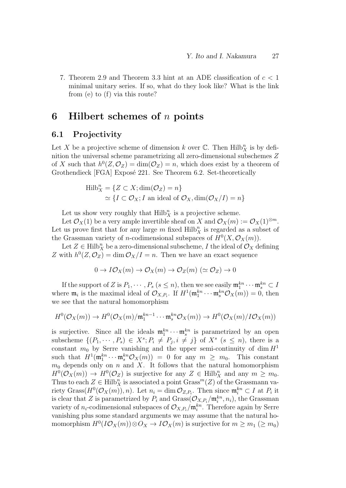7. Theorem 2.9 and Theorem 3.3 hint at an ADE classification of  $c < 1$ minimal unitary series. If so, what do they look like? What is the link from (e) to (f) via this route?

## 6 Hilbert schemes of  $n$  points

#### 6.1 Projectivity

Let X be a projective scheme of dimension k over  $\mathbb{C}$ . Then  $\mathrm{Hilb}_X^n$  is by definition the universal scheme parametrizing all zero-dimensional subschemes Z of X such that  $h^0(Z, \mathcal{O}_Z) = \dim(\mathcal{O}_Z) = n$ , which does exist by a theorem of Grothendieck [FGA] Exposé 221. See Theorem 6.2. Set-theoretically

$$
Hilb_X^n = \{ Z \subset X; \dim(\mathcal{O}_Z) = n \}
$$
  
  $\simeq \{ I \subset \mathcal{O}_X; I \text{ an ideal of } \mathcal{O}_X, \dim(\mathcal{O}_X/I) = n \}$ 

Let us show very roughly that  $\mathrm{Hilb}_X^n$  is a projective scheme.

Let  $\mathcal{O}_X(1)$  be a very ample invertible sheaf on X and  $\mathcal{O}_X(m) := \mathcal{O}_X(1)^{\otimes m}$ . Let us prove first that for any large  $m$  fixed  $Hilb_X^n$  is regarded as a subset of the Grassman variety of *n*-codimensional subspaces of  $H^0(X, \mathcal{O}_X(m))$ .

Let  $Z \in \text{Hilb}_X^n$  be a zero-dimensional subscheme, I the ideal of  $\mathcal{O}_X$  defining Z with  $h^0(Z, \mathcal{O}_Z) = \dim \mathcal{O}_X/I = n$ . Then we have an exact sequence

$$
0 \to I\mathcal{O}_X(m) \to \mathcal{O}_X(m) \to \mathcal{O}_Z(m) \; (\simeq \mathcal{O}_Z) \to 0
$$

If the support of Z is  $P_1, \cdots, P_s$   $(s \leq n)$ , then we see easily  $\mathfrak{m}_1^{kn} \cdots \mathfrak{m}_s^{kn} \subset I$ where  $\mathfrak{m}_i$  is the maximal ideal of  $\mathcal{O}_{X,P_i}$ . If  $H^1(\mathfrak{m}_1^{kn} \cdots \mathfrak{m}_s^{kn} \mathcal{O}_X(m)) = 0$ , then we see that the natural homomorphism

$$
H^0(\mathcal{O}_X(m)) \to H^0(\mathcal{O}_X(m)/\mathfrak{m}_1^{kn-1} \cdots \mathfrak{m}_s^{kn} \mathcal{O}_X(m)) \to H^0(\mathcal{O}_X(m)/I\mathcal{O}_X(m))
$$

is surjective. Since all the ideals  $\mathfrak{m}_1^{kn} \cdots \mathfrak{m}_s^{kn}$  is parametrized by an open subscheme  $\{(P_1, \dots, P_s) \in X^s; P_i \neq P_j, i \neq j\}$  of  $X^s$   $(s \leq n)$ , there is a constant  $m_0$  by Serre vanishing and the upper semi-continuity of dim  $H<sup>1</sup>$ such that  $H^1(\mathfrak{m}_1^{kn} \cdots \mathfrak{m}_s^{kn} \mathcal{O}_X(m)) = 0$  for any  $m \geq m_0$ . This constant  $m_0$  depends only on n and X. It follows that the natural homomorphism  $H^0(\mathcal{O}_X(m)) \to H^0(\mathcal{O}_Z)$  is surjective for any  $Z \in \text{Hilb}_X^n$  and any  $m \geq m_0$ . Thus to each  $Z \in \text{Hilb}_X^n$  is associated a point  $\text{Grass}^m(Z)$  of the Grassmann variety Grass $(H^0(\mathcal{O}_X(m)), n)$ . Let  $n_i = \dim \mathcal{O}_{Z,P_i}$ . Then since  $\mathfrak{m}_i^{kn} \subset I$  at  $P_i$  it is clear that Z is parametrized by  $P_i$  and  $Grass(\mathcal{O}_{X,P_i}/\mathfrak{m}_i^{kn}, n_i)$ , the Grassman variety of  $n_i$ -codimensional subspaces of  $\mathcal{O}_{X,P_i}/\mathfrak{m}_i^{kn}$ . Therefore again by Serre vanishing plus some standard arguments we may assume that the natural homomorphism  $H^0(I\mathcal{O}_X(m))\otimes \mathcal{O}_X \to I\mathcal{O}_X(m)$  is surjective for  $m \geq m_1 \ (\geq m_0)$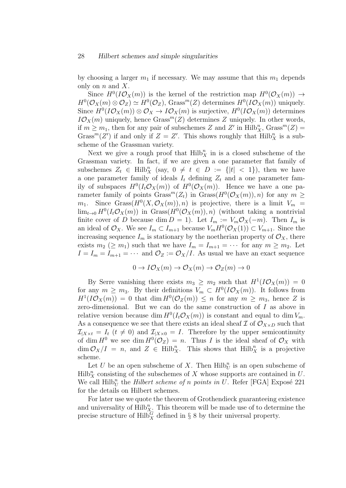by choosing a larger  $m_1$  if necessary. We may assume that this  $m_1$  depends only on  $n$  and  $X$ .

Since  $H^0(I\mathcal{O}_X(m))$  is the kernel of the restriction map  $H^0(\mathcal{O}_X(m)) \to$  $H^0(\mathcal{O}_X(m) \otimes \mathcal{O}_Z) \simeq H^0(\mathcal{O}_Z)$ , Grass<sup>m</sup>(Z) determines  $H^0(I\mathcal{O}_X(m))$  uniquely. Since  $H^0(I\mathcal{O}_X(m))\otimes \mathcal{O}_X\to I\mathcal{O}_X(m)$  is surjective,  $H^0(I\mathcal{O}_X(m))$  determines  $IO_X(m)$  uniquely, hence Grass<sup>m</sup>(Z) determines Z uniquely. In other words, if  $m \geq m_1$ , then for any pair of subschemes Z and Z' in  $\text{Hilb}_X^n$ ,  $\text{Grass}^m(Z)$  = Grass<sup>m</sup>(Z') if and only if  $Z = Z'$ . This shows roughly that  $Hilb_X^n$  is a subscheme of the Grassman variety.

Next we give a rough proof that  $Hilb_X^n$  in is a closed subscheme of the Grassman variety. In fact, if we are given a one parameter flat family of subschemes  $Z_t \in \text{Hilb}_X^n$  (say,  $0 \neq t \in D := \{|t| < 1\}$ ), then we have a one parameter family of ideals  $I_t$  defining  $Z_t$  and a one parameter family of subspaces  $H^0(I_t\mathcal{O}_X(m))$  of  $H^0(\mathcal{O}_X(m))$ . Hence we have a one parameter family of points  $Grass^m(Z_t)$  in  $Grass(H^0(\mathcal{O}_X(m)), n)$  for any  $m \geq$  $m_1$ . Since Grass $(H^0(X, \mathcal{O}_X(m)), n)$  is projective, there is a limit  $V_m =$  $\lim_{t\to 0} H^0(I_t\mathcal{O}_X(m))$  in  $Grass(H^0(\mathcal{O}_X(m)), n)$  (without taking a nontrivial finite cover of D because dim  $D = 1$ . Let  $I_m := V_m \mathcal{O}_X(-m)$ . Then  $I_m$  is an ideal of  $\mathcal{O}_X$ . We see  $I_m \subset I_{m+1}$  because  $V_m H^0(\mathcal{O}_X(1)) \subset V_{m+1}$ . Since the increasing sequence  $I_m$  is stationary by the noetherian property of  $\mathcal{O}_X$ , there exists  $m_2 \ (\ge m_1)$  such that we have  $I_m = I_{m+1} = \cdots$  for any  $m \ge m_2$ . Let  $I = I_m = I_{m+1} = \cdots$  and  $\mathcal{O}_Z := \mathcal{O}_X/I$ . As usual we have an exact sequence

$$
0 \to I\mathcal{O}_X(m) \to \mathcal{O}_X(m) \to \mathcal{O}_Z(m) \to 0
$$

By Serre vanishing there exists  $m_3 \geq m_2$  such that  $H^1(I\mathcal{O}_X(m)) = 0$ for any  $m \geq m_3$ . By their definitions  $V_m \subset H^0(I\mathcal{O}_X(m))$ . It follows from  $H^1(I\mathcal{O}_X(m)) = 0$  that  $\dim H^0(\mathcal{O}_Z(m)) \leq n$  for any  $m \geq m_3$ , hence Z is zero-dimensional. But we can do the same construction of I as above in relative version because dim  $H^0(I_t \mathcal{O}_X(m))$  is constant and equal to dim  $V_m$ . As a consequence we see that there exists an ideal sheaf  $\mathcal I$  of  $\mathcal O_{X\times D}$  such that  $\mathcal{I}_{|X \times t} = I_t$   $(t \neq 0)$  and  $\mathcal{I}_{|X \times 0} = I$ . Therefore by the upper semicontinuity of dim  $H^0$  we see dim  $H^0(\mathcal{O}_Z) = n$ . Thus I is the ideal sheaf of  $\mathcal{O}_X$  with  $\dim \mathcal{O}_X/I = n$ , and  $Z \in Hilb_X^n$ . This shows that  $Hilb_X^n$  is a projective scheme.

Let U be an open subscheme of X. Then  $\mathrm{Hilb}_U^n$  is an open subscheme of  $Hilb_X^n$  consisting of the subschemes of X whose supports are contained in U. We call  $Hilb_U^n$  the *Hilbert scheme of n points in U*. Refer [FGA] Exposé 221 for the details on Hilbert schemes.

For later use we quote the theorem of Grothendieck guaranteeing existence and universality of  $Hilb_{X}^n$ . This theorem will be made use of to determine the precise structure of  $\text{Hilb}_X^G$  defined in § 8 by their universal property.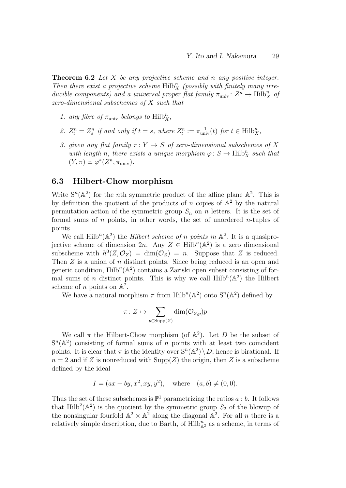**Theorem 6.2** Let X be any projective scheme and n any positive integer. Then there exist a projective scheme  $Hilb_X^n$  (possibly with finitely many irreducible components) and a universal proper flat family  $\pi_{\text{univ}}$ :  $Z^n \to \text{Hilb}_X^n$  of zero-dimensional subschemes of X such that

- 1. any fibre of  $\pi_{\text{univ}}$  belongs to  $\text{Hilb}_X^n$ ,
- 2.  $Z_t^n = Z_s^n$  if and only if  $t = s$ , where  $Z_t^n := \pi_{\text{univ}}^{-1}(t)$  for  $t \in \text{Hilb}_X^n$ ,
- 3. given any flat family  $\pi: Y \to S$  of zero-dimensional subschemes of X with length n, there exists a unique morphism  $\varphi: S \to \text{Hilb}_X^n$  such that  $(Y, \pi) \simeq \varphi^*(Z^n, \pi_{\text{univ}}).$

### 6.3 Hilbert-Chow morphism

Write  $S^n(\mathbb{A}^2)$  for the *n*th symmetric product of the affine plane  $\mathbb{A}^2$ . This is by definition the quotient of the products of  $n$  copies of  $\mathbb{A}^2$  by the natural permutation action of the symmetric group  $S_n$  on n letters. It is the set of formal sums of  $n$  points, in other words, the set of unordered  $n$ -tuples of points.

We call  $\text{Hilb}^n(\mathbb{A}^2)$  the *Hilbert scheme of n points in*  $\mathbb{A}^2$ . It is a quasiprojective scheme of dimension  $2n$ . Any  $Z \in \text{Hilb}^n(\mathbb{A}^2)$  is a zero dimensional subscheme with  $h^0(Z, \mathcal{O}_Z) = \dim(\mathcal{O}_Z) = n$ . Suppose that Z is reduced. Then Z is a union of n distinct points. Since being reduced is an open and generic condition,  $\text{Hilb}^n(\mathbb{A}^2)$  contains a Zariski open subset consisting of formal sums of *n* distinct points. This is why we call  $Hilb^{n}(\mathbb{A}^{2})$  the Hilbert scheme of *n* points on  $\mathbb{A}^2$ .

We have a natural morphism  $\pi$  from Hilb<sup>n</sup>( $\mathbb{A}^2$ ) onto  $S^n(\mathbb{A}^2)$  defined by

$$
\pi\colon Z\mapsto \sum_{p\in \mathrm{Supp}(Z)}\dim(\mathcal{O}_{Z,p})p
$$

We call  $\pi$  the Hilbert-Chow morphism (of  $\mathbb{A}^2$ ). Let D be the subset of  $S<sup>n</sup>(A<sup>2</sup>)$  consisting of formal sums of *n* points with at least two coincident points. It is clear that  $\pi$  is the identity over  $S^{n}(\mathbb{A}^{2})\setminus D$ , hence is birational. If  $n = 2$  and if Z is nonreduced with  $\text{Supp}(Z)$  the origin, then Z is a subscheme defined by the ideal

$$
I = (ax + by, x^2, xy, y^2)
$$
, where  $(a, b) \neq (0, 0)$ .

Thus the set of these subschemes is  $\mathbb{P}^1$  parametrizing the ratios  $a:b$ . It follows that Hilb<sup>2</sup>( $\mathbb{A}^2$ ) is the quotient by the symmetric group  $S_2$  of the blowup of the nonsingular fourfold  $\mathbb{A}^2 \times \mathbb{A}^2$  along the diagonal  $\mathbb{A}^2$ . For all *n* there is a relatively simple description, due to Barth, of  $\text{Hilb}^n_{\mathbb{A}^2}$  as a scheme, in terms of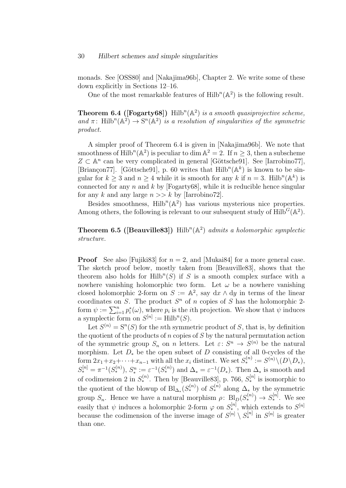monads. See [OSS80] and [Nakajima96b], Chapter 2. We write some of these down explicitly in Sections 12–16.

One of the most remarkable features of  $Hilb^{n}(\mathbb{A}^{2})$  is the following result.

**Theorem 6.4 ([Fogarty68])** Hilb<sup>n</sup>( $\mathbb{A}^2$ ) is a smooth quasiprojective scheme, and  $\pi$ : Hilb<sup>n</sup>( $\mathbb{A}^2$ )  $\rightarrow$  S<sup>n</sup>( $\mathbb{A}^2$ ) is a resolution of singularities of the symmetric product.

A simpler proof of Theorem 6.4 is given in [Nakajima96b]. We note that smoothness of Hilb<sup>n</sup>( $\mathbb{A}^2$ ) is peculiar to dim  $\mathbb{A}^2 = 2$ . If  $n \geq 3$ , then a subscheme  $Z \subset \mathbb{A}^n$  can be very complicated in general [Göttsche91]. See [Iarrobino77], [Briançon77]. [Göttsche91], p. 60 writes that  $Hilb^{n}(\mathbb{A}^{k})$  is known to be singular for  $k \geq 3$  and  $n \geq 4$  while it is smooth for any k if  $n = 3$ . Hilb<sup>n</sup>( $\mathbb{A}^k$ ) is connected for any  $n$  and  $k$  by [Fogarty68], while it is reducible hence singular for any k and any large  $n >> k$  by [Iarrobino72].

Besides smoothness,  $Hilb^{n}(\mathbb{A}^{2})$  has various mysterious nice properties. Among others, the following is relevant to our subsequent study of  $\text{Hilb}^G(\mathbb{A}^2)$ .

## **Theorem 6.5 ([Beauville83])** Hilb<sup>n</sup>( $\mathbb{A}^2$ ) admits a holomorphic symplectic structure.

**Proof** See also [Fujiki83] for  $n = 2$ , and [Mukai84] for a more general case. The sketch proof below, mostly taken from [Beauville83], shows that the theorem also holds for  $\text{Hilb}^n(S)$  if S is a smooth complex surface with a nowhere vanishing holomorphic two form. Let  $\omega$  be a nowhere vanishing closed holomorphic 2-form on  $S := \mathbb{A}^2$ , say dx  $\wedge$  dy in terms of the linear coordinates on S. The product  $S<sup>n</sup>$  of n copies of S has the holomorphic 2form  $\psi := \sum_{i=1}^n p_i^*(\omega)$ , where  $p_i$  is the *i*<sup>th</sup> projection. We show that  $\psi$  induces a symplectic form on  $S^{[n]} := \text{Hilb}^n(S)$ .

Let  $S^{(n)} = S^n(S)$  for the *n*th symmetric product of S, that is, by definition the quotient of the products of n copies of  $S$  by the natural permutation action of the symmetric group  $S_n$  on n letters. Let  $\varepsilon: S^n \to S^{(n)}$  be the natural morphism. Let  $D_*$  be the open subset of D consisting of all 0-cycles of the form  $2x_1+x_2+\cdots+x_{n-1}$  with all the  $x_i$  distinct. We set  $S_*^{(n)} := S^{(n)} \setminus (D \setminus D_*)$ ,  $S^{[n]}_* = \pi^{-1}(S^{(n)}_*)$ ,  $S^n_* := \varepsilon^{-1}(S^{(n)}_*)$  and  $\Delta_* = \varepsilon^{-1}(D_*)$ . Then  $\Delta_*$  is smooth and of codimension 2 in  $S^{(n)}_*$ . Then by [Beauville83], p. 766,  $S^{[n]}_*$  is isomorphic to the quotient of the blowup of  $\text{Bl}_{\Delta_*}(S_*^{(n)})$  of  $S_*^{(n)}$  along  $\Delta_*$  by the symmetric group  $S_n$ . Hence we have a natural morphism  $\rho: \text{ Bl}_D(S_*^{(n)}) \to S_*^{[n]}$ . We see easily that  $\psi$  induces a holomorphic 2-form  $\varphi$  on  $S_{*}^{[n]}$ , which extends to  $S^{[n]}$ because the codimension of the inverse image of  $S^{[n]} \setminus S^{[n]}_*$  in  $S^{[n]}$  is greater than one.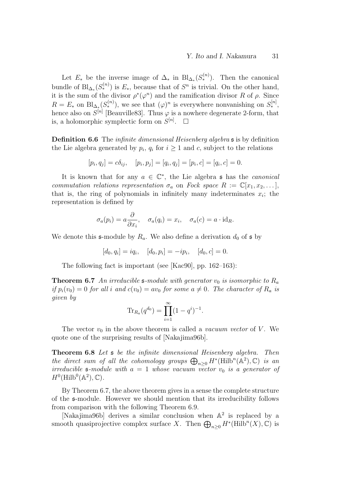Let  $E_*$  be the inverse image of  $\Delta_*$  in  $\text{Bl}_{\Delta_*}(S_*^{(n)})$ . Then the canonical bundle of  $\text{Bl}_{\Delta_*}(S^{(n)}_*)$  is  $E_*$ , because that of  $S^n$  is trivial. On the other hand, it is the sum of the divisor  $\rho^*(\varphi^n)$  and the ramification divisor R of  $\rho$ . Since  $R = E_*$  on  $\text{Bl}_{\Delta_*}(S_*^{(n)})$ , we see that  $(\varphi)^n$  is everywhere nonvanishing on  $S_*^{[n]}$ , hence also on  $S^{[n]}$  [Beauville83]. Thus  $\varphi$  is a nowhere degenerate 2-form, that is, a holomorphic symplectic form on  $S^{[n]}$ .  $\Box$ 

**Definition 6.6** The *infinite dimensional Heisenberg algebra* **s** is by definition the Lie algebra generated by  $p_i$ ,  $q_i$  for  $i \geq 1$  and c, subject to the relations

$$
[p_i, q_j] = c\delta_{ij}, \quad [p_i, p_j] = [q_i, q_j] = [p_i, c] = [q_i, c] = 0.
$$

It is known that for any  $a \in \mathbb{C}^*$ , the Lie algebra  $\mathfrak s$  has the *canonical* commutation relations representation  $\sigma_a$  on Fock space  $R := \mathbb{C}[x_1, x_2, \dots],$ that is, the ring of polynomials in infinitely many indeterminates  $x_i$ ; the representation is defined by

$$
\sigma_a(p_i) = a \frac{\partial}{\partial x_i}, \quad \sigma_a(q_i) = x_i, \quad \sigma_a(c) = a \cdot id_R.
$$

We denote this  $\mathfrak{s}$ -module by  $R_a$ . We also define a derivation  $d_0$  of  $\mathfrak{s}$  by

 $[d_0, q_i] = iq_i, \quad [d_0, p_i] = -ip_i, \quad [d_0, c] = 0.$ 

The following fact is important (see [Kac90], pp. 162–163):

**Theorem 6.7** An irreducible  $\mathfrak{s}\text{-module with generator } v_0$  is isomorphic to  $R_a$ if  $p_i(v_0) = 0$  for all i and  $c(v_0) = av_0$  for some  $a \neq 0$ . The character of  $R_a$  is given by

$$
\text{Tr}_{R_a}(q^{d_0}) = \prod_{i=1}^{\infty} (1 - q^i)^{-1}.
$$

The vector  $v_0$  in the above theorem is called a vacuum vector of V. We quote one of the surprising results of [Nakajima96b].

Theorem 6.8 Let s be the infinite dimensional Heisenberg algebra. Then the direct sum of all the cohomology groups  $\bigoplus_{n\geq 0} H^*(\text{Hilb}^n(\mathbb{A}^2), \mathbb{C})$  is an irreducible  $\mathfrak{s}\text{-module with }a=1$  whose vacuum vector  $v_0$  is a generator of  $H^0(\mathrm{Hilb}^0(\mathbb{A}^2), \mathbb{C}).$ 

By Theorem 6.7, the above theorem gives in a sense the complete structure of the s-module. However we should mention that its irreducibility follows from comparison with the following Theorem 6.9.

[Nakajima96b] derives a similar conclusion when A 2 is replaced by a smooth quasiprojective complex surface X. Then  $\bigoplus_{n\geq 0} H^*(\mathrm{Hilb}^n(X),\mathbb{C})$  is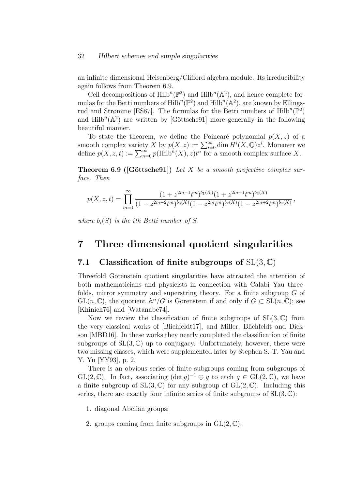an infinite dimensional Heisenberg/Clifford algebra module. Its irreducibility again follows from Theorem 6.9.

Cell decompositions of  $\text{Hilb}^n(\mathbb{P}^2)$  and  $\text{Hilb}^n(\mathbb{A}^2)$ , and hence complete formulas for the Betti numbers of  $\text{Hilb}^n(\mathbb{P}^2)$  and  $\text{Hilb}^n(\mathbb{A}^2)$ , are known by Ellingsrud and Strømme [ES87]. The formulas for the Betti numbers of  $Hilb^{n}(\mathbb{P}^{2})$ and  $Hilb^{n}(\mathbb{A}^{2})$  are written by [Göttsche91] more generally in the following beautiful manner.

To state the theorem, we define the Poincaré polynomial  $p(X, z)$  of a smooth complex variety X by  $p(X, z) := \sum_{i=0}^{\infty} \dim \overline{H}^i(X, \mathbb{Q}) z^i$ . Moreover we define  $p(X, z, t) := \sum_{n=0}^{\infty} p(Hilb^n(X), z)t^n$  for a smooth complex surface X.

**Theorem 6.9 ([Göttsche91])** Let X be a smooth projective complex surface. Then

$$
p(X, z, t) = \prod_{m=1}^{\infty} \frac{(1 + z^{2m-1}t^m)^{b_1(X)}(1 + z^{2m+1}t^m)^{b_3(X)}}{(1 - z^{2m-2}t^m)^{b_0(X)}(1 - z^{2m}t^m)^{b_2(X)}(1 - z^{2m+2}t^m)^{b_4(X)}},
$$

where  $b_i(S)$  is the ith Betti number of S.

## 7 Three dimensional quotient singularities

### 7.1 Classification of finite subgroups of  $SL(3, \mathbb{C})$

Threefold Gorenstein quotient singularities have attracted the attention of both mathematicians and physicists in connection with Calabi–Yau threefolds, mirror symmetry and superstring theory. For a finite subgroup G of  $GL(n,\mathbb{C})$ , the quotient  $\mathbb{A}^n/G$  is Gorenstein if and only if  $G \subset SL(n,\mathbb{C})$ ; see [Khinich76] and [Watanabe74].

Now we review the classification of finite subgroups of  $SL(3,\mathbb{C})$  from the very classical works of [Blichfeldt17], and Miller, Blichfeldt and Dickson [MBD16]. In these works they nearly completed the classification of finite subgroups of  $SL(3,\mathbb{C})$  up to conjugacy. Unfortunately, however, there were two missing classes, which were supplemented later by Stephen S.-T. Yau and Y. Yu [YY93], p. 2.

There is an obvious series of finite subgroups coming from subgroups of  $GL(2,\mathbb{C})$ . In fact, associating  $(\det g)^{-1} \oplus g$  to each  $g \in GL(2,\mathbb{C})$ , we have a finite subgroup of  $SL(3, \mathbb{C})$  for any subgroup of  $GL(2, \mathbb{C})$ . Including this series, there are exactly four infinite series of finite subgroups of  $SL(3, \mathbb{C})$ :

1. diagonal Abelian groups;

2. groups coming from finite subgroups in  $GL(2, \mathbb{C});$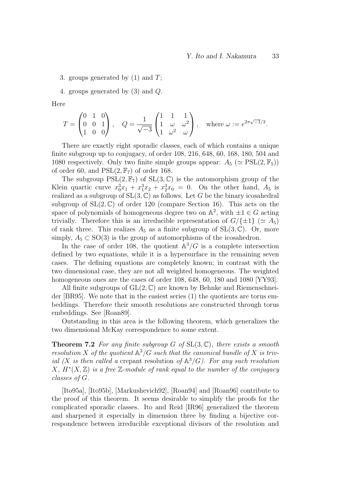3. groups generated by  $(1)$  and  $T$ ;

4. groups generated by (3) and Q.

Here

$$
T = \begin{pmatrix} 0 & 1 & 0 \\ 0 & 0 & 1 \\ 1 & 0 & 0 \end{pmatrix}, \quad Q = \frac{1}{\sqrt{-3}} \begin{pmatrix} 1 & 1 & 1 \\ 1 & \omega & \omega^2 \\ 1 & \omega^2 & \omega \end{pmatrix}, \quad \text{where } \omega := e^{2\pi\sqrt{-1}/3}.
$$

There are exactly eight sporadic classes, each of which contains a unique finite subgroup up to conjugacy, of order 108, 216, 648, 60, 168, 180, 504 and 1080 respectively. Only two finite simple groups appear:  $A_5 \approx \text{PSL}(2, \mathbb{F}_5)$ of order 60, and  $PSL(2, \mathbb{F}_7)$  of order 168.

The subgroup  $PSL(2, \mathbb{F}_7)$  of  $SL(3, \mathbb{C})$  is the automorphism group of the Klein quartic curve  $x_0^3x_1 + x_1^3x_2 + x_2^3x_0 = 0$ . On the other hand,  $A_5$  is realized as a subgroup of  $SL(3, \mathbb{C})$  as follows. Let G be the binary icosahedral subgroup of  $SL(2,\mathbb{C})$  of order 120 (compare Section 16). This acts on the space of polynomials of homogeneous degree two on  $\mathbb{A}^2$ , with  $\pm 1 \in G$  acting trivially. Therefore this is an irreducible representation of  $G/{\{\pm 1\}} \; (\simeq A_5)$ of rank three. This realizes  $A_5$  as a finite subgroup of  $SL(3,\mathbb{C})$ . Or, more simply,  $A_5 \subset SO(3)$  is the group of automorphisms of the icosahedron.

In the case of order 108, the quotient  $\mathbb{A}^3/G$  is a complete intersection defined by two equations, while it is a hypersurface in the remaining seven cases. The defining equations are completely known; in contrast with the two dimensional case, they are not all weighted homogeneous. The weighted homogeneous ones are the cases of order 108, 648, 60, 180 and 1080 [YY93].

All finite subgroups of  $GL(2, \mathbb{C})$  are known by Behnke and Riemenschneider [BR95]. We note that in the easiest series (1) the quotients are torus embeddings. Therefore their smooth resolutions are constructed through torus embeddings. See [Roan89].

Outstanding in this area is the following theorem, which generalizes the two dimensional McKay correspondence to some extent.

**Theorem 7.2** For any finite subgroup G of  $SL(3,\mathbb{C})$ , there exists a smooth resolution X of the quotient  $\mathbb{A}^3/G$  such that the canonical bundle of X is trivial (X is then called a crepant resolution of  $\mathbb{A}^{3}/G$ ). For any such resolution  $X, H^*(X, \mathbb{Z})$  is a free  $\mathbb{Z}$ -module of rank equal to the number of the conjugacy classes of G.

[Ito95a], [Ito95b], [Markushevich92], [Roan94] and [Roan96] contribute to the proof of this theorem. It seems desirable to simplify the proofs for the complicated sporadic classes. Ito and Reid [IR96] generalized the theorem and sharpened it especially in dimension three by finding a bijective correspondence between irreducible exceptional divisors of the resolution and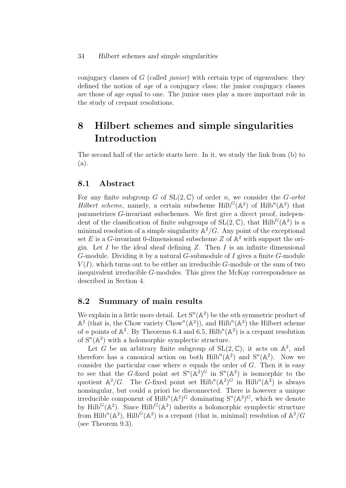conjugacy classes of G (called junior) with certain type of eigenvalues: they defined the notion of age of a conjugacy class; the junior conjugacy classes are those of age equal to one. The junior ones play a more important role in the study of crepant resolutions.

# 8 Hilbert schemes and simple singularities Introduction

The second half of the article starts here. In it, we study the link from (b) to (a).

## 8.1 Abstract

For any finite subgroup G of  $SL(2, \mathbb{C})$  of order n, we consider the G-orbit Hilbert scheme, namely, a certain subscheme  $\text{Hilb}^G(\mathbb{A}^2)$  of  $\text{Hilb}^n(\mathbb{A}^2)$  that parametrizes G-invariant subschemes. We first give a direct proof, independent of the classification of finite subgroups of  $SL(2, \mathbb{C})$ , that  $Hilb<sup>G</sup>(\mathbb{A}^2)$  is a minimal resolution of a simple singularity  $\mathbb{A}^2/G$ . Any point of the exceptional set E is a G-invariant 0-dimensional subscheme Z of  $\mathbb{A}^2$  with support the origin. Let  $I$  be the ideal sheaf defining  $Z$ . Then  $I$  is an infinite dimensional G-module. Dividing it by a natural G-submodule of I gives a finite G-module  $V(I)$ , which turns out to be either an irreducible G-module or the sum of two inequivalent irreducible G-modules. This gives the McKay correspondence as described in Section 4.

## 8.2 Summary of main results

We explain in a little more detail. Let  $S^n(\mathbb{A}^2)$  be the *n*th symmetric product of  $\mathbb{A}^2$  (that is, the Chow variety Chow<sup>n</sup>( $\mathbb{A}^2$ )), and Hilb<sup>n</sup>( $\mathbb{A}^2$ ) the Hilbert scheme of *n* points of  $\mathbb{A}^2$ . By Theorems 6.4 and 6.5, Hilb<sup>n</sup>( $\mathbb{A}^2$ ) is a crepant resolution of  $S^n(A^2)$  with a holomorphic symplectic structure.

Let G be an arbitrary finite subgroup of  $SL(2,\mathbb{C})$ ; it acts on  $\mathbb{A}^2$ , and therefore has a canonical action on both  $\text{Hilb}^n(\mathbb{A}^2)$  and  $\text{S}^n(\mathbb{A}^2)$ . Now we consider the particular case where  $n$  equals the order of  $G$ . Then it is easy to see that the G-fixed point set  $S^n(\mathbb{A}^2)^G$  in  $S^n(\mathbb{A}^2)$  is isomorphic to the quotient  $\mathbb{A}^2/G$ . The G-fixed point set  $\text{Hilb}^n(\mathbb{A}^2)^G$  in  $\text{Hilb}^n(\mathbb{A}^2)$  is always nonsingular, but could a priori be disconnected. There is however a unique irreducible component of  $\text{Hilb}^n(\mathbb{A}^2)^G$  dominating  $\mathbb{S}^n(\mathbb{A}^2)^G$ , which we denote by Hilb<sup>G</sup>( $\mathbb{A}^2$ ). Since Hilb<sup>G</sup>( $\mathbb{A}^2$ ) inherits a holomorphic symplectic structure from Hilb<sup>n</sup>( $\mathbb{A}^2$ ), Hilb<sup>G</sup>( $\mathbb{A}^2$ ) is a crepant (that is, minimal) resolution of  $\mathbb{A}^2/G$ (see Theorem 9.3).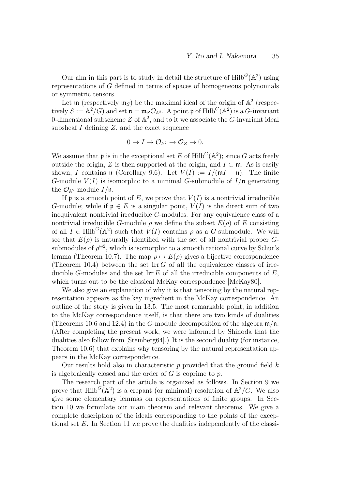Our aim in this part is to study in detail the structure of  $\text{Hilb}^G(\mathbb{A}^2)$  using representations of G defined in terms of spaces of homogeneous polynomials or symmetric tensors.

Let  $\mathfrak{m}$  (respectively  $\mathfrak{m}_S$ ) be the maximal ideal of the origin of  $\mathbb{A}^2$  (respectively  $S := \mathbb{A}^2/G$  and set  $\mathfrak{n} = \mathfrak{m}_S \mathcal{O}_{\mathbb{A}^2}$ . A point  $\mathfrak{p}$  of Hilb<sup>G</sup>( $\mathbb{A}^2$ ) is a G-invariant 0-dimensional subscheme  $Z$  of  $\mathbb{A}^2$ , and to it we associate the G-invariant ideal subsheaf  $I$  defining  $Z$ , and the exact sequence

$$
0 \to I \to \mathcal{O}_{\mathbb{A}^2} \to \mathcal{O}_Z \to 0.
$$

We assume that **p** is in the exceptional set E of Hilb<sup>G</sup>( $\mathbb{A}^2$ ); since G acts freely outside the origin, Z is then supported at the origin, and  $I \subset \mathfrak{m}$ . As is easily shown, I contains **n** (Corollary 9.6). Let  $V(I) := I/(\mathfrak{m}I + \mathfrak{n})$ . The finite G-module  $V(I)$  is isomorphic to a minimal G-submodule of  $I/\mathfrak{n}$  generating the  $\mathcal{O}_{\mathbb{A}^2}$ -module  $I/\mathfrak{n}$ .

If **p** is a smooth point of E, we prove that  $V(I)$  is a nontrivial irreducible G-module; while if  $\mathfrak{p} \in E$  is a singular point,  $V(I)$  is the direct sum of two inequivalent nontrivial irreducible G-modules. For any equivalence class of a nontrivial irreducible G-module  $\rho$  we define the subset  $E(\rho)$  of E consisting of all  $I \in \text{Hilb}^G(\mathbb{A}^2)$  such that  $V(I)$  contains  $\rho$  as a G-submodule. We will see that  $E(\rho)$  is naturally identified with the set of all nontrivial proper Gsubmodules of  $\rho^{\oplus 2}$ , which is isomorphic to a smooth rational curve by Schur's lemma (Theorem 10.7). The map  $\rho \mapsto E(\rho)$  gives a bijective correspondence (Theorem 10.4) between the set Irr  $G$  of all the equivalence classes of irreducible G-modules and the set Irr  $E$  of all the irreducible components of  $E$ , which turns out to be the classical McKay correspondence [McKay80].

We also give an explanation of why it is that tensoring by the natural representation appears as the key ingredient in the McKay correspondence. An outline of the story is given in 13.5. The most remarkable point, in addition to the McKay correspondence itself, is that there are two kinds of dualities (Theorems 10.6 and 12.4) in the G-module decomposition of the algebra  $\mathfrak{m}/\mathfrak{n}$ . (After completing the present work, we were informed by Shinoda that the dualities also follow from [Steinberg64].) It is the second duality (for instance, Theorem 10.6) that explains why tensoring by the natural representation appears in the McKay correspondence.

Our results hold also in characteristic p provided that the ground field  $k$ is algebraically closed and the order of  $G$  is coprime to  $p$ .

The research part of the article is organized as follows. In Section 9 we prove that  $\text{Hilb}^G(\mathbb{A}^2)$  is a crepant (or minimal) resolution of  $\mathbb{A}^2/G$ . We also give some elementary lemmas on representations of finite groups. In Section 10 we formulate our main theorem and relevant theorems. We give a complete description of the ideals corresponding to the points of the exceptional set E. In Section 11 we prove the dualities independently of the classi-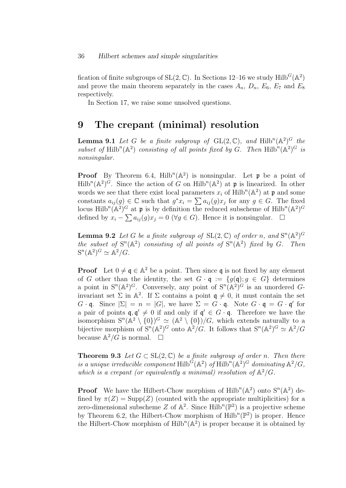fication of finite subgroups of  $SL(2, \mathbb{C})$ . In Sections 12–16 we study Hilb<sup>G</sup>( $\mathbb{A}^2$ ) and prove the main theorem separately in the cases  $A_n$ ,  $D_n$ ,  $E_6$ ,  $E_7$  and  $E_8$ respectively.

In Section 17, we raise some unsolved questions.

## 9 The crepant (minimal) resolution

**Lemma 9.1** Let G be a finite subgroup of  $GL(2, \mathbb{C})$ , and  $Hilb^{n}(\mathbb{A}^{2})^{G}$  the subset of Hilb<sup>n</sup>( $\mathbb{A}^2$ ) consisting of all points fixed by G. Then Hilb<sup>n</sup>( $\mathbb{A}^2$ )<sup>G</sup> is nonsingular.

**Proof** By Theorem 6.4,  $Hilb^{n}(\mathbb{A}^{2})$  is nonsingular. Let **p** be a point of  $Hilb^{n}(\mathbb{A}^{2})^{\tilde{G}}$ . Since the action of G on  $Hilb^{n}(\mathbb{A}^{2})$  at p is linearized. In other words we see that there exist local parameters  $x_i$  of  $Hilb^n(\mathbb{A}^2)$  at p and some constants  $a_{ij}(g) \in \mathbb{C}$  such that  $g^*x_i = \sum a_{ij}(g)x_j$  for any  $g \in G$ . The fixed locus Hilb<sup>n</sup>( $\mathbb{A}^2$ )<sup>*G*</sup> at **p** is by definition the reduced subscheme of Hilb<sup>n</sup>( $\mathbb{A}^2$ )<sup>*G*</sup> defined by  $x_i - \sum a_{ij}(g)x_j = 0 \ (\forall g \in G)$ . Hence it is nonsingular.  $\square$ 

**Lemma 9.2** Let G be a finite subgroup of  $SL(2, \mathbb{C})$  of order n, and  $S^{n}(\mathbb{A}^{2})^{G}$ the subset of  $S^n(A^2)$  consisting of all points of  $S^n(A^2)$  fixed by G. Then  $S^n(\mathbb{A}^2)^G \simeq \mathbb{A}^2/G.$ 

**Proof** Let  $0 \neq \mathfrak{q} \in \mathbb{A}^2$  be a point. Then since  $\mathfrak{q}$  is not fixed by any element of G other than the identity, the set  $G \cdot \mathfrak{q} := \{g(\mathfrak{q}); g \in G\}$  determines a point in  $S^n(\mathbb{A}^2)^G$ . Conversely, any point of  $S^n(\mathbb{A}^2)^G$  is an unordered Ginvariant set  $\Sigma$  in  $\mathbb{A}^2$ . If  $\Sigma$  contains a point  $\mathfrak{q} \neq 0$ , it must contain the set  $G \cdot \mathfrak{q}$ . Since  $|\Sigma| = n = |G|$ , we have  $\Sigma = G \cdot \mathfrak{q}$ . Note  $G \cdot \mathfrak{q} = G \cdot \mathfrak{q}'$  for a pair of points  $\mathfrak{q}, \mathfrak{q}' \neq 0$  if and only if  $\mathfrak{q}' \in G \cdot \mathfrak{q}$ . Therefore we have the isomorphism  $S^{n}(\mathbb{A}^2 \setminus \{0\})$ <sup>G</sup>  $\simeq (\mathbb{A}^2 \setminus \{0\})/G$ , which extends naturally to a bijective morphism of  $S^n(A^2)^G$  onto  $A^2/G$ . It follows that  $S^n(A^2)^G \simeq A^2/G$ because  $\mathbb{A}^2/G$  is normal.  $\square$ 

**Theorem 9.3** Let  $G \subset SL(2, \mathbb{C})$  be a finite subgroup of order n. Then there is a unique irreducible component  $\text{Hilb}^{\tilde{G}}(\mathbb{A}^2)$  of  $\text{Hilb}^n(\mathbb{A}^2)^G$  dominating  $\mathbb{A}^2/G$ , which is a crepant (or equivalently a minimal) resolution of  $\mathbb{A}^2/G$ .

**Proof** We have the Hilbert-Chow morphism of  $Hilb^{n}(\mathbb{A}^{2})$  onto  $S^{n}(\mathbb{A}^{2})$  defined by  $\pi(Z) = \text{Supp}(Z)$  (counted with the appropriate multiplicities) for a zero-dimensional subscheme Z of  $\mathbb{A}^2$ . Since Hilb<sup>n</sup>( $\mathbb{P}^2$ ) is a projective scheme by Theorem 6.2, the Hilbert-Chow morphism of  $\text{Hilb}^n(\mathbb{P}^2)$  is proper. Hence the Hilbert-Chow morphism of  $\text{Hilb}^n(\mathbb{A}^2)$  is proper because it is obtained by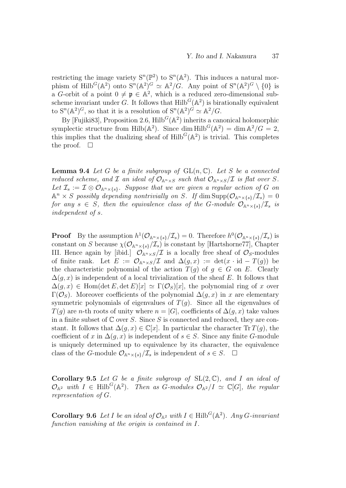restricting the image variety  $S^n(\mathbb{P}^2)$  to  $S^n(\mathbb{A}^2)$ . This induces a natural morphism of Hilb<sup>G</sup>( $\mathbb{A}^2$ ) onto  $S^n(\mathbb{A}^2)^G \simeq \mathbb{A}^2/G$ . Any point of  $S^n(\mathbb{A}^2)^G \setminus \{0\}$  is a G-orbit of a point  $0 \neq \mathfrak{p} \in \mathbb{A}^2$ , which is a reduced zero-dimensional subscheme invariant under G. It follows that  $\text{Hilb}^G(\mathbb{A}^2)$  is birationally equivalent to  $S^{n}(\mathbb{A}^{2})^{G}$ , so that it is a resolution of  $S^{n}(\mathbb{A}^{2})^{G} \simeq \mathbb{A}^{2}/G$ .

By [Fujiki83], Proposition 2.6,  $\text{Hilb}^G(\mathbb{A}^2)$  inherits a canonical holomorphic symplectic structure from Hilb( $\mathbb{A}^2$ ). Since dim Hilb<sup>G</sup>( $\mathbb{A}^2$ ) = dim  $\mathbb{A}^2/G = 2$ , this implies that the dualizing sheaf of  $Hilb<sup>G</sup>(A<sup>2</sup>)$  is trivial. This completes the proof.  $\Box$ 

**Lemma 9.4** Let G be a finite subgroup of  $GL(n, \mathbb{C})$ . Let S be a connected reduced scheme, and I an ideal of  $\mathcal{O}_{\mathbb{A}^n \times S}$  such that  $\mathcal{O}_{\mathbb{A}^n \times S}/\mathcal{I}$  is flat over S. Let  $\mathcal{I}_s := \mathcal{I} \otimes \mathcal{O}_{\mathbb{A}^n \times \{s\}}$ . Suppose that we are given a regular action of G on  $\mathbb{A}^n \times S$  possibly depending nontrivially on S. If  $\dim \text{Supp}(\mathcal{O}_{\mathbb{A}^n \times \{s\}}/\mathcal{I}_s) = 0$ for any  $s \in S$ , then the equivalence class of the G-module  $\mathcal{O}_{\mathbb{A}^n\times \{s\}}/\mathcal{I}_s$  is independent of s.

**Proof** By the assumption  $h^1(\mathcal{O}_{\mathbb{A}^n\times\{s\}}/\mathcal{I}_s)=0$ . Therefore  $h^0(\mathcal{O}_{\mathbb{A}^n\times\{s\}}/\mathcal{I}_s)$  is constant on S because  $\chi(\mathcal{O}_{\mathbb{A}^n\times f_s}/\mathcal{I}_s)$  is constant by [Hartshorne77], Chapter III. Hence again by [ibid.]  $\mathcal{O}_{\mathbb{A}^n\times S}/\mathcal{I}$  is a locally free sheaf of  $\mathcal{O}_S$ -modules of finite rank. Let  $E := \mathcal{O}_{\mathbb{A}^n \times S}/\mathcal{I}$  and  $\Delta(g, x) := \det(x \cdot id - T(g))$  be the characteristic polynomial of the action  $T(q)$  of  $q \in G$  on E. Clearly  $\Delta(q, x)$  is independent of a local trivialization of the sheaf E. It follows that  $\Delta(g, x) \in \text{Hom}(\det E, \det E)[x] \simeq \Gamma(\mathcal{O}_S)[x]$ , the polynomial ring of x over Γ( $\mathcal{O}_S$ ). Moreover coefficients of the polynomial  $\Delta(q, x)$  in x are elementary symmetric polynomials of eigenvalues of  $T(g)$ . Since all the eigenvalues of  $T(g)$  are *n*-th roots of unity where  $n = |G|$ , coefficients of  $\Delta(g, x)$  take values in a finite subset of  $\mathbb C$  over S. Since S is connected and reduced, they are constant. It follows that  $\Delta(q, x) \in \mathbb{C}[x]$ . In particular the character Tr  $T(q)$ , the coefficient of x in  $\Delta(g, x)$  is independent of  $s \in S$ . Since any finite G-module is uniquely determined up to equivalence by its character, the equivalence class of the G-module  $\mathcal{O}_{\mathbb{A}^n\times \{s\}}/\mathcal{I}_s$  is independent of  $s \in S$ .  $\Box$ 

**Corollary 9.5** Let G be a finite subgroup of  $SL(2, \mathbb{C})$ , and I an ideal of  $\mathcal{O}_{\mathbb{A}^2}$  with  $I \in \text{Hilb}^G(\mathbb{A}^2)$ . Then as G-modules  $\mathcal{O}_{\mathbb{A}^2}/I \simeq \mathbb{C}[G]$ , the regular representation of G.

**Corollary 9.6** Let I be an ideal of  $\mathcal{O}_{\mathbb{A}^2}$  with  $I \in \text{Hilb}^G(\mathbb{A}^2)$ . Any G-invariant function vanishing at the origin is contained in I.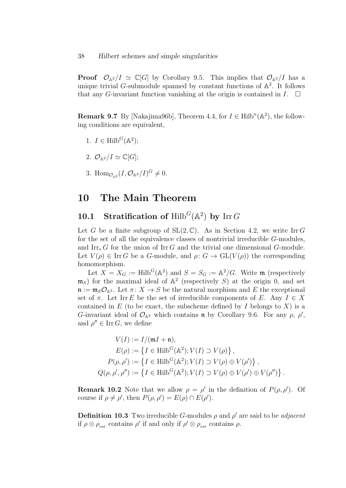**Proof**  $\mathcal{O}_{\mathbb{A}^2}/I \simeq \mathbb{C}[G]$  by Corollary 9.5. This implies that  $\mathcal{O}_{\mathbb{A}^2}/I$  has a unique trivial G-submodule spanned by constant functions of  $\mathbb{A}^2$ . It follows that any G-invariant function vanishing at the origin is contained in  $I$ .  $\Box$ 

**Remark 9.7** By [Nakajima96b], Theorem 4.4, for  $I \in \text{Hilb}^n(\mathbb{A}^2)$ , the following conditions are equivalent,

- 1.  $I \in \text{Hilb}^G(\mathbb{A}^2);$
- 2.  $\mathcal{O}_{\mathbb{A}^2}/I \simeq \mathbb{C}[G];$
- 3. Hom $_{\mathcal{O}_{\mathbb{A}^2}}(I,\mathcal{O}_{\mathbb{A}^2}/I)^G \neq 0$ .

# 10 The Main Theorem

# 10.1 Stratification of  $Hilb<sup>G</sup>(A<sup>2</sup>)$  by Irr G

Let G be a finite subgroup of  $SL(2, \mathbb{C})$ . As in Section 4.2, we write Irr G for the set of all the equivalence classes of nontrivial irreducible G-modules, and Irr<sub>∗</sub> G for the union of Irr G and the trivial one dimensional G-module. Let  $V(\rho) \in \text{Irr } G$  be a G-module, and  $\rho: G \to \text{GL}(V(\rho))$  the corresponding homomorphism.

Let  $X = X_G := \text{Hilb}^G(\mathbb{A}^2)$  and  $S = S_G := \mathbb{A}^2/G$ . Write m (respectively  $\mathfrak{m}_S$ ) for the maximal ideal of  $\mathbb{A}^2$  (respectively S) at the origin 0, and set  $\mathfrak{n} := \mathfrak{m}_S \mathcal{O}_{\mathbb{A}^2}$ . Let  $\pi \colon X \to S$  be the natural morphism and E the exceptional set of  $\pi$ . Let Irr E be the set of irreducible components of E. Any  $I \in X$ contained in  $E$  (to be exact, the subscheme defined by I belongs to  $X$ ) is a G-invariant ideal of  $\mathcal{O}_{\mathbb{A}^2}$  which contains **n** by Corollary 9.6. For any  $\rho$ ,  $\rho'$ , and  $\rho'' \in \text{Irr } G$ , we define

$$
V(I) := I/(\mathfrak{m}I + \mathfrak{n}),
$$
  
\n
$$
E(\rho) := \left\{ I \in \text{Hilb}^G(\mathbb{A}^2); V(I) \supset V(\rho) \right\},
$$
  
\n
$$
P(\rho, \rho') := \left\{ I \in \text{Hilb}^G(\mathbb{A}^2); V(I) \supset V(\rho) \oplus V(\rho') \right\},
$$
  
\n
$$
Q(\rho, \rho', \rho'') := \left\{ I \in \text{Hilb}^G(\mathbb{A}^2); V(I) \supset V(\rho) \oplus V(\rho') \oplus V(\rho'') \right\}.
$$

**Remark 10.2** Note that we allow  $\rho = \rho'$  in the definition of  $P(\rho, \rho')$ . Of course if  $\rho \neq \rho'$ , then  $P(\rho, \rho') = E(\rho) \cap E(\rho')$ .

**Definition 10.3** Two irreducible G-modules  $\rho$  and  $\rho'$  are said to be *adjacent* if  $\rho \otimes \rho_{\text{nat}}$  contains  $\rho'$  if and only if  $\rho' \otimes \rho_{\text{nat}}$  contains  $\rho$ .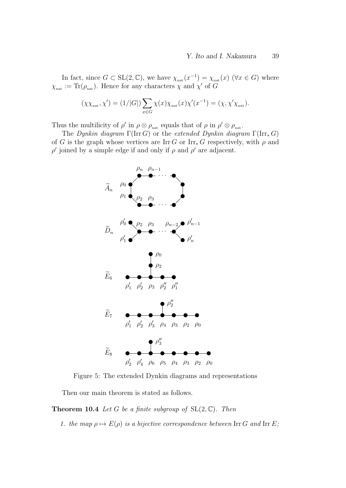In fact, since  $G \subset SL(2, \mathbb{C})$ , we have  $\chi_{\text{nat}}(x^{-1}) = \chi_{\text{nat}}(x)$  ( $\forall x \in G$ ) where  $\chi_{\text{nat}} := \text{Tr}(\rho_{\text{nat}})$ . Hence for any characters  $\chi$  and  $\chi'$  of G

$$
(\chi \chi_{\text{nat}}, \chi') = (1/|G|) \sum_{x \in G} \chi(x) \chi_{\text{nat}}(x) \chi'(x^{-1}) = (\chi, \chi' \chi_{\text{nat}}).
$$

Thus the multilicity of  $\rho'$  in  $\rho \otimes \rho_{\text{nat}}$  equals that of  $\rho$  in  $\rho' \otimes \rho_{\text{nat}}$ .

The Dynkin diagram  $\Gamma(\text{Irr } G)$  or the extended Dynkin diagram  $\Gamma(\text{Irr } G)$ of G is the graph whose vertices are Irr G or Irr<sub>\*</sub> G respectively, with  $\rho$  and  $\rho'$  joined by a simple edge if and only if  $\rho$  and  $\rho'$  are adjacent.



Figure 5: The extended Dynkin diagrams and representations

Then our main theorem is stated as follows.

**Theorem 10.4** Let G be a finite subgroup of  $SL(2, \mathbb{C})$ . Then

1. the map  $\rho \mapsto E(\rho)$  is a bijective correspondence between Irr G and Irr E;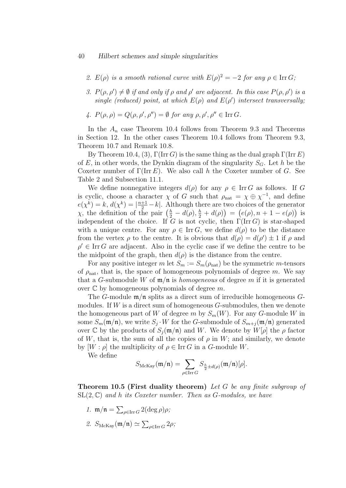#### 40 Hilbert schemes and simple singularities

- 2.  $E(\rho)$  is a smooth rational curve with  $E(\rho)^2 = -2$  for any  $\rho \in \text{Irr } G$ ;
- 3.  $P(\rho, \rho') \neq \emptyset$  if and only if  $\rho$  and  $\rho'$  are adjacent. In this case  $P(\rho, \rho')$  is a single (reduced) point, at which  $E(\rho)$  and  $E(\rho')$  intersect transversally;
- 4.  $P(\rho, \rho) = Q(\rho, \rho', \rho'') = \emptyset$  for any  $\rho, \rho', \rho'' \in \text{Irr } G$ .

In the  $A_n$  case Theorem 10.4 follows from Theorem 9.3 and Theorems in Section 12. In the other cases Theorem 10.4 follows from Theorem 9.3, Theorem 10.7 and Remark 10.8.

By Theorem 10.4, (3),  $\Gamma(\text{Irr } G)$  is the same thing as the dual graph  $\Gamma(\text{Irr } E)$ of E, in other words, the Dynkin diagram of the singularity  $S_G$ . Let h be the Coxeter number of  $\Gamma(\text{Irr } E)$ . We also call h the Coxeter number of G. See Table 2 and Subsection 11.1.

We define nonnegative integers  $d(\rho)$  for any  $\rho \in \text{Irr } G$  as follows. If G is cyclic, choose a character  $\chi$  of G such that  $\rho_{nat} = \chi \oplus \chi^{-1}$ , and define  $e(\chi^k) = k, d(\chi^k) = |\frac{n+1}{2} - k|$ . Although there are two choices of the generator  $\chi$ , the definition of the pair  $\left(\frac{h}{2} - d(\rho), \frac{h}{2} + d(\rho)\right) = \left(e(\rho), n + 1 - e(\rho)\right)$  is independent of the choice. If G is not cyclic, then  $\Gamma(\text{Irr }G)$  is star-shaped with a unique centre. For any  $\rho \in \text{Irr } G$ , we define  $d(\rho)$  to be the distance from the vertex  $\rho$  to the centre. It is obvious that  $d(\rho) = d(\rho') \pm 1$  if  $\rho$  and  $\rho' \in \text{Irr } G$  are adjacent. Also in the cyclic case if we define the centre to be the midpoint of the graph, then  $d(\rho)$  is the distance from the centre.

For any positive integer m let  $S_m := S_m(\rho_{nat})$  be the symmetric m-tensors of  $\rho_{nat}$ , that is, the space of homogeneous polynomials of degree m. We say that a G-submodule W of  $\mathfrak{m}/\mathfrak{n}$  is *homogeneous* of degree m if it is generated over  $\mathbb C$  by homogeneous polynomials of degree m.

The G-module  $\mathfrak{m}/\mathfrak{n}$  splits as a direct sum of irreducible homogeneous Gmodules. If  $W$  is a direct sum of homogeneous  $G$ -submodules, then we denote the homogeneous part of W of degree m by  $S_m(W)$ . For any G-module W in some  $S_m(\mathfrak{m}/\mathfrak{n})$ , we write  $S_j \cdot W$  for the G-submodule of  $S_{m+j}(\mathfrak{m}/\mathfrak{n})$  generated over C by the products of  $S_i(\mathfrak{m}/\mathfrak{n})$  and W. We denote by  $W[\rho]$  the  $\rho$  factor of W, that is, the sum of all the copies of  $\rho$  in W; and similarly, we denote by  $[W : \rho]$  the multiplicity of  $\rho \in \text{Irr } G$  in a G-module W.

We define

$$
S_{\text{McKay}}(\mathfrak{m}/\mathfrak{n}) = \sum_{\rho \in \text{Irr } G} S_{\frac{\hbar}{2} \pm d(\rho)}(\mathfrak{m}/\mathfrak{n})[\rho].
$$

Theorem 10.5 (First duality theorem) Let G be any finite subgroup of  $SL(2, \mathbb{C})$  and h its Coxeter number. Then as G-modules, we have

- 1.  $\mathfrak{m}/\mathfrak{n} = \sum_{\rho \in \text{Irr } G} 2(\deg \rho)\rho;$
- 2.  $S_{\text{McKay}}(\mathfrak{m}/\mathfrak{n}) \simeq \sum_{\rho \in \text{Irr } G} 2\rho;$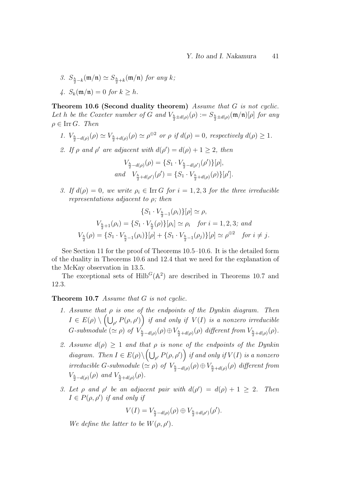3.  $S_{\frac{h}{2}-k}(\mathfrak{m}/\mathfrak{n}) \simeq S_{\frac{h}{2}+k}(\mathfrak{m}/\mathfrak{n})$  for any k; 4.  $S_k(\mathfrak{m}/\mathfrak{n}) = 0$  for  $k > h$ .

Theorem 10.6 (Second duality theorem) Assume that G is not cyclic. Let h be the Coxeter number of G and  $V_{\frac{h}{2} \pm d(\rho)}(\rho) := S_{\frac{h}{2} \pm d(\rho)}(\mathfrak{m}/\mathfrak{n})[\rho]$  for any  $\rho \in \text{Irr } G$ . Then

1. 
$$
V_{\frac{h}{2}-d(\rho)}(\rho) \simeq V_{\frac{h}{2}+d(\rho)}(\rho) \simeq \rho^{\oplus 2}
$$
 or  $\rho$  if  $d(\rho) = 0$ , respectively  $d(\rho) \ge 1$ .

2. If  $\rho$  and  $\rho'$  are adjacent with  $d(\rho') = d(\rho) + 1 \geq 2$ , then

$$
V_{\frac{h}{2}-d(\rho)}(\rho) = \{S_1 \cdot V_{\frac{h}{2}-d(\rho')}(\rho')\}[\rho],
$$
  
and 
$$
V_{\frac{h}{2}+d(\rho')}(\rho') = \{S_1 \cdot V_{\frac{h}{2}+d(\rho)}(\rho)\}[\rho'].
$$

3. If  $d(\rho) = 0$ , we write  $\rho_i \in \text{Irr } G$  for  $i = 1, 2, 3$  for the three irreducible representations adjacent to  $\rho$ ; then

$$
\{S_1 \cdot V_{\frac{h}{2}-1}(\rho_i)\}[\rho] \simeq \rho,
$$
  

$$
V_{\frac{h}{2}+1}(\rho_i) = \{S_1 \cdot V_{\frac{h}{2}}(\rho)\}[\rho_i] \simeq \rho_i \quad \text{for } i = 1, 2, 3; \text{ and}
$$
  

$$
V_{\frac{h}{2}}(\rho) = \{S_1 \cdot V_{\frac{h}{2}-1}(\rho_i)\}[\rho] + \{S_1 \cdot V_{\frac{h}{2}-1}(\rho_j)\}[\rho] \simeq \rho^{\oplus 2} \quad \text{for } i \neq j.
$$

See Section 11 for the proof of Theorems 10.5–10.6. It is the detailed form of the duality in Theorems 10.6 and 12.4 that we need for the explanation of the McKay observation in 13.5.

The exceptional sets of  $Hilb<sup>G</sup>(A<sup>2</sup>)$  are described in Theorems 10.7 and 12.3.

#### Theorem 10.7 Assume that G is not cyclic.

- 1. Assume that  $\rho$  is one of the endpoints of the Dynkin diagram. Then  $I \in E(\rho) \setminus \left( \bigcup_{\rho'} P(\rho, \rho') \right)$  if and only if  $V(I)$  is a nonzero irreducible G-submodule  $(\simeq \rho)$  of  $V_{\frac{h}{2}-d(\rho)}(\rho) \oplus V_{\frac{h}{2}+d(\rho)}(\rho)$  different from  $V_{\frac{h}{2}+d(\rho)}(\rho)$ .
- 2. Assume  $d(\rho) \geq 1$  and that  $\rho$  is none of the endpoints of the Dynkin diagram. Then  $I \in E(\rho) \setminus \left( \bigcup_{\rho'} P(\rho, \rho') \right)$  if and only if  $V(I)$  is a nonzero irreducible G-submodule  $(\simeq \rho)$  of  $V_{\frac{h}{2}-d(\rho)}(\rho) \oplus V_{\frac{h}{2}+d(\rho)}(\rho)$  different from  $V_{\frac{h}{2}-d(\rho)}(\rho)$  and  $V_{\frac{h}{2}+d(\rho)}(\rho)$ .
- 3. Let  $\rho$  and  $\rho'$  be an adjacent pair with  $d(\rho') = d(\rho) + 1 \geq 2$ . Then  $I \in P(\rho, \rho')$  if and only if

$$
V(I) = V_{\frac{h}{2} - d(\rho)}(\rho) \oplus V_{\frac{h}{2} + d(\rho')}(\rho').
$$

We define the latter to be  $W(\rho, \rho')$ .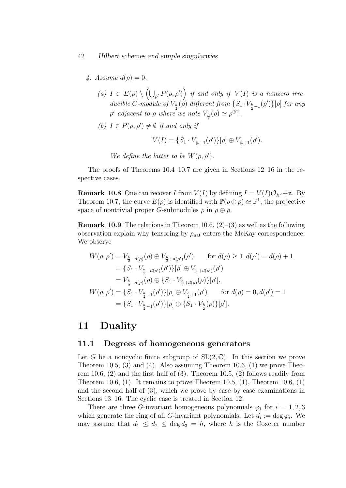#### 42 Hilbert schemes and simple singularities

- 4. Assume  $d(\rho) = 0$ .
	- (a)  $I \in E(\rho) \setminus \left( \bigcup_{\rho'} P(\rho, \rho') \right)$  if and only if  $V(I)$  is a nonzero irreducible G-module of  $V_{\frac{h}{2}}(\rho)$  different from  $\{S_1 \cdot V_{\frac{h}{2}-1}(\rho')\}[\rho]$  for any  $\rho'$  adjacent to  $\rho$  where we note  $V_{\frac{h}{2}}(\rho) \simeq \rho^{\oplus 2}$ .
	- (b)  $I \in P(\rho, \rho') \neq \emptyset$  if and only if

$$
V(I) = \{S_1 \cdot V_{\frac{h}{2}-1}(\rho')\}[\rho] \oplus V_{\frac{h}{2}+1}(\rho').
$$

We define the latter to be  $W(\rho, \rho')$ .

The proofs of Theorems 10.4–10.7 are given in Sections 12–16 in the respective cases.

**Remark 10.8** One can recover I from  $V(I)$  by defining  $I = V(I)\mathcal{O}_{A^2} + \mathfrak{n}$ . By Theorem 10.7, the curve  $E(\rho)$  is identified with  $\mathbb{P}(\rho \oplus \rho) \simeq \mathbb{P}^1$ , the projective space of nontrivial proper G-submodules  $\rho$  in  $\rho \oplus \rho$ .

**Remark 10.9** The relations in Theorem 10.6,  $(2)-(3)$  as well as the following observation explain why tensoring by  $\rho_{nat}$  enters the McKay correspondence. We observe

$$
W(\rho, \rho') = V_{\frac{h}{2} - d(\rho)}(\rho) \oplus V_{\frac{h}{2} + d(\rho')}(\rho') \quad \text{for } d(\rho) \ge 1, d(\rho') = d(\rho) + 1
$$
  
\n
$$
= \{S_1 \cdot V_{\frac{h}{2} - d(\rho')}(\rho')\}[\rho] \oplus V_{\frac{h}{2} + d(\rho')}(\rho')
$$
  
\n
$$
= V_{\frac{h}{2} - d(\rho)}(\rho) \oplus \{S_1 \cdot V_{\frac{h}{2} + d(\rho)}(\rho)\}[\rho'],
$$
  
\n
$$
W(\rho, \rho') = \{S_1 \cdot V_{\frac{h}{2} - 1}(\rho')\}[\rho] \oplus V_{\frac{h}{2} + 1}(\rho') \quad \text{for } d(\rho) = 0, d(\rho') = 1
$$
  
\n
$$
= \{S_1 \cdot V_{\frac{h}{2} - 1}(\rho')\}[\rho] \oplus \{S_1 \cdot V_{\frac{h}{2}}(\rho)\}[\rho'].
$$

## 11 Duality

### 11.1 Degrees of homogeneous generators

Let G be a noncyclic finite subgroup of  $SL(2,\mathbb{C})$ . In this section we prove Theorem 10.5, (3) and (4). Also assuming Theorem 10.6, (1) we prove Theorem 10.6, (2) and the first half of (3). Theorem 10.5, (2) follows readily from Theorem 10.6,  $(1)$ . It remains to prove Theorem 10.5,  $(1)$ , Theorem 10.6,  $(1)$ and the second half of  $(3)$ , which we prove by case by case examinations in Sections 13–16. The cyclic case is treated in Section 12.

There are three G-invariant homogeneous polynomials  $\varphi_i$  for  $i = 1, 2, 3$ which generate the ring of all G-invariant polynomials. Let  $d_i := \deg \varphi_i$ . We may assume that  $d_1 \leq d_2 \leq \deg d_3 = h$ , where h is the Coxeter number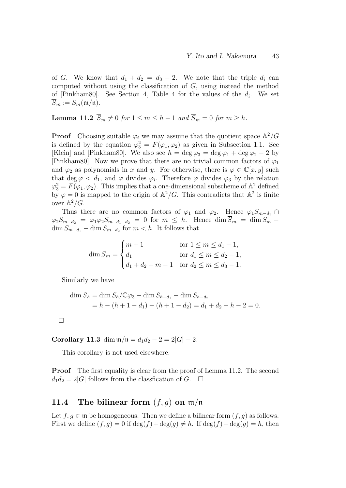of G. We know that  $d_1 + d_2 = d_3 + 2$ . We note that the triple  $d_i$  can computed without using the classification of  $G$ , using instead the method of [Pinkham80]. See Section 4, Table 4 for the values of the  $d_i$ . We set  $\overline{S}_m := S_m(\mathfrak{m}/\mathfrak{n}).$ 

**Lemma 11.2**  $\overline{S}_m \neq 0$  for  $1 \leq m \leq h-1$  and  $\overline{S}_m = 0$  for  $m \geq h$ .

**Proof** Choosing suitable  $\varphi_i$  we may assume that the quotient space  $\mathbb{A}^2/G$ is defined by the equation  $\varphi_3^2 = F(\varphi_1, \varphi_2)$  as given in Subsection 1.1. See [Klein] and [Pinkham80]. We also see  $h = \deg \varphi_3 = \deg \varphi_1 + \deg \varphi_2 - 2$  by [Pinkham80]. Now we prove that there are no trivial common factors of  $\varphi_1$ and  $\varphi_2$  as polynomials in x and y. For otherwise, there is  $\varphi \in \mathbb{C}[x, y]$  such that  $\deg \varphi < d_1$ , and  $\varphi$  divides  $\varphi_i$ . Therefore  $\varphi$  divides  $\varphi_3$  by the relation  $\varphi_3^2 = F(\varphi_1, \varphi_2)$ . This implies that a one-dimensional subscheme of  $\mathbb{A}^2$  defined by  $\varphi = 0$  is mapped to the origin of  $\mathbb{A}^2/G$ . This contradicts that  $\mathbb{A}^2$  is finite over  $\mathbb{A}^2/G$ .

Thus there are no common factors of  $\varphi_1$  and  $\varphi_2$ . Hence  $\varphi_1 S_{m-d_1} \cap$  $\varphi_2S_{m-d_2} = \varphi_1\varphi_2S_{m-d_1-d_2} = 0$  for  $m \leq h$ . Hence  $\dim \overline{S}_m = \dim S_m$  $\dim S_{m-d_1} - \dim S_{m-d_2}$  for  $m < h$ . It follows that

$$
\dim \overline{S}_m = \begin{cases} m+1 & \text{for } 1 \le m \le d_1 - 1, \\ d_1 & \text{for } d_1 \le m \le d_2 - 1, \\ d_1 + d_2 - m - 1 & \text{for } d_2 \le m \le d_3 - 1. \end{cases}
$$

Similarly we have

$$
\dim \overline{S}_h = \dim S_h / \mathbb{C}\varphi_3 - \dim S_{h-d_1} - \dim S_{h-d_2}
$$
  
=  $h - (h + 1 - d_1) - (h + 1 - d_2) = d_1 + d_2 - h - 2 = 0.$ 

 $\Box$ 

Corollary 11.3 dim  $m/n = d_1d_2 - 2 = 2|G| - 2$ .

This corollary is not used elsewhere.

**Proof** The first equality is clear from the proof of Lemma 11.2. The second  $d_1d_2 = 2|G|$  follows from the classfication of G.  $\Box$ 

# 11.4 The bilinear form  $(f, g)$  on  $m/n$

Let  $f, g \in \mathfrak{m}$  be homogeneous. Then we define a bilinear form  $(f, g)$  as follows. First we define  $(f, g) = 0$  if  $\deg(f) + \deg(g) \neq h$ . If  $\deg(f) + \deg(g) = h$ , then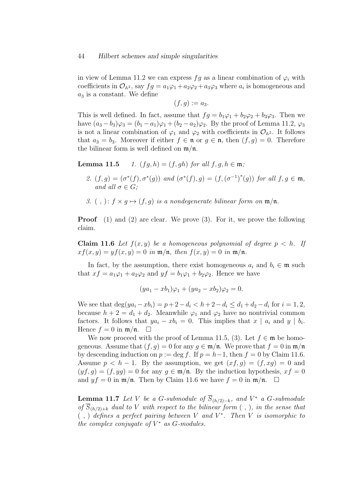in view of Lemma 11.2 we can express  $fg$  as a linear combination of  $\varphi_i$  with coefficients in  $\mathcal{O}_{A^2}$ , say  $fg = a_1\varphi_1 + a_2\varphi_2 + a_3\varphi_3$  where  $a_i$  is homogeneous and  $a_3$  is a constant. We define

$$
(f,g):=a_3.
$$

This is well defined. In fact, assume that  $fg = b_1\varphi_1 + b_2\varphi_2 + b_3\varphi_3$ . Then we have  $(a_3 - b_3)\varphi_3 = (b_1 - a_1)\varphi_1 + (b_2 - a_2)\varphi_2$ . By the proof of Lemma 11.2,  $\varphi_3$ is not a linear combination of  $\varphi_1$  and  $\varphi_2$  with coefficients in  $\mathcal{O}_{\mathbb{A}^2}$ . It follows that  $a_3 = b_3$ . Moreover if either  $f \in \mathfrak{n}$  or  $g \in \mathfrak{n}$ , then  $(f, g) = 0$ . Therefore the bilinear form is well defined on  $m/n$ .

**Lemma 11.5** 1.  $(fq, h) = (f, qh)$  for all  $f, q, h \in \mathfrak{m}$ ;

- 2.  $(f,g) = (\sigma^*(f), \sigma^*(g))$  and  $(\sigma^*(f), g) = (f, (\sigma^{-1})^*(g))$  for all  $f, g \in \mathfrak{m}$ , and all  $\sigma \in G$ :
- 3. (, ):  $f \times q \mapsto (f, q)$  is a nondegenerate bilinear form on  $\mathfrak{m}/\mathfrak{n}$ .

Proof (1) and (2) are clear. We prove (3). For it, we prove the following claim.

**Claim 11.6** Let  $f(x, y)$  be a homogeneous polynomial of degree  $p < h$ . If  $xf(x, y) = yf(x, y) = 0$  in  $\mathfrak{m}/\mathfrak{n}$ , then  $f(x, y) = 0$  in  $\mathfrak{m}/\mathfrak{n}$ .

In fact, by the assumption, there exist homogeneous  $a_i$  and  $b_i \in \mathfrak{m}$  such that  $xf = a_1\varphi_1 + a_2\varphi_2$  and  $yf = b_1\varphi_1 + b_2\varphi_2$ . Hence we have

$$
(ya_1 - xb_1)\varphi_1 + (ya_2 - xb_2)\varphi_2 = 0.
$$

We see that  $deg(ya_i - xb_i) = p + 2 - d_i < h + 2 - d_i \le d_1 + d_2 - d_i$  for  $i = 1, 2,$ because  $h + 2 = d_1 + d_2$ . Meanwhile  $\varphi_1$  and  $\varphi_2$  have no nontrivial common factors. It follows that  $ya_i - xb_i = 0$ . This implies that  $x \mid a_i$  and  $y \mid b_i$ . Hence  $f = 0$  in  $\mathfrak{m}/\mathfrak{n}$ .  $\Box$ 

We now proceed with the proof of Lemma 11.5, (3). Let  $f \in \mathfrak{m}$  be homogeneous. Assume that  $(f, q) = 0$  for any  $q \in \mathfrak{m}/\mathfrak{n}$ . We prove that  $f = 0$  in  $\mathfrak{m}/\mathfrak{n}$ by descending induction on  $p := \deg f$ . If  $p = h-1$ , then  $f = 0$  by Claim 11.6. Assume  $p < h - 1$ . By the assumption, we get  $(xf, g) = (f, xg) = 0$  and  $(yf, g) = (f, yg) = 0$  for any  $g \in \mathfrak{m}/\mathfrak{n}$ . By the induction hypothesis,  $xf = 0$ and  $y f = 0$  in  $\mathfrak{m}/\mathfrak{n}$ . Then by Claim 11.6 we have  $f = 0$  in  $\mathfrak{m}/\mathfrak{n}$ .  $\Box$ 

**Lemma 11.7** Let V be a G-submodule of  $\overline{S}_{(h/2)-k}$ , and V<sup>\*</sup> a G-submodule of  $\overline{S}_{(h/2)+k}$  dual to V with respect to the bilinear form (,), in the sense that  $( , )$  defines a perfect pairing between V and  $V^*$ . Then V is isomorphic to the complex conjugate of  $V^*$  as  $G$ -modules.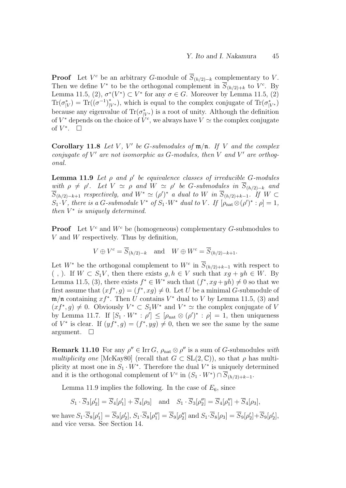**Proof** Let  $V^c$  be an arbitrary G-module of  $\overline{S}_{(h/2)-k}$  complementary to V. Then we define  $V^*$  to be the orthogonal complement in  $\overline{S}_{(h/2)+k}$  to  $V^c$ . By Lemma 11.5, (2),  $\sigma^*(V^*) \subset V^*$  for any  $\sigma \in G$ . Moreover by Lemma 11.5, (2)  $\text{Tr}(\sigma_{|V}^*) = \text{Tr}((\sigma^{-1})_{|V^*}^*)$ , which is equal to the complex conjugate of  $\text{Tr}(\sigma_{|V^*}^*)$ because any eigenvalue of  $\text{Tr}(\sigma_{|V^*}^*)$  is a root of unity. Although the definition of  $V^*$  depends on the choice of  $\dot{V}^c$ , we always have  $V \simeq$  the complex conjugate of  $V^*$ .  $\square$ 

Corollary 11.8 Let V, V' be G-submodules of  $m/n$ . If V and the complex conjugate of  $V'$  are not isomorphic as G-modules, then  $V$  and  $V'$  are orthogonal.

**Lemma 11.9** Let  $\rho$  and  $\rho'$  be equivalence classes of irreducible G-modules with  $\rho \neq \rho'$ . Let  $V \simeq \rho$  and  $W \simeq \rho'$  be G-submodules in  $\overline{S}_{(h/2)-k}$  and  $\overline{S}_{(h/2)-k+1}$  respectively, and  $W^* \simeq (\rho')^*$  a dual to W in  $\overline{S}_{(h/2)+k-1}$ . If  $W \subset$  $S_1 \cdot V$ , there is a G-submodule  $V^*$  of  $S_1 \cdot W^*$  dual to V. If  $[\rho_{nat} \otimes (\rho')^* : \rho] = 1$ , then  $V^*$  is uniquely determined.

**Proof** Let  $V^c$  and  $W^c$  be (homogeneous) complementary G-submodules to  $V$  and  $W$  respectively. Thus by definition,

$$
V \oplus V^c = \overline{S}_{(h/2)-k} \quad \text{and} \quad W \oplus W^c = \overline{S}_{(h/2)-k+1}.
$$

Let  $W^*$  be the orthogonal complement to  $W^c$  in  $\overline{S}_{(h/2)+k-1}$  with respect to (,). If  $W \subset S_1V$ , then there exists  $g, h \in V$  such that  $xg + yh \in W$ . By Lemma 11.5, (3), there exists  $f^* \in W^*$  such that  $(f^*, xg + yh) \neq 0$  so that we first assume that  $(x f^*, g) = (f^*, x g) \neq 0$ . Let U be a minimal G-submodule of  $\mathfrak{m}/\mathfrak{n}$  containing  $xf^*$ . Then U contains  $V^*$  dual to V by Lemma 11.5, (3) and  $(x f^*, g) \neq 0$ . Obviously  $V^* \subset S_1 W^*$  and  $V^* \simeq$  the complex conjugate of V by Lemma 11.7. If  $[S_1 \cdot W^* : \rho'] \leq [\rho_{nat} \otimes (\rho')^* : \rho] = 1$ , then uniqueness of  $V^*$  is clear. If  $(yf^*, g) = (f^*, yg) \neq 0$ , then we see the same by the same argument.  $\square$ 

**Remark 11.10** For any  $\rho'' \in \text{Irr } G$ ,  $\rho_{\text{nat}} \otimes \rho''$  is a sum of G-submodules with multiplicity one [McKay80] (recall that  $G \subset SL(2,\mathbb{C})$ ), so that  $\rho$  has multiplicity at most one in  $S_1 \cdot W^*$ . Therefore the dual  $V^*$  is uniquely determined and it is the orthogonal complement of  $V^c$  in  $(S_1 \cdot W^*) \cap \overline{S}_{(h/2)+k-1}$ .

Lemma 11.9 implies the following. In the case of  $E_6$ , since

 $S_1 \cdot \overline{S}_3[\rho'_2] = \overline{S}_4[\rho'_1] + \overline{S}_4[\rho_3]$  and  $S_1 \cdot \overline{S}_3[\rho''_2] = \overline{S}_4[\rho''_1] + \overline{S}_4[\rho_3],$ 

we have  $S_1 \cdot \overline{S}_8[\rho'_1] = \overline{S}_9[\rho'_2], S_1 \cdot \overline{S}_8[\rho''_1] = \overline{S}_9[\rho''_2]$  and  $S_1 \cdot \overline{S}_8[\rho_3] = \overline{S}_9[\rho'_2] + \overline{S}_9[\rho'_2]$ , and vice versa. See Section 14.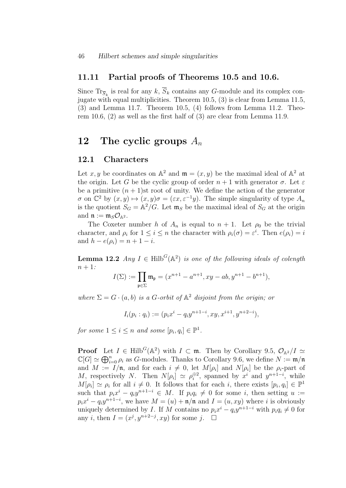### 11.11 Partial proofs of Theorems 10.5 and 10.6.

Since  $\text{Tr}_{\overline{S}_k}$  is real for any k,  $S_k$  contains any G-module and its complex conjugate with equal multiplicities. Theorem 10.5, (3) is clear from Lemma 11.5, (3) and Lemma 11.7. Theorem 10.5, (4) follows from Lemma 11.2. Theorem 10.6, (2) as well as the first half of (3) are clear from Lemma 11.9.

# 12 The cyclic groups  $A_n$

### 12.1 Characters

Let x, y be coordinates on  $\mathbb{A}^2$  and  $\mathfrak{m} = (x, y)$  be the maximal ideal of  $\mathbb{A}^2$  at the origin. Let G be the cyclic group of order  $n+1$  with generator  $\sigma$ . Let  $\varepsilon$ be a primitive  $(n + 1)$ st root of unity. We define the action of the generator  $\sigma$  on  $\mathbb{C}^2$  by  $(x, y) \mapsto (x, y)\sigma = (\varepsilon x, \varepsilon^{-1}y)$ . The simple singularity of type  $A_n$ is the quotient  $S_G = \mathbb{A}^2/G$ . Let  $\mathfrak{m}_S$  be the maximal ideal of  $S_G$  at the origin and  $\mathfrak{n} := \mathfrak{m}_S \mathcal{O}_{\mathbb{A}^2}$ .

The Coxeter number h of  $A_n$  is equal to  $n + 1$ . Let  $\rho_0$  be the trivial character, and  $\rho_i$  for  $1 \leq i \leq n$  the character with  $\rho_i(\sigma) = \varepsilon^i$ . Then  $e(\rho_i) = i$ and  $h - e(\rho_i) = n + 1 - i$ .

**Lemma 12.2** Any  $I \in \text{Hilb}^G(\mathbb{A}^2)$  is one of the following ideals of colength  $n+1$ :

$$
I(\Sigma):=\prod_{\mathfrak{p}\in\Sigma}\mathfrak{m}_{\mathfrak{p}}=(x^{n+1}-a^{n+1},xy-ab,y^{n+1}-b^{n+1}),
$$

where  $\Sigma = G \cdot (a, b)$  is a G-orbit of  $\mathbb{A}^2$  disjoint from the origin; or

$$
I_i(p_i:q_i) := (p_i x^i - q_i y^{n+1-i}, xy, x^{i+1}, y^{n+2-i}),
$$

for some  $1 \leq i \leq n$  and some  $[p_i, q_i] \in \mathbb{P}^1$ .

**Proof** Let  $I \in Hilb^G(\mathbb{A}^2)$  with  $I \subset \mathfrak{m}$ . Then by Corollary 9.5,  $\mathcal{O}_{\mathbb{A}^2}/I \simeq$  $\mathbb{C}[G] \simeq \bigoplus_{i=0}^n \rho_i$  as G-modules. Thanks to Corollary 9.6, we define  $N := \mathfrak{m}/\mathfrak{n}$ and  $M := I/\mathfrak{n}$ , and for each  $i \neq 0$ , let  $M[\rho_i]$  and  $N[\rho_i]$  be the  $\rho_i$ -part of M, respectively N. Then  $N[\rho_i] \simeq \rho_i^{\oplus 2}$  $\hat{y}^{2}$ , spanned by  $x^{i}$  and  $y^{n+1-i}$ , while  $M[\rho_i] \simeq \rho_i$  for all  $i \neq 0$ . It follows that for each i, there exists  $[p_i, q_i] \in \mathbb{P}^1$ such that  $p_i x^i - q_i y^{n+1-i} \in M$ . If  $p_i q_i \neq 0$  for some i, then setting  $u :=$  $p_i x^i - q_i y^{n+1-i}$ , we have  $M = (u) + \mathfrak{n}/\mathfrak{n}$  and  $I = (u, xy)$  where i is obviously uniquely determined by *I*. If M contains no  $p_i x^i - q_i y^{n+1-i}$  with  $p_i q_i \neq 0$  for any *i*, then  $I = (x^j, y^{n+2-j}, xy)$  for some *j*.  $\square$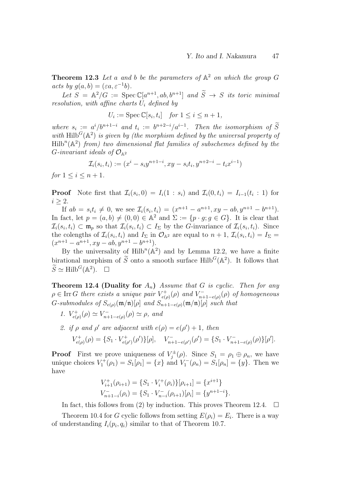**Theorem 12.3** Let a and b be the parameters of  $A^2$  on which the group G acts by  $g(a, b) = (\varepsilon a, \varepsilon^{-1} b).$ 

Let  $S = \mathbb{A}^2/G := \operatorname{Spec} \mathbb{C}[a^{n+1}, ab, b^{n+1}]$  and  $\widetilde{S} \to S$  its toric minimal resolution, with affine charts  $U_i$  defined by

$$
U_i := \operatorname{Spec} \mathbb{C}[s_i, t_i] \quad \text{for } 1 \le i \le n+1,
$$

where  $s_i := a^i/b^{n+1-i}$  and  $t_i := b^{n+2-i}/a^{i-1}$ . Then the isomorphism of Secondwith Hilb<sup>G</sup>( $\mathbb{A}^2$ ) is given by (the morphism defined by the universal property of  $\text{Hilb}^n(\mathbb{A}^2)$  from) two dimensional flat families of subschemes defined by the G-invariant ideals of  $\mathcal{O}_{\mathbb{A}^2}$ 

$$
\mathcal{I}_i(s_i, t_i) := (x^i - s_i y^{n+1-i}, xy - s_i t_i, y^{n+2-i} - t_i x^{i-1})
$$

for  $1 \le i \le n+1$ .

**Proof** Note first that  $\mathcal{I}_i(s_i, 0) = I_i(1 : s_i)$  and  $\mathcal{I}_i(0, t_i) = I_{i-1}(t_i : 1)$  for  $i \geq 2$ .

If  $ab = s_i t_i \neq 0$ , we see  $\mathcal{I}_i(s_i, t_i) = (x^{n+1} - a^{n+1}, xy - ab, y^{n+1} - b^{n+1}).$ In fact, let  $p = (a, b) \neq (0, 0) \in \mathbb{A}^2$  and  $\Sigma := \{p \cdot g : g \in G\}$ . It is clear that  $\mathcal{I}_i(s_i,t_i) \subset \mathfrak{m}_p$  so that  $\mathcal{I}_i(s_i,t_i) \subset I_{\Sigma}$  by the G-invariance of  $\mathcal{I}_i(s_i,t_i)$ . Since the colengths of  $\mathcal{I}_i(s_i, t_i)$  and  $I_\Sigma$  in  $\mathcal{O}_{\mathbb{A}^2}$  are equal to  $n+1$ ,  $\mathcal{I}_i(s_i, t_i) = I_\Sigma$  $(x^{n+1} - a^{n+1}, xy - ab, y^{n+1} - b^{n+1}).$ 

By the universality of  $Hilb^{n}(\mathbb{A}^{2})$  and by Lemma 12.2, we have a finite birational morphism of  $\widetilde{S}$  onto a smooth surface Hilb<sup>G</sup>( $\mathbb{A}^2$ ). It follows that  $\widetilde{S} \simeq \text{Hilb}^G(\mathbb{A}^2). \quad \Box$ 

**Theorem 12.4 (Duality for**  $A_n$ ) Assume that G is cyclic. Then for any  $\rho \in \text{Irr } G$  there exists a unique pair  $V_{el}^+$  $\mathcal{C}^+_{e(\rho)}(\rho)$  and  $V^-_{n+1}$  $\bar{r}_{n+1-e(\rho)}^{-}(\rho)$  of homogeneous G-submodules of  $S_{e(\rho)}(\mathfrak{m}/\mathfrak{n})[\rho]$  and  $S_{n+1-e(\rho)}(\mathfrak{m}/\mathfrak{n})[\rho]$  such that

- 1.  $V_{e}^{+}$  $V_{e(\rho)}^{+}(\rho) \simeq V_{n+}^{-}$  $\gamma_{n+1-e(\rho)}^{-}(\rho) \simeq \rho$ , and
- 2. if  $\rho$  and  $\rho'$  are adjacent with  $e(\rho) = e(\rho') + 1$ , then

$$
V_{e(\rho)}^+(\rho)=\{S_1\cdot V_{e(\rho')}^+(\rho')\}[\rho],\quad V_{n+1-e(\rho')}^-(\rho')=\{S_1\cdot V_{n+1-e(\rho)}^-(\rho)\}[\rho'].
$$

**Proof** First we prove uniqueness of  $V_i^{\pm}$  $S_1^{\pm}(\rho)$ . Since  $S_1 = \rho_1 \oplus \rho_n$ , we have unique choices  $V_1^+(\rho_1) = S_1[\rho_1] = \{x\}$  and  $V_1^-(\rho_n) = S_1[\rho_n] = \{y\}$ . Then we have

$$
V_{i+1}^+(\rho_{i+1}) = \{S_1 \cdot V_i^+(\rho_i)\}[\rho_{i+1}] = \{x^{i+1}\}
$$
  

$$
V_{n+1-i}^-(\rho_i) = \{S_1 \cdot V_{n-i}^-(\rho_{i+1})[\rho_i] = \{y^{n+1-i}\}.
$$

In fact, this follows from (2) by induction. This proves Theorem 12.4.  $\Box$ 

Theorem 10.4 for G cyclic follows from setting  $E(\rho_i) = E_i$ . There is a way of understanding  $I_i(p_i, q_i)$  similar to that of Theorem 10.7.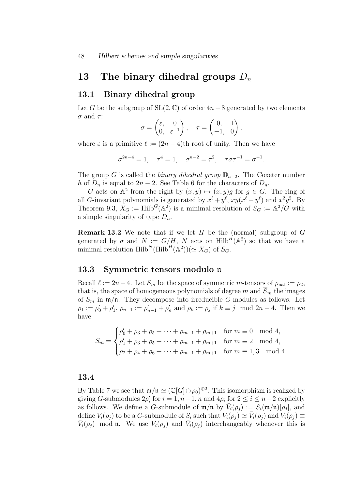# 13 The binary dihedral groups  $D_n$

### 13.1 Binary dihedral group

Let G be the subgroup of  $SL(2, \mathbb{C})$  of order  $4n-8$  generated by two elements  $\sigma$  and  $\tau$ :

$$
\sigma = \begin{pmatrix} \varepsilon, & 0 \\ 0, & \varepsilon^{-1} \end{pmatrix}, \quad \tau = \begin{pmatrix} 0, & 1 \\ -1, & 0 \end{pmatrix},
$$

where  $\varepsilon$  is a primitive  $\ell := (2n - 4)$ th root of unity. Then we have

$$
\sigma^{2n-4} = 1
$$
,  $\tau^4 = 1$ ,  $\sigma^{n-2} = \tau^2$ ,  $\tau \sigma \tau^{-1} = \sigma^{-1}$ .

The group G is called the *binary dihedral group*  $\mathbb{D}_{n-2}$ . The Coxeter number h of  $D_n$  is equal to  $2n-2$ . See Table 6 for the characters of  $D_n$ .

G acts on  $\mathbb{A}^2$  from the right by  $(x, y) \mapsto (x, y)g$  for  $g \in G$ . The ring of all G-invariant polynomials is generated by  $x^{\ell} + y^{\ell}$ ,  $xy(x^{\ell} - y^{\ell})$  and  $x^2y^2$ . By Theorem 9.3,  $X_G := \text{Hilb}^G(\mathbb{A}^2)$  is a minimal resolution of  $S_G := \mathbb{A}^2/G$  with a simple singularity of type  $D_n$ .

**Remark 13.2** We note that if we let  $H$  be the (normal) subgroup of  $G$ generated by  $\sigma$  and  $N := G/H$ , N acts on  $\text{Hilb}^H(\mathbb{A}^2)$  so that we have a minimal resolution  $\text{Hilb}^N(\text{Hilb}^H(\mathbb{A}^2))(\simeq X_G)$  of  $S_G$ .

### 13.3 Symmetric tensors modulo n

Recall  $\ell := 2n-4$ . Let  $S_m$  be the space of symmetric m-tensors of  $\rho_{nat} := \rho_2$ , that is, the space of homogeneous polynomials of degree m and  $\overline{S}_m$  the images of  $S_m$  in  $\mathfrak{m}/\mathfrak{n}$ . They decompose into irreducible G-modules as follows. Let  $\rho_1 := \rho'_0 + \rho'_1$ ,  $\rho_{n-1} := \rho'_{n-1} + \rho'_n$  and  $\rho_k := \rho_j$  if  $k \equiv j \mod 2n-4$ . Then we have

$$
S_m = \begin{cases} \rho'_0 + \rho_3 + \rho_5 + \dots + \rho_{m-1} + \rho_{m+1} & \text{for } m \equiv 0 \mod 4, \\ \rho'_1 + \rho_3 + \rho_5 + \dots + \rho_{m-1} + \rho_{m+1} & \text{for } m \equiv 2 \mod 4, \\ \rho_2 + \rho_4 + \rho_6 + \dots + \rho_{m-1} + \rho_{m+1} & \text{for } m \equiv 1,3 \mod 4. \end{cases}
$$

### 13.4

By Table 7 we see that  $\mathfrak{m}/\mathfrak{n} \simeq (\mathbb{C}[G] \ominus \rho_0)^{\oplus 2}$ . This isomorphism is realized by giving G-submodules  $2\rho'_i$  for  $i = 1, n - 1, n$  and  $4\rho_i$  for  $2 \le i \le n - 2$  explicitly as follows. We define a G-submodule of  $\mathfrak{m}/\mathfrak{n}$  by  $\bar{V}_i(\rho_j) := S_i(\mathfrak{m}/\mathfrak{n})[\rho_j]$ , and define  $V_i(\rho_j)$  to be a G-submodule of  $S_i$  such that  $V_i(\rho_j) \simeq \bar{V}_i(\rho_j)$  and  $V_i(\rho_j) \equiv$  $\bar{V}_i(\rho_j)$  mod **n**. We use  $V_i(\rho_j)$  and  $\bar{V}_i(\rho_j)$  interchangeably whenever this is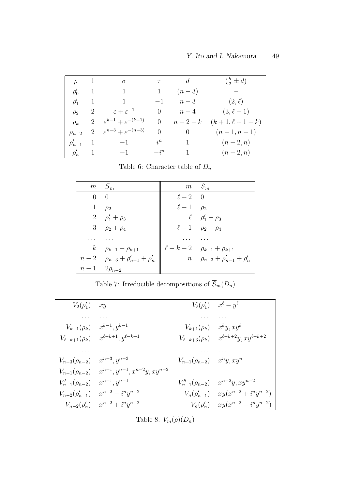| $\varrho$     | - 1            | $\sigma$                                   | $\tau$   | $\overline{d}$ | $(\frac{n}{2} \pm d)$ |
|---------------|----------------|--------------------------------------------|----------|----------------|-----------------------|
| $\rho'_0$     | -1             | $\overline{1}$                             |          | $(n-3)$        |                       |
| $\rho'_1$     |                | $\overline{1}$                             | $-1$     | $n-3$          | $(2,\ell)$            |
| $\rho_2$      |                | $\varepsilon + \varepsilon^{-1}$           | $\theta$ | $n-4$          | $(3, \ell - 1)$       |
| $\rho_k$      | $\overline{2}$ | $\varepsilon^{k-1} + \varepsilon^{-(k-1)}$ | $\theta$ | $n-2-k$        | $(k+1, \ell+1-k)$     |
| $\rho_{n-2}$  | 2              | $\varepsilon^{n-3} + \varepsilon^{-(n-3)}$ | $\theta$ | $\overline{0}$ | $(n-1,n-1)$           |
| $\rho'_{n-1}$ |                | $-1$                                       | $i^n$    |                | $(n-2,n)$             |
| $\rho'_n$     | -1             | $-1$                                       | $-i^n$   |                | $(n-2,n)$             |

Table 6: Character table of  $\mathcal{D}_n$ 

|                     | $m \overline{S}_m$                           |                   | $m \bar{S}_m$                                |
|---------------------|----------------------------------------------|-------------------|----------------------------------------------|
| 0                   | $\Omega$                                     | $\ell+2$ 0        |                                              |
| $\mathbf{1}$        | $\rho_2$                                     | $\ell+1$ $\rho_2$ |                                              |
|                     | 2 $\rho'_1 + \rho_3$                         |                   | $\ell$ $\rho'_1 + \rho_3$                    |
|                     | 3 $\rho_2 + \rho_4$                          |                   | $\ell - 1$ $\rho_2 + \rho_4$                 |
|                     |                                              |                   |                                              |
|                     | $k$ $\rho_{k-1} + \rho_{k+1}$                |                   | $\ell - k + 2$ $\rho_{k-1} + \rho_{k+1}$     |
|                     | $n-2$ $\rho_{n-3} + \rho'_{n-1} + \rho'_{n}$ |                   | $n \quad \rho_{n-3} + \rho'_{n-1} + \rho'_n$ |
| $n-1$ $2\rho_{n-2}$ |                                              |                   |                                              |

Table 7: Irreducible decompositions of  $\overline{S}_m(D_n)$ 

| $V_2(\rho'_1)$         | xy                                     |                                     | $V_{\ell}(\rho'_1)$ $x^{\ell} - y^{\ell}$             |
|------------------------|----------------------------------------|-------------------------------------|-------------------------------------------------------|
|                        |                                        |                                     |                                                       |
| $V_{k-1}(\rho_k)$      | $x^{k-1}, y^{k-1}$                     | $V_{k+1}(\rho_k)$                   | $x^k y, xy^k$                                         |
| $V_{\ell-k+1}(\rho_k)$ | $x^{\ell-k+1}, y^{\ell-k+1}$           |                                     | $V_{\ell-k+3}(\rho_k)$ $x^{\ell-k+2}y, xy^{\ell-k+2}$ |
|                        |                                        |                                     |                                                       |
| $V_{n-3}(\rho_{n-2})$  | $x^{n-3}, y^{n-3}$                     | $V_{n+1}(\rho_{n-2})$ $x^n y, xy^n$ |                                                       |
| $V_{n-1}(\rho_{n-2})$  | $x^{n-1}, y^{n-1}, x^{n-2}y, xy^{n-2}$ |                                     |                                                       |
| $V'_{n-1}(\rho_{n-2})$ | $x^{n-1}, y^{n-1}$                     | $V''_{n-1}(\rho_{n-2})$             | $x^{n-2}y, xy^{n-2}$                                  |
| $V_{n-2}(\rho'_{n-1})$ | $x^{n-2} - i^n y^{n-2}$                |                                     | $V_n(\rho'_{n-1})$ $xy(x^{n-2}+i^n y^{n-2})$          |
| $V_{n-2}(\rho'_n)$     | $x^{n-2} + i^n y^{n-2}$                | $V_n(\rho'_n)$                      | $xy(x^{n-2} - i^n y^{n-2})$                           |

Table 8:  $V_m(\rho)(D_n)$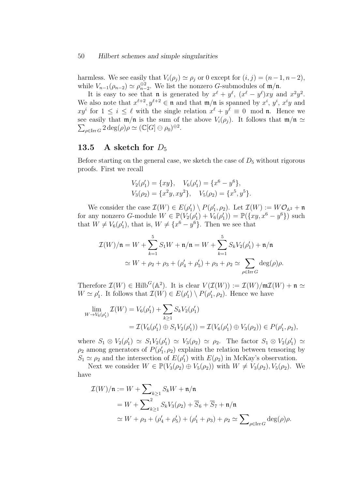#### 50 Hilbert schemes and simple singularities

harmless. We see easily that  $V_i(\rho_j) \simeq \rho_j$  or 0 except for  $(i, j) = (n-1, n-2)$ , while  $V_{n-1}(\rho_{n-2}) \simeq \rho_{n-2}^{\oplus 2}$ . We list the nonzero *G*-submodules of  $\mathfrak{m}/\mathfrak{n}$ .

It is easy to see that **n** is generated by  $x^{\ell} + y^{\ell}$ ,  $(x^{\ell} - y^{\ell})xy$  and  $x^2y^2$ . We also note that  $x^{\ell+2}$ ,  $y^{\ell+2} \in \mathfrak{n}$  and that  $\mathfrak{m}/\mathfrak{n}$  is spanned by  $x^i$ ,  $y^i$ ,  $x^iy$  and  $xy^i$  for  $1 \leq i \leq \ell$  with the single relation  $x^{\ell} + y^{\ell} \equiv 0 \mod \mathfrak{n}$ . Hence we see easily that  $\mathfrak{m}/\mathfrak{n}$  is the sum of the above  $V_i(\rho_j)$ . It follows that  $\mathfrak{m}/\mathfrak{n} \simeq$  $\sum_{\rho \in \text{Irr } G} 2 \deg(\rho) \rho \simeq (\mathbb{C}[G] \ominus \rho_0)^{\oplus 2}.$ 

#### 13.5 A sketch for  $D_5$

Before starting on the general case, we sketch the case of  $D_5$  without rigorous proofs. First we recall

$$
V_2(\rho'_1) = \{xy\}, \quad V_6(\rho'_1) = \{x^6 - y^6\},
$$
  
\n
$$
V_3(\rho_2) = \{x^2y, xy^2\}, \quad V_5(\rho_2) = \{x^5, y^5\}.
$$

We consider the case  $\mathcal{I}(W) \in E(\rho'_1) \setminus P(\rho'_1, \rho_2)$ . Let  $\mathcal{I}(W) := W\mathcal{O}_{\mathbb{A}^2} + \mathfrak{n}$ for any nonzero G-module  $W \in \mathbb{P}(V_2(\rho'_1) + V_6(\rho'_1)) = \mathbb{P}(\lbrace xy, x^6 - y^6 \rbrace)$  such that  $W \neq V_6(\rho'_1)$ , that is,  $W \neq \{x^6 - y^6\}$ . Then we see that

$$
\mathcal{I}(W)/\mathfrak{n} = W + \sum_{k=1}^{5} S_1 W + \mathfrak{n}/\mathfrak{n} = W + \sum_{k=1}^{5} S_k V_2(\rho'_1) + \mathfrak{n}/\mathfrak{n}
$$
  
\n
$$
\simeq W + \rho_2 + \rho_3 + (\rho'_4 + \rho'_5) + \rho_3 + \rho_2 \simeq \sum_{\rho \in \operatorname{Irr} G} \deg(\rho)\rho.
$$

Therefore  $\mathcal{I}(W) \in \text{Hilb}^G(\mathbb{A}^2)$ . It is clear  $V(\mathcal{I}(W)) := \mathcal{I}(W)/\mathfrak{m}\mathcal{I}(W) + \mathfrak{n} \simeq$  $W \simeq \rho'_1$ . It follows that  $\mathcal{I}(W) \in E(\rho'_1) \setminus P(\rho'_1, \rho_2)$ . Hence we have

$$
\lim_{W \to V_6(\rho'_1)} \mathcal{I}(W) = V_6(\rho'_1) + \sum_{k \ge 1} S_k V_2(\rho'_1)
$$
  
=  $\mathcal{I}(V_6(\rho'_1) \oplus S_1 V_2(\rho'_1)) = \mathcal{I}(V_6(\rho'_1) \oplus V_3(\rho_2)) \in P(\rho'_1, \rho_2),$ 

where  $S_1 \otimes V_2(\rho'_1) \simeq S_1V_2(\rho'_1) \simeq V_3(\rho_2) \simeq \rho_2$ . The factor  $S_1 \otimes V_2(\rho'_1) \simeq$  $\rho_2$  among generators of  $P(\rho'_1, \rho_2)$  explains the relation between tensoring by  $S_1 \simeq \rho_2$  and the intersection of  $E(\rho'_1)$  with  $E(\rho_2)$  in McKay's observation.

Next we consider  $W \in \mathbb{P}(V_3(\rho_2) \oplus V_5(\rho_2))$  with  $W \neq V_3(\rho_2), V_5(\rho_2)$ . We have

$$
\mathcal{I}(W)/\mathfrak{n} := W + \sum_{k \ge 1} S_k W + \mathfrak{n}/\mathfrak{n}
$$
  
=  $W + \sum_{k \ge 1}^2 S_k V_3(\rho_2) + \overline{S}_6 + \overline{S}_7 + \mathfrak{n}/\mathfrak{n}$   
 $\simeq W + \rho_3 + (\rho'_4 + \rho'_5) + (\rho'_1 + \rho_3) + \rho_2 \simeq \sum_{\rho \in \text{Irr } G} \text{deg}(\rho)\rho.$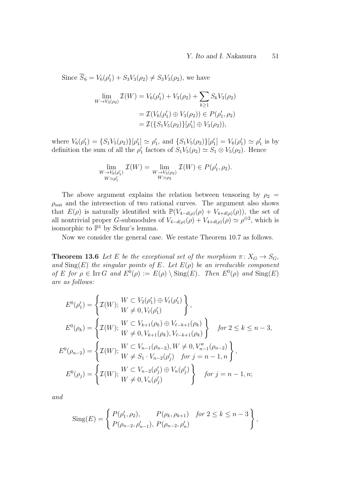Since  $\overline{S}_6 = V_6(\rho'_1) + S_3V_3(\rho_2) \neq S_3V_3(\rho_2)$ , we have

$$
\lim_{W \to V_3(\rho_2)} \mathcal{I}(W) = V_6(\rho'_1) + V_3(\rho_2) + \sum_{k \ge 1} S_k V_3(\rho_2)
$$
  
=  $\mathcal{I}(V_6(\rho'_1) \oplus V_3(\rho_2)) \in P(\rho'_1, \rho_2)$   
=  $\mathcal{I}(\{S_1 V_5(\rho_2)\}[\rho'_1] \oplus V_3(\rho_2)),$ 

where  $V_6(\rho'_1) = \{S_1V_5(\rho_2)\}[\rho'_1] \simeq \rho'_1$ , and  $\{S_1V_5(\rho_2)\}[\rho'_1] = V_6(\rho'_1) \simeq \rho'_1$  is by definition the sum of all the  $\rho'_1$  factors of  $S_1V_5(\rho_2) \simeq S_1 \otimes V_5(\rho_2)$ . Hence

$$
\lim_{\substack{W \to V_6(\rho'_1) \\ W \simeq \rho'_1}} \mathcal{I}(W) = \lim_{\substack{W \to V_3(\rho_2) \\ W \simeq \rho_2}} \mathcal{I}(W) \in P(\rho'_1, \rho_2).
$$

The above argument explains the relation between tensoring by  $\rho_2$  =  $\rho_{\text{nat}}$  and the intersection of two rational curves. The argument also shows that  $E(\rho)$  is naturally identified with  $\mathbb{P}(V_{4-d(\rho)}(\rho) + V_{4+d(\rho)}(\rho))$ , the set of all nontrivial proper G-submodules of  $V_{4-d(\rho)}(\rho) + V_{4+d(\rho)}(\rho) \simeq \rho^{\oplus 2}$ , which is isomorphic to  $\mathbb{P}^1$  by Schur's lemma.

Now we consider the general case. We restate Theorem 10.7 as follows.

**Theorem 13.6** Let E be the exceptional set of the morphism  $\pi: X_G \to S_G$ , and  $\text{Sing}(E)$  the singular points of E. Let  $E(\rho)$  be an irreducible component of E for  $\rho \in \text{Irr } G$  and  $E^0(\rho) := E(\rho) \setminus \text{Sing}(E)$ . Then  $E^0(\rho)$  and  $\text{Sing}(E)$ are as follows:

$$
E^{0}(\rho'_{1}) = \left\{ \mathcal{I}(W); \begin{aligned} &W \subset V_{2}(\rho'_{1}) \oplus V_{\ell}(\rho'_{1}) \\ &W \neq 0, V_{\ell}(\rho'_{1}) \end{aligned} \right\},
$$
  
\n
$$
E^{0}(\rho_{k}) = \left\{ \mathcal{I}(W); \begin{aligned} &W \subset V_{k+1}(\rho_{k}) \oplus V_{\ell-k+1}(\rho_{k}) \\ &W \neq 0, V_{k+1}(\rho_{k}), V_{\ell-k+1}(\rho_{k}) \end{aligned} \right\} \quad \text{for } 2 \leq k \leq n-3,
$$
  
\n
$$
E^{0}(\rho_{n-2}) = \left\{ \mathcal{I}(W); \begin{aligned} &W \subset V_{n-1}(\rho_{n-2}), W \neq 0, V_{n-1}''(\rho_{n-2}) \\ &W \neq S_{1} \cdot V_{n-2}(\rho'_{j}) \quad \text{for } j = n-1, n \end{aligned} \right\},
$$
  
\n
$$
E^{0}(\rho_{j}) = \left\{ \mathcal{I}(W); \begin{aligned} &W \subset V_{n-2}(\rho'_{j}) \oplus V_{n}(\rho'_{j}) \\ &W \neq 0, V_{n}(\rho'_{j}) \end{aligned} \right\} \quad \text{for } j = n-1, n;
$$

and

Sing(E) = 
$$
\begin{cases} P(\rho'_1, \rho_2), & P(\rho_k, \rho_{k+1}) & \text{for } 2 \leq k \leq n-3 \\ P(\rho_{n-2}, \rho'_{n-1}), & P(\rho_{n-2}, \rho'_n) \end{cases}
$$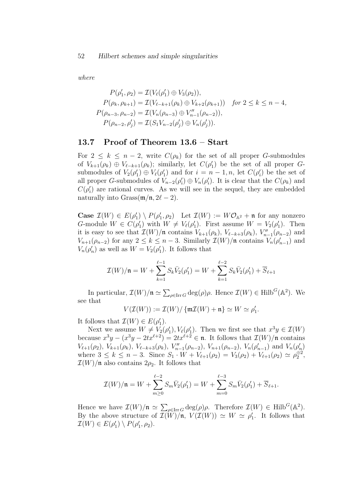where

$$
P(\rho'_1, \rho_2) = \mathcal{I}(V_{\ell}(\rho'_1) \oplus V_3(\rho_2)),
$$
  
\n
$$
P(\rho_k, \rho_{k+1}) = \mathcal{I}(V_{\ell-k+1}(\rho_k) \oplus V_{k+2}(\rho_{k+1})) \text{ for } 2 \le k \le n-4,
$$
  
\n
$$
P(\rho_{n-3}, \rho_{n-2}) = \mathcal{I}(V_n(\rho_{n-3}) \oplus V''_{n-1}(\rho_{n-2})),
$$
  
\n
$$
P(\rho_{n-2}, \rho'_j) = \mathcal{I}(S_1V_{n-2}(\rho'_j) \oplus V_n(\rho'_j)).
$$

### 13.7 Proof of Theorem 13.6 – Start

For  $2 \leq k \leq n-2$ , write  $C(\rho_k)$  for the set of all proper G-submodules of  $V_{k+1}(\rho_k) \oplus V_{\ell-k+1}(\rho_k)$ ; similarly, let  $C(\rho'_1)$  be the set of all proper Gsubmodules of  $V_2(\rho'_1) \oplus V_{\ell}(\rho'_1)$  and for  $i = n - 1, n$ , let  $C(\rho'_i)$  be the set of all proper G-submodules of  $V_{n-2}(\rho_i') \oplus V_n(\rho_i')$ . It is clear that the  $C(\rho_k)$  and  $C(\rho_i')$  are rational curves. As we will see in the sequel, they are embedded naturally into Grass $(\mathfrak{m}/\mathfrak{n}, 2\ell - 2)$ .

Case  $\mathcal{I}(W) \in E(\rho'_1) \setminus P(\rho'_1, \rho_2)$  Let  $\mathcal{I}(W) := W\mathcal{O}_{\mathbb{A}^2} + \mathfrak{n}$  for any nonzero G-module  $W \in C(\rho'_1)$  with  $W \neq V_{\ell}(\rho'_1)$ . First assume  $W = V_2(\rho'_1)$ . Then it is easy to see that  $\mathcal{I}(W)/\mathfrak{n}$  contains  $V_{k+1}(\rho_k)$ ,  $V_{\ell-k+3}(\rho_k)$ ,  $V''_{n-1}(\rho_{n-2})$  and  $V_{n+1}(\rho_{n-2})$  for any  $2 \leq k \leq n-3$ . Similarly  $\mathcal{I}(W)/\mathfrak{n}$  contains  $V_n(\rho'_{n-1})$  and  $V_n(\rho'_n)$  as well as  $W = V_2(\rho'_1)$ . It follows that

$$
\mathcal{I}(W)/\mathfrak{n} = W + \sum_{k=1}^{\ell-1} S_k \bar{V}_2(\rho'_1) = W + \sum_{k=1}^{\ell-2} S_k \bar{V}_2(\rho'_1) + \overline{S}_{\ell+1}
$$

In particular,  $\mathcal{I}(W)/\mathfrak{n} \simeq \sum_{\rho \in \text{Irr } G} \deg(\rho) \rho$ . Hence  $\mathcal{I}(W) \in \text{Hilb}^G(\mathbb{A}^2)$ . We see that

$$
V(\mathcal{I}(W)) := \mathcal{I}(W) / \{ \mathfrak{m} \mathcal{I}(W) + \mathfrak{n} \} \simeq W \simeq \rho'_1.
$$

It follows that  $\mathcal{I}(W) \in E(\rho'_1)$ .

Next we assume  $W \neq V_2(\rho'_1)$ ,  $V_{\ell}(\rho'_1)$ . Then we first see that  $x^3y \in \mathcal{I}(W)$ because  $x^3y - (x^3y - 2tx^{\ell+2}) = 2tx^{\ell+2} \in \mathfrak{n}$ . It follows that  $\mathcal{I}(W)/\mathfrak{n}$  contains  $V_{\ell+1}(\rho_2), V_{k+1}(\rho_k), V_{\ell-k+3}(\rho_k), V''_{n-1}(\rho_{n-2}), V_{n+1}(\rho_{n-2}), V_n(\rho'_{n-1})$  and  $V_n(\rho'_n)$ where  $3 \leq k \leq n-3$ . Since  $S_1 \cdot W + V_{\ell+1}(\rho_2) = V_3(\rho_2) + V_{\ell+1}(\rho_2) \simeq \rho_2^{\oplus 2}$ ,  $\mathcal{I}(W)/\mathfrak{n}$  also contains  $2\rho_2$ . It follows that

$$
\mathcal{I}(W)/\mathfrak{n} = W + \sum_{m \geq 0}^{\ell-2} S_m \bar{V}_2(\rho'_1) = W + \sum_{m=0}^{\ell-3} S_m \bar{V}_2(\rho'_1) + \overline{S}_{\ell+1}.
$$

Hence we have  $\mathcal{I}(W)/\mathfrak{n} \simeq \sum_{\rho \in \text{Irr } G} \deg(\rho) \rho$ . Therefore  $\mathcal{I}(W) \in \text{Hilb}^G(\mathbb{A}^2)$ . By the above structure of  $\mathcal{I}(\tilde{W})/\tilde{\mathfrak{n}}, V(\mathcal{I}(W)) \simeq W \simeq \rho'_1$ . It follows that  $\mathcal{I}(W) \in E(\rho'_1) \setminus P(\rho'_1, \rho_2).$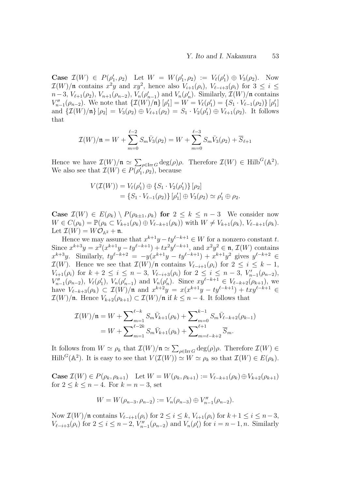Case  $\mathcal{I}(W) \in P(\rho'_1, \rho_2)$  Let  $W = W(\rho'_1, \rho_2) := V_{\ell}(\rho'_1) \oplus V_3(\rho_2)$ . Now  $\mathcal{I}(W)/\mathfrak{n}$  contains  $x^2y$  and  $xy^2$ , hence also  $V_{i+1}(\rho_i)$ ,  $V_{\ell-i+3}(\rho_i)$  for  $3 \leq i \leq$  $n-3, V_{\ell+1}(\rho_2), V_{n+1}(\rho_{n-2}), V_n(\rho'_{n-1})$  and  $V_n(\rho'_n)$ . Similarly,  $\mathcal{I}(W)/\mathfrak{n}$  contains  $V''_{n-1}(\rho_{n-2})$ . We note that  $\{\mathcal{I}(W)/\mathfrak{n}\}\,[\rho'_1] = W = V_{\ell}(\rho'_1) = \{S_1 \cdot V_{\ell-1}(\rho_2)\}\,[\rho'_1]$ and  $\{\mathcal{I}(W)/\mathfrak{n}\}\,[\rho_2] = V_3(\rho_2) \oplus V_{\ell+1}(\rho_2) = S_1 \cdot V_2(\rho'_1) \oplus V_{\ell+1}(\rho_2)$ . It follows that

$$
\mathcal{I}(W)/\mathfrak{n} = W + \sum_{m=0}^{\ell-2} S_m \bar{V}_3(\rho_2) = W + \sum_{m=0}^{\ell-3} S_m \bar{V}_3(\rho_2) + \overline{S}_{\ell+1}
$$

Hence we have  $\mathcal{I}(W)/\mathfrak{n} \simeq \sum_{\rho \in \text{Irr } G} \deg(\rho) \rho$ . Therefore  $\mathcal{I}(W) \in \text{Hilb}^G(\mathbb{A}^2)$ . We also see that  $\mathcal{I}(W) \in P(\rho'_1, \rho_2)$ , because

$$
V(\mathcal{I}(W)) = V_{\ell}(\rho'_1) \oplus \{S_1 \cdot V_2(\rho'_1)\} [\rho_2]
$$
  
=  $\{S_1 \cdot V_{\ell-1}(\rho_2)\} [\rho'_1] \oplus V_3(\rho_2) \simeq \rho'_1 \oplus \rho_2.$ 

**Case**  $\mathcal{I}(W) \in E(\rho_k) \setminus P(\rho_{k+1}, \rho_k)$  for  $2 \leq k \leq n-3$  We consider now  $W \in C(\rho_k) = \mathbb{P}(\rho_k \subset V_{k+1}(\rho_k) \oplus V_{\ell-k+1}(\rho_k))$  with  $W \neq V_{k+1}(\rho_k)$ ,  $V_{\ell-k+1}(\rho_k)$ . Let  $\mathcal{I}(W) = W\mathcal{O}_{\mathbb{A}^2} + \mathfrak{n}$ .

Hence we may assume that  $x^{k+1}y - ty^{\ell-k+1} \in W$  for a nonzero constant t. Since  $x^{k+3}y = x^2(x^{k+1}y - ty^{\ell-k+1}) + tx^2y^{\ell-k+1}$ , and  $x^2y^2 \in \mathfrak{n}, \mathcal{I}(W)$  contains  $x^{k+3}y$ . Similarly,  $ty^{\ell-k+2} = -y(x^{k+1}y - ty^{\ell-k+1}) + x^{k+1}y^2$  gives  $y^{\ell-k+2} \in$  $\mathcal{I}(W)$ . Hence we see that  $\mathcal{I}(W)/\mathfrak{n}$  contains  $V_{\ell-i+1}(\rho_i)$  for  $2 \leq i \leq k-1$ ,  $V_{i+1}(\rho_i)$  for  $k+2 \leq i \leq n-3$ ,  $V_{\ell-i+3}(\rho_i)$  for  $2 \leq i \leq n-3$ ,  $V'_{n-1}(\rho_{n-2})$ ,  $V''_{n-1}(\rho_{n-2}), V_{\ell}(\rho'_1), V_n(\rho'_{n-1})$  and  $V_n(\rho'_n)$ . Since  $xy^{\ell-k+1} \in V_{\ell-k+2}(\rho_{k+1}),$  we have  $V_{\ell-k+3}(\rho_k) \subset \mathcal{I}(W)/\mathfrak{n}$  and  $x^{k+2}y = x(x^{k+1}y - ty^{\ell-k+1}) + txy^{\ell-k+1} \in$  $\mathcal{I}(W)/\mathfrak{n}$ . Hence  $V_{k+2}(\rho_{k+1}) \subset \mathcal{I}(W)/\mathfrak{n}$  if  $k \leq n-4$ . It follows that

$$
\mathcal{I}(W)/\mathfrak{n} = W + \sum_{m=1}^{\ell-k} S_m \bar{V}_{k+1}(\rho_k) + \sum_{m=0}^{k-1} S_m \bar{V}_{\ell-k+2}(\rho_{k-1})
$$
  
=  $W + \sum_{m=1}^{\ell-2k} S_m \bar{V}_{k+1}(\rho_k) + \sum_{m=\ell-k+2}^{\ell+1} \overline{S}_m.$ 

It follows from  $W \simeq \rho_k$  that  $\mathcal{I}(W)/\mathfrak{n} \simeq \sum_{\rho \in \text{Irr } G} \text{deg}(\rho)\rho$ . Therefore  $\mathcal{I}(W) \in$  $\text{Hilb}^G(\mathbb{A}^2)$ . It is easy to see that  $V(\mathcal{I}(W)) \simeq W \simeq \rho_k$  so that  $\mathcal{I}(W) \in E(\rho_k)$ .

**Case**  $\mathcal{I}(W) \in P(\rho_k, \rho_{k+1})$  Let  $W = W(\rho_k, \rho_{k+1}) := V_{\ell-k+1}(\rho_k) \oplus V_{k+2}(\rho_{k+1})$ for  $2 \leq k \leq n-4$ . For  $k = n-3$ , set

$$
W = W(\rho_{n-3}, \rho_{n-2}) := V_n(\rho_{n-3}) \oplus V''_{n-1}(\rho_{n-2}).
$$

Now  $\mathcal{I}(W)/\mathfrak{n}$  contains  $V_{\ell-i+1}(\rho_i)$  for  $2 \leq i \leq k$ ,  $V_{i+1}(\rho_i)$  for  $k+1 \leq i \leq n-3$ ,  $V_{\ell-i+3}(\rho_i)$  for  $2 \le i \le n-2$ ,  $V''_{n-1}(\rho_{n-2})$  and  $V_n(\rho'_i)$  for  $i = n-1, n$ . Similarly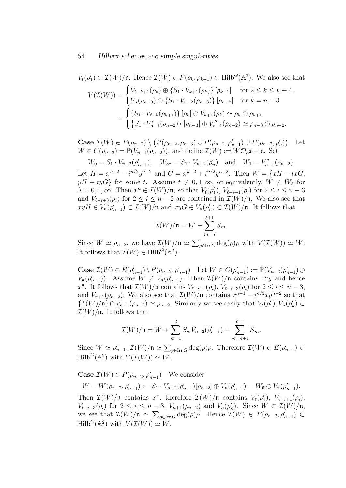#### 54 Hilbert schemes and simple singularities

$$
V_{\ell}(\rho'_1) \subset \mathcal{I}(W)/\mathfrak{n}.\text{ Hence }\mathcal{I}(W) \in P(\rho_k, \rho_{k+1}) \subset \text{Hilb}^G(\mathbb{A}^2). \text{ We also see that}
$$

$$
V(\mathcal{I}(W)) = \begin{cases} V_{\ell-k+1}(\rho_k) \oplus \{S_1 \cdot V_{k+1}(\rho_k)\} [\rho_{k+1}] & \text{for } 2 \le k \le n-4, \\ V_n(\rho_{n-3}) \oplus \{S_1 \cdot V_{n-2}(\rho_{n-3})\} [\rho_{n-2}] & \text{for } k = n-3 \end{cases}
$$

$$
= \begin{cases} \{S_1 \cdot V_{\ell-k}(\rho_{k+1})\} [\rho_k] \oplus V_{k+1}(\rho_k) \simeq \rho_k \oplus \rho_{k+1}, \\ \{S_1 \cdot V'_{n-1}(\rho_{n-2})\} [\rho_{n-3}] \oplus V''_{n-1}(\rho_{n-2}) \simeq \rho_{n-3} \oplus \rho_{n-2}.\end{cases}
$$

Case  $\mathcal{I}(W) \in E(\rho_{n-2}) \setminus (P(\rho_{n-2}, \rho_{n-3}) \cup P(\rho_{n-2}, \rho'_{n-1}) \cup P(\rho_{n-2}, \rho'_{n}))$ Let  $W \in C(\rho_{n-2}) = \mathbb{P}(V_{n-1}(\rho_{n-2}))$ , and define  $\mathcal{I}(W) := W\mathcal{O}_{\mathbb{A}^2} + \mathfrak{n}$ . Set

 $W_0 = S_1 \cdot V_{n-2}(\rho'_{n-1}), \quad W_{\infty} = S_1 \cdot V_{n-2}(\rho'_{n}) \quad \text{and} \quad W_1 = V''_{n-1}(\rho_{n-2}).$ 

Let  $H = x^{n-2} - i^{n/2}y^{n-2}$  and  $G = x^{n-2} + i^{n/2}y^{n-2}$ . Then  $W = \{xH - txG,$  $yH + tyG$  for some t. Assume  $t \neq 0, 1, \infty$ , or equivalently,  $W \neq W_\lambda$  for  $\lambda = 0, 1, \infty$ . Then  $x^n \in \mathcal{I}(W)/\mathfrak{n}$ , so that  $V_\ell(\rho'_1)$ ,  $V_{\ell-i+1}(\rho_i)$  for  $2 \leq i \leq n-3$ and  $V_{\ell-i+3}(\rho_i)$  for  $2 \leq i \leq n-2$  are contained in  $\mathcal{I}(W)/\mathfrak{n}$ . We also see that  $xyH \in V_n(\rho'_{n-1}) \subset \mathcal{I}(W)/\mathfrak{n}$  and  $xyG \in V_n(\rho'_n) \subset \mathcal{I}(W)/\mathfrak{n}$ . It follows that

$$
\mathcal{I}(W)/\mathfrak{n}=W+\sum_{m=n}^{\ell+1}\overline{S}_m.
$$

Since  $W \simeq \rho_{n-2}$ , we have  $\mathcal{I}(W)/\mathfrak{n} \simeq \sum_{\rho \in \text{Irr } G} \deg(\rho) \rho$  with  $V(\mathcal{I}(W)) \simeq W$ . It follows that  $\mathcal{I}(W) \in \text{Hilb}^G(\mathbb{A}^2)$ .

Case  $\mathcal{I}(W) \in E(\rho'_{n-1}) \setminus P(\rho_{n-2}, \rho'_{n-1})$  Let  $W \in C(\rho'_{n-1}) := \mathbb{P}(V_{n-2}(\rho'_{n-1}) \oplus$  $V_n(\rho'_{n-1})$ ). Assume  $W \neq V_n(\rho'_{n-1})$ . Then  $\mathcal{I}(W)/\mathfrak{n}$  contains  $x^n y$  and hence  $x^n$ . It follows that  $\mathcal{I}(W)/\mathfrak{n}$  contains  $V_{\ell-i+1}(\rho_i)$ ,  $V_{\ell-i+3}(\rho_i)$  for  $2 \leq i \leq n-3$ , and  $V_{n+1}(\rho_{n-2})$ . We also see that  $\mathcal{I}(W)/\mathfrak{n}$  contains  $x^{n-1} - i^{n/2}xy^{n-2}$  so that  $\{\mathcal{I}(W)/\mathfrak{n}\}\cap V_{n-1}(\rho_{n-2})\simeq \rho_{n-2}$ . Similarly we see easily that  $V_{\ell}(\rho'_1), V_n(\rho'_n)\subset$  $\mathcal{I}(W)/\mathfrak{n}$ . It follows that

$$
\mathcal{I}(W)/\mathfrak{n} = W + \sum_{m=1}^{2} S_m \bar{V}_{n-2}(\rho'_{n-1}) + \sum_{m=n+1}^{\ell+1} \overline{S}_m.
$$

Since  $W \simeq \rho'_{n-1}$ ,  $\mathcal{I}(W)/\mathfrak{n} \simeq \sum_{\rho \in \text{Irr } G} \deg(\rho) \rho$ . Therefore  $\mathcal{I}(W) \in E(\rho'_{n-1}) \subset$  $\mathrm{Hilb}^G(\mathbb{A}^2)$  with  $V(\mathcal{I}(W)) \simeq W$ .

**Case**  $\mathcal{I}(W) \in P(\rho_{n-2}, \rho'_{n-1})$  We consider

 $W = W(\rho_{n-2}, \rho'_{n-1}) := S_1 \cdot V_{n-2}(\rho'_{n-1})[\rho_{n-2}] \oplus V_n(\rho'_{n-1}) = W_0 \oplus V_n(\rho'_{n-1}).$ 

Then  $\mathcal{I}(W)/\mathfrak{n}$  contains  $x^n$ , therefore  $\mathcal{I}(W)/\mathfrak{n}$  contains  $V_{\ell}(\rho'_1)$ ,  $V_{\ell-i+1}(\rho_i)$ ,  $V_{\ell-i+3}(\rho_i)$  for  $2 \leq i \leq n-3$ ,  $V_{n+1}(\rho_{n-2})$  and  $V_n(\rho'_n)$ . Since  $W \subset \mathcal{I}(W)/\mathfrak{n}$ , we see that  $\mathcal{I}(W)/\mathfrak{n} \simeq \sum_{\rho \in \text{Irr } G} \deg(\rho) \rho$ . Hence  $\mathcal{I}(W) \in P(\rho_{n-2}, \rho'_{n-1}) \subset$  $\mathrm{Hilb}^G(\mathbb{A}^2)$  with  $V(\mathcal{I}(W)) \simeq W$ .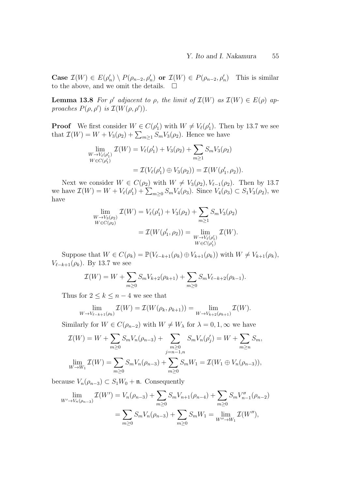Case  $\mathcal{I}(W) \in E(\rho'_n) \setminus P(\rho_{n-2}, \rho'_n)$  or  $\mathcal{I}(W) \in P(\rho_{n-2}, \rho'_n)$ ) This is similar to the above, and we omit the details.  $\Box$ 

**Lemma 13.8** For  $\rho'$  adjacent to  $\rho$ , the limit of  $\mathcal{I}(W)$  as  $\mathcal{I}(W) \in E(\rho)$  approaches  $P(\rho, \rho')$  is  $\mathcal{I}(W(\rho, \rho')).$ 

**Proof** We first consider  $W \in C(\rho'_1)$  with  $W \neq V_\ell(\rho'_1)$ . Then by 13.7 we see that  $\mathcal{I}(W) = W + V_3(\rho_2) + \sum_{m \geq 1} S_m V_3(\rho_2)$ . Hence we have

$$
\lim_{\substack{W \to V_{\ell}(\rho_1') \\ W \in C(\rho_1')}} \mathcal{I}(W) = V_{\ell}(\rho_1') + V_3(\rho_2) + \sum_{m \ge 1} S_m V_3(\rho_2)
$$
  
=  $\mathcal{I}(V_{\ell}(\rho_1') \oplus V_3(\rho_2)) = \mathcal{I}(W(\rho_1', \rho_2)).$ 

Next we consider  $W \in C(\rho_2)$  with  $W \neq V_3(\rho_2), V_{\ell-1}(\rho_2)$ . Then by 13.7 we have  $\mathcal{I}(W) = W + V_{\ell}(\rho'_1) + \sum_{m \geq 0} S_m V_4(\rho_3)$ . Since  $V_4(\rho_3) \subset S_1 V_3(\rho_2)$ , we have

$$
\lim_{\substack{W \to V_3(\rho_2) \\ W \in C(\rho_2)}} \mathcal{I}(W) = V_{\ell}(\rho_1') + V_3(\rho_2) + \sum_{m \ge 1} S_m V_3(\rho_2) \n= \mathcal{I}(W(\rho_1', \rho_2)) = \lim_{\substack{W \to V_{\ell}(\rho_1') \\ W \in C(\rho_1')}} \mathcal{I}(W).
$$

Suppose that  $W \in C(\rho_k) = \mathbb{P}(V_{\ell-k+1}(\rho_k) \oplus V_{k+1}(\rho_k))$  with  $W \neq V_{k+1}(\rho_k)$ ,  $V_{\ell-k+1}(\rho_k)$ . By 13.7 we see

$$
\mathcal{I}(W) = W + \sum_{m \geq 0} S_m V_{k+2}(\rho_{k+1}) + \sum_{m \geq 0} S_m V_{\ell-k+2}(\rho_{k-1}).
$$

Thus for  $2 \leq k \leq n-4$  we see that

$$
\lim_{W \to V_{\ell-k+1}(\rho_k)} \mathcal{I}(W) = \mathcal{I}(W(\rho_k, \rho_{k+1})) = \lim_{W \to V_{k+2}(\rho_{k+1})} \mathcal{I}(W).
$$

Similarly for  $W \in C(\rho_{n-2})$  with  $W \neq W_\lambda$  for  $\lambda = 0, 1, \infty$  we have

$$
\mathcal{I}(W) = W + \sum_{m \ge 0} S_m V_n(\rho_{n-3}) + \sum_{\substack{m \ge 0 \\ j = n-1, n}} S_m V_n(\rho'_j) = W + \sum_{m \ge n} S_m,
$$
  

$$
\lim_{W \to W_1} \mathcal{I}(W) = \sum_{m \ge 0} S_m V_n(\rho_{n-3}) + \sum_{m \ge 0} S_m W_1 = \mathcal{I}(W_1 \oplus V_n(\rho_{n-3})),
$$

because  $V_n(\rho_{n-3}) \subset S_1W_0 + \mathfrak{n}$ . Consequently

$$
\lim_{W' \to V_n(\rho_{n-3})} \mathcal{I}(W') = V_n(\rho_{n-3}) + \sum_{m \ge 0} S_m V_{n+1}(\rho_{n-4}) + \sum_{m \ge 0} S_m V''_{n-1}(\rho_{n-2})
$$
  
= 
$$
\sum_{m \ge 0} S_m V_n(\rho_{n-3}) + \sum_{m \ge 0} S_m W_1 = \lim_{W'' \to W_1} \mathcal{I}(W''),
$$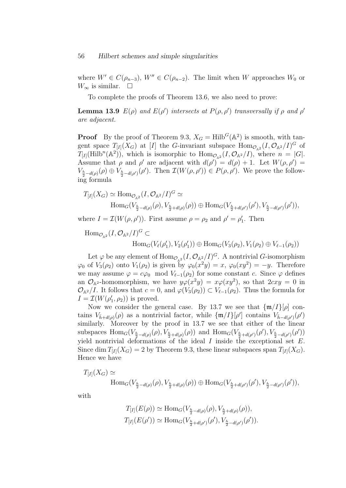where  $W' \in C(\rho_{n-3}), W'' \in C(\rho_{n-2})$ . The limit when W approaches  $W_0$  or  $W_{\infty}$  is similar.  $\square$ 

To complete the proofs of Theorem 13.6, we also need to prove:

**Lemma 13.9**  $E(\rho)$  and  $E(\rho')$  intersects at  $P(\rho, \rho')$  transversally if  $\rho$  and  $\rho'$ are adjacent.

**Proof** By the proof of Theorem 9.3,  $X_G = \text{Hilb}^G(\mathbb{A}^2)$  is smooth, with tangent space  $T_{[I]}(X_G)$  at [I] the G-invariant subspace  $\text{Hom}_{\mathcal{O}_{A^2}}(I,\mathcal{O}_{A^2}/I)^G$  of  $T_{[I]}(\mathrm{Hilb}^n(\mathbb{A}^2))$ , which is isomorphic to  $\mathrm{Hom}_{\mathcal{O}_{\mathbb{A}^2}}(I,\mathcal{O}_{\mathbb{A}^2}/I)$ , where  $n = |G|$ . Assume that  $\rho$  and  $\rho'$  are adjacent with  $d(\rho') = d(\rho) + 1$ . Let  $W(\rho, \rho') =$  $V_{\frac{h}{2}-d(\rho)}(\rho) \oplus V_{\frac{h}{2}-d(\rho')}(\rho').$  Then  $\mathcal{I}(W(\rho, \rho')) \in P(\rho, \rho').$  We prove the following formula

$$
T_{[I]}(X_G) \simeq \text{Hom}_{\mathcal{O}_{\mathbb{A}^2}}(I, \mathcal{O}_{\mathbb{A}^2}/I)^G \simeq
$$
  
 
$$
\text{Hom}_G(V_{\frac{h}{2}-d(\rho)}(\rho), V_{\frac{h}{2}+d(\rho)}(\rho)) \oplus \text{Hom}_G(V_{\frac{h}{2}+d(\rho')}(\rho'), V_{\frac{h}{2}-d(\rho')}(\rho')),
$$

where  $I = \mathcal{I}(W(\rho, \rho'))$ . First assume  $\rho = \rho_2$  and  $\rho' = \rho'_1$ . Then

$$
\text{Hom}_{\mathcal{O}_{\mathbb{A}^2}}(I, \mathcal{O}_{\mathbb{A}^2}/I)^G \subset \text{Hom}_G(V_{\ell}(\rho'_1), V_2(\rho'_1)) \oplus \text{Hom}_G(V_3(\rho_2), V_1(\rho_2) \oplus V_{\ell-1}(\rho_2))
$$

Let  $\varphi$  be any element of  $\text{Hom}_{\mathcal{O}_{\mathbb{A}^2}}(I,\mathcal{O}_{\mathbb{A}^2}/I)^G$ . A nontrivial G-isomorphism  $\varphi_0$  of  $V_3(\rho_2)$  onto  $V_1(\rho_2)$  is given by  $\varphi_0(x^2y) = x$ ,  $\varphi_0(xy^2) = -y$ . Therefore we may assume  $\varphi = c\varphi_0 \mod V_{\ell-1}(\rho_2)$  for some constant c. Since  $\varphi$  defines an  $\mathcal{O}_{A^2}$ -homomorphism, we have  $y\varphi(x^2y) = x\varphi(xy^2)$ , so that  $2cxy = 0$  in  $\mathcal{O}_{\mathbb{A}^2}/I$ . It follows that  $c = 0$ , and  $\varphi(V_3(\rho_2)) \subset V_{\ell-1}(\rho_2)$ . Thus the formula for  $I = \mathcal{I}(W(\rho'_1, \rho_2))$  is proved.

Now we consider the general case. By 13.7 we see that  $\{\mathfrak{m}/I\}[\rho]$  contains  $V_{\bar{h}+d(\rho)}(\rho)$  as a nontrivial factor, while  $\{\mathfrak{m}/I\}[\rho']$  contains  $V_{\bar{h}-d(\rho')}(\rho')$ similarly. Moreover by the proof in 13.7 we see that either of the linear subspaces  $\text{Hom}_G(V_{\frac{h}{2}-d(\rho)}(\rho), V_{\frac{h}{2}+d(\rho)}(\rho))$  and  $\text{Hom}_G(V_{\frac{h}{2}+d(\rho')}(\rho'), V_{\frac{h}{2}-d(\rho')}(\rho'))$ yield nontrivial deformations of the ideal  $I$  inside the exceptional set  $E$ . Since dim  $T_{[I]}(X_G) = 2$  by Theorem 9.3, these linear subspaces span  $T_{[I]}(X_G)$ . Hence we have

$$
T_{[I]}(X_G) \simeq \text{Hom}_G(V_{\frac{h}{2}-d(\rho)}(\rho), V_{\frac{h}{2}+d(\rho)}(\rho)) \oplus \text{Hom}_G(V_{\frac{h}{2}+d(\rho')}(\rho'), V_{\frac{h}{2}-d(\rho')}(\rho')),
$$

with

$$
T_{[I]}(E(\rho)) \simeq \text{Hom}_G(V_{\frac{h}{2}-d(\rho)}(\rho), V_{\frac{h}{2}+d(\rho)}(\rho)),
$$
  

$$
T_{[I]}(E(\rho')) \simeq \text{Hom}_G(V_{\frac{h}{2}+d(\rho')}(\rho'), V_{\frac{h}{2}-d(\rho')}(\rho')).
$$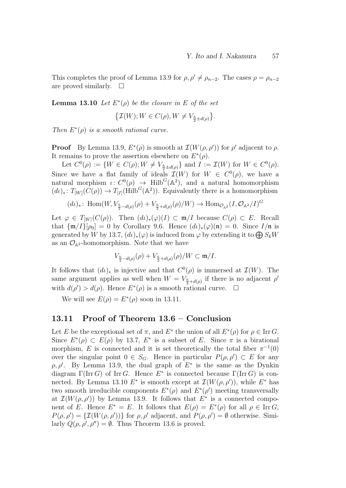This completes the proof of Lemma 13.9 for  $\rho, \rho' \neq \rho_{n-2}$ . The cases  $\rho = \rho_{n-2}$ are proved similarly.  $\square$ 

**Lemma 13.10** Let  $E^*(\rho)$  be the closure in E of the set

$$
\left\{\mathcal{I}(W); W \in C(\rho), W \neq V_{\frac{h}{2} \pm d(\rho)}\right\}.
$$

Then  $E^*(\rho)$  is a smooth rational curve.

**Proof** By Lemma 13.9,  $E^*(\rho)$  is smooth at  $\mathcal{I}(W(\rho, \rho'))$  for  $\rho'$  adjacent to  $\rho$ . It remains to prove the assertion elsewhere on  $E^*(\rho)$ .

Let  $C^0(\rho) := \{ W \in C(\rho) ; W \neq V_{\frac{h}{2} \pm d(\rho)} \}$  and  $I := \mathcal{I}(W)$  for  $W \in C^0(\rho)$ . Since we have a flat family of ideals  $\mathcal{I}(W)$  for  $W \in C^{0}(\rho)$ , we have a natural morphism  $\iota: C^0(\rho) \to \text{Hilb}^G(\mathbb{A}^2)$ , and a natural homomorphism  $(d\iota)_*: T_{[W]}(C(\rho)) \to T_{[I]}(\text{Hilb}^G(\mathbb{A}^2)).$  Equivalently there is a homomorphism

$$
(d\iota)_* \colon \operatorname{Hom}(W, V_{\frac{h}{2}-d(\rho)}(\rho) + V_{\frac{h}{2}+d(\rho)}(\rho)/W) \to \operatorname{Hom}_{\mathcal{O}_{\mathbb{A}^2}}(I, \mathcal{O}_{\mathbb{A}^2}/I)^G
$$

Let  $\varphi \in T_{[W]}(C(\rho))$ . Then  $(d\iota)_*(\varphi)(I) \subset \mathfrak{m}/I$  because  $C(\rho) \subset E$ . Recall that  $\{\mathfrak{m}/I\}[\rho_0] = 0$  by Corollary 9.6. Hence  $(d\iota)_*(\varphi)(\mathfrak{n}) = 0$ . Since  $I/\mathfrak{n}$  is generated by W by 13.7,  $(d\iota)_*(\varphi)$  is induced from  $\varphi$  by extending it to  $\bigoplus S_kW$ as an  $\mathcal{O}_{A^2}$ -homomorphism. Note that we have

$$
V_{\frac{h}{2}-d(\rho)}(\rho) + V_{\frac{h}{2}+d(\rho)}(\rho)/W \subset \mathfrak{m}/I.
$$

It follows that  $(d\iota)_*$  is injective and that  $C^0(\rho)$  is immersed at  $\mathcal{I}(W)$ . The same argument applies as well when  $W = V_{\frac{h}{2} + d(\rho)}$  if there is no adjacent  $\rho'$ with  $d(\rho') > d(\rho)$ . Hence  $E^*(\rho)$  is a smooth rational curve.  $\Box$ 

We will see  $E(\rho) = E^*(\rho)$  soon in 13.11.

### 13.11 Proof of Theorem 13.6 – Conclusion

Let E be the exceptional set of  $\pi$ , and  $E^*$  the union of all  $E^*(\rho)$  for  $\rho \in \text{Irr } G$ . Since  $E^*(\rho) \subset E(\rho)$  by 13.7,  $E^*$  is a subset of E. Since  $\pi$  is a birational morphism, E is connected and it is set theoretically the total fiber  $\pi^{-1}(0)$ over the singular point  $0 \in S_G$ . Hence in particular  $P(\rho, \rho') \subset E$  for any  $\rho, \rho'$ . By Lemma 13.9, the dual graph of  $E^*$  is the same as the Dynkin diagram  $\Gamma(\text{Irr } G)$  of Irr G. Hence  $E^*$  is connected because  $\Gamma(\text{Irr } G)$  is connected. By Lemma 13.10  $E^*$  is smooth except at  $\mathcal{I}(W(\rho, \rho'))$ , while  $E^*$  has two smooth irreducible components  $E^*(\rho)$  and  $E^*(\rho')$  meeting transversally at  $\mathcal{I}(W(\rho, \rho'))$  by Lemma 13.9. It follows that  $E^*$  is a connected component of E. Hence  $E^* = E$ . It follows that  $E(\rho) = E^*(\rho)$  for all  $\rho \in \text{Irr } G$ ,  $P(\rho, \rho') = \{ \mathcal{I}(W(\rho, \rho')) \}$  for  $\rho, \rho'$  adjacent, and  $P(\rho, \rho') = \emptyset$  otherwise. Similarly  $Q(\rho, \rho', \rho'') = \emptyset$ . Thus Theorem 13.6 is proved.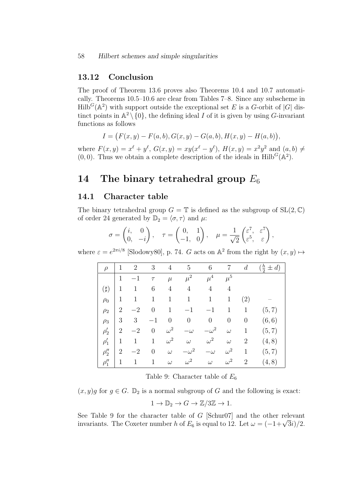### 13.12 Conclusion

The proof of Theorem 13.6 proves also Theorems 10.4 and 10.7 automatically. Theorems 10.5–10.6 are clear from Tables 7–8. Since any subscheme in  $\text{Hilb}^G(\mathbb{A}^2)$  with support outside the exceptional set E is a G-orbit of  $|G|$  distinct points in  $\mathbb{A}^2 \setminus \{0\}$ , the defining ideal I of it is given by using G-invariant functions as follows

$$
I = (F(x, y) - F(a, b), G(x, y) - G(a, b), H(x, y) - H(a, b)),
$$

where  $F(x, y) = x^{\ell} + y^{\ell}$ ,  $G(x, y) = xy(x^{\ell} - y^{\ell})$ ,  $H(x, y) = x^{2}y^{2}$  and  $(a, b) \neq$  $(0,0)$ . Thus we obtain a complete description of the ideals in Hilb<sup>G</sup>( $\mathbb{A}^2$ ).

## 14 The binary tetrahedral group  $E_6$

### 14.1 Character table

The binary tetrahedral group  $G = \mathbb{T}$  is defined as the subgroup of  $SL(2, \mathbb{C})$ of order 24 generated by  $\mathbb{D}_2 = \langle \sigma, \tau \rangle$  and  $\mu$ :

$$
\sigma = \begin{pmatrix} i, & 0 \\ 0, & -i \end{pmatrix}, \quad \tau = \begin{pmatrix} 0, & 1 \\ -1, & 0 \end{pmatrix}, \quad \mu = \frac{1}{\sqrt{2}} \begin{pmatrix} \varepsilon^7, & \varepsilon^7 \\ \varepsilon^5, & \varepsilon \end{pmatrix},
$$

where  $\varepsilon = e^{2\pi i/8}$  [Slodowy80], p. 74. G acts on  $\mathbb{A}^2$  from the right by  $(x, y) \mapsto$ 

| $\rho$     | 1              | $\overline{2}$ | 3                | 4                | $\overline{5}$   | $\,6$            | 7              | $\boldsymbol{d}$ | $(\frac{h}{2} \pm d)$ |
|------------|----------------|----------------|------------------|------------------|------------------|------------------|----------------|------------------|-----------------------|
|            | 1              | $-1$           | $\tau$           | $\mu$            | $\mu^2$          | $\mu^4$          | $\mu^5$        |                  |                       |
| $(\sharp)$ | 1              | $\mathbf{1}$   | 6                | $\overline{4}$   | 4                | 4                | $\overline{4}$ |                  |                       |
| $\rho_0$   | 1              | $\mathbf{1}$   | 1                | $\mathbf{1}$     | $\mathbf{1}$     | $\mathbf{1}$     | $\mathbf{1}$   | (2)              |                       |
| $\rho_2$   | $\overline{2}$ | $-2$           | $\theta$         | $\mathbf 1$      | $-1$             | $-1$             | 1              | $\mathbf{1}$     | (5, 7)                |
| $\rho_3$   | 3              | 3              | $-1$             | $\boldsymbol{0}$ | $\boldsymbol{0}$ | $\boldsymbol{0}$ | $\theta$       | $\boldsymbol{0}$ | (6, 6)                |
| $\rho'_2$  | $\overline{2}$ | $-2$           | $\theta$         | $\omega^2$       | $-\omega$        | $-\omega^2$      | $\omega$       | 1                | (5, 7)                |
| $\rho'_1$  | 1              | 1              | $\mathbf{1}$     | $\omega^2$       | $\omega$         | $\omega^2$       | $\omega$       | $\overline{2}$   | (4, 8)                |
| $\rho''_2$ | $\overline{2}$ | $-2$           | $\boldsymbol{0}$ | $\omega$         | $-\omega^2$      | $-\omega$        | $\omega^2$     | 1                | (5, 7)                |
| $\rho_1''$ | 1              | 1              | $\mathbf{1}$     | $\omega$         | $\omega^2$       | $\omega$         | $\omega^2$     | $\overline{2}$   | (4, 8)                |

Table 9: Character table of  $E_6$ 

 $(x, y)g$  for  $g \in G$ .  $\mathbb{D}_2$  is a normal subgroup of G and the following is exact:

$$
1 \to \mathbb{D}_2 \to G \to \mathbb{Z}/3\mathbb{Z} \to 1.
$$

See Table 9 for the character table of G [Schur07] and the other relevant See Table 9 for the character table of G [Schur $U$ ] and the other relevant<br>invariants. The Coxeter number h of  $E_6$  is equal to 12. Let  $\omega = (-1+\sqrt{3}i)/2$ .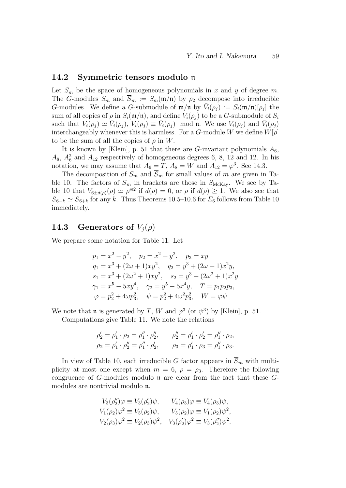#### 14.2 Symmetric tensors modulo n

Let  $S_m$  be the space of homogeneous polynomials in x and y of degree m. The G-modules  $S_m$  and  $S_m := S_m(\mathfrak{m}/\mathfrak{n})$  by  $\rho_2$  decompose into irreducible G-modules. We define a G-submodule of  $\mathfrak{m}/\mathfrak{n}$  by  $\bar{V}_i(\rho_j) := S_i(\mathfrak{m}/\mathfrak{n})[\rho_j]$  the sum of all copies of  $\rho$  in  $S_i(\mathfrak{m}/\mathfrak{n})$ , and define  $V_i(\rho_i)$  to be a G-submodule of  $S_i$ such that  $V_i(\rho_j) \simeq \bar{V}_i(\rho_j)$ ,  $V_i(\rho_j) \equiv \bar{V}_i(\rho_j)$  mod n. We use  $V_i(\rho_j)$  and  $\bar{V}_i(\rho_j)$ interchangeably whenever this is harmless. For a G-module W we define  $W[\rho]$ to be the sum of all the copies of  $\rho$  in W.

It is known by [Klein], p. 51 that there are G-invariant polynomials  $A_6$ ,  $A_8$ ,  $A_6^2$  and  $A_{12}$  respectively of homogeneous degrees 6, 8, 12 and 12. In his notation, we may assume that  $A_6 = T$ ,  $A_8 = W$  and  $A_{12} = \varphi^3$ . See 14.3.

The decomposition of  $S_m$  and  $\overline{S}_m$  for small values of m are given in Table 10. The factors of  $\overline{S}_m$  in brackets are those in  $S_{\text{McKay}}$ . We see by Table 10 that  $V_{6\pm d(\rho)}(\rho) \simeq \rho^{\oplus 2}$  if  $d(\rho) = 0$ , or  $\rho$  if  $d(\rho) \geq 1$ . We also see that  $\overline{S}_{6-k} \simeq \overline{S}_{6+k}$  for any k. Thus Theorems 10.5–10.6 for  $E_6$  follows from Table 10 immediately.

## 14.3 Generators of  $V_i(\rho)$

We prepare some notation for Table 11. Let

$$
p_1 = x^2 - y^2, \quad p_2 = x^2 + y^2, \quad p_3 = xy
$$
  
\n
$$
q_1 = x^3 + (2\omega + 1)xy^2, \quad q_2 = y^3 + (2\omega + 1)x^2y,
$$
  
\n
$$
s_1 = x^3 + (2\omega^2 + 1)xy^2, \quad s_2 = y^3 + (2\omega^2 + 1)x^2y
$$
  
\n
$$
\gamma_1 = x^5 - 5xy^4, \quad \gamma_2 = y^5 - 5x^4y, \quad T = p_1p_2p_3,
$$
  
\n
$$
\varphi = p_2^2 + 4\omega p_3^2, \quad \psi = p_2^2 + 4\omega^2 p_3^2, \quad W = \varphi \psi.
$$

We note that **n** is generated by T, W and  $\varphi^3$  (or  $\psi^3$ ) by [Klein], p. 51.

Computations give Table 11. We note the relations

$$
\rho'_2 = \rho'_1 \cdot \rho_2 = \rho''_1 \cdot \rho''_2, \qquad \rho''_2 = \rho'_1 \cdot \rho'_2 = \rho''_1 \cdot \rho_2, \n\rho_2 = \rho'_1 \cdot \rho''_2 = \rho''_1 \cdot \rho'_2, \qquad \rho_3 = \rho'_1 \cdot \rho_3 = \rho''_1 \cdot \rho_3.
$$

In view of Table 10, each irreducible G factor appears in  $\overline{S}_m$  with multiplicity at most one except when  $m = 6$ ,  $\rho = \rho_3$ . Therefore the following congruence of  $G$ -modules modulo  $\mathfrak n$  are clear from the fact that these  $G$ modules are nontrivial modulo n.

$$
V_3(\rho_2'')\varphi \equiv V_3(\rho_2')\psi, \qquad V_4(\rho_3)\varphi \equiv V_4(\rho_3)\psi, V_1(\rho_2)\varphi^2 \equiv V_5(\rho_2)\psi, \qquad V_5(\rho_2)\varphi \equiv V_1(\rho_2)\psi^2, V_2(\rho_3)\varphi^2 \equiv V_2(\rho_3)\psi^2, \qquad V_3(\rho_2')\varphi^2 \equiv V_3(\rho_2'')\psi^2.
$$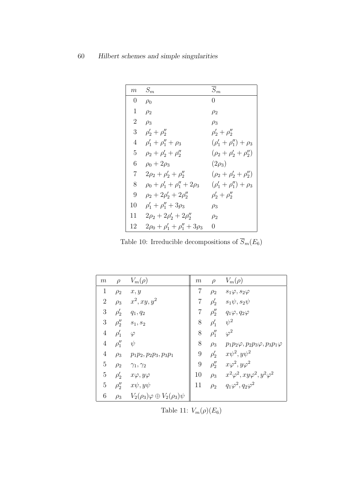| $\,m$          | $S_m$                                    | $\overline{S}_m$                |
|----------------|------------------------------------------|---------------------------------|
| $\overline{0}$ | $\rho_0$                                 | 0                               |
| 1              | $\rho_2$                                 | $\rho_2$                        |
| $\overline{2}$ | $\rho_3$                                 | $\rho_3$                        |
| 3              | $\rho'_{2} + \rho''_{2}$                 | $\rho'_2 + \rho''_2$            |
| 4              | $\rho'_1 + \rho''_1 + \rho_3$            | $(\rho'_1 + \rho''_1) + \rho_3$ |
| 5              | $\rho_2 + \rho'_2 + \rho''_2$            | $(\rho_2 + \rho'_2 + \rho''_2)$ |
| 6              | $\rho_0 + 2\rho_3$                       | $(2\rho_3)$                     |
| 7              | $2\rho_2 + \rho'_2 + \rho''_2$           | $(\rho_2 + \rho'_2 + \rho''_2)$ |
| 8              | $\rho_0 + \rho'_1 + \rho''_1 + 2\rho_3$  | $(\rho'_1 + \rho''_1) + \rho_3$ |
| 9              | $\rho_2 + 2\rho'_2 + 2\rho''_2$          | $\rho'_{2} + \rho''_{2}$        |
| 10             | $\rho'_1 + \rho''_1 + 3\rho_3$           | $\rho_3$                        |
| 11             | $2\rho_2 + 2\rho'_2 + 2\rho''_2$         | $\rho_2$                        |
| 12             | $2\rho_0 + \rho'_1 + \rho''_1 + 3\rho_3$ | 0                               |

Table 10: Irreducible decompositions of  $\overline{S}_m(E_6)$ 

| $m\,$          | $\rho$     | $V_m(\rho)$                                | m                | $\rho$     | $V_m(\rho)$                                      |
|----------------|------------|--------------------------------------------|------------------|------------|--------------------------------------------------|
| $\mathbf{1}$   | $\rho_2$   | x, y                                       | 7                | $\rho_2$   | $s_1\varphi, s_2\varphi$                         |
| $\overline{2}$ | $\rho_3$   | $x^2, xy, y^2$                             | $\overline{7}$   | $\rho'_2$  | $s_1\psi, s_2\psi$                               |
| 3              | $\rho'_2$  | $q_1, q_2$                                 | $\overline{7}$   | $\rho''_2$ | $q_1\varphi, q_2\varphi$                         |
| 3              | $\rho''_2$ | $s_1, s_2$                                 | 8                | $\rho'_1$  | $\psi^2$                                         |
| $\overline{4}$ | $\rho'_1$  | $\varphi$                                  | 8                | $\rho''_1$ | $\varphi^2$                                      |
| $\overline{4}$ | $\rho''_1$ | $\psi$                                     | 8                | $\rho_3$   | $p_1p_2\varphi, p_2p_3\varphi, p_3p_1\varphi$    |
| $\overline{4}$ | $\rho_3$   | $p_1p_2, p_2p_3, p_3p_1$                   | $\boldsymbol{9}$ |            | $\rho'_2$ $x\psi^2, y\psi^2$                     |
| $\mathbf 5$    | $\rho_2$   | $\gamma_1, \gamma_2$                       | 9                |            | $\rho_2''$ $x\varphi^2, y\varphi^2$              |
| $\bf 5$        | $\rho'_2$  | $x\varphi, y\varphi$                       | 10               |            | $ho_3$ $x^2\varphi^2, xy\varphi^2, y^2\varphi^2$ |
| $\overline{5}$ | $\rho''_2$ | $x\psi, y\psi$                             | 11               | $\rho_2$   | $q_1\varphi^2, q_2\varphi^2$                     |
| 6              | $\rho_3$   | $V_2(\rho_3)\varphi\oplus V_2(\rho_3)\psi$ |                  |            |                                                  |

Table 11:  $V_m(\rho)(E_6)$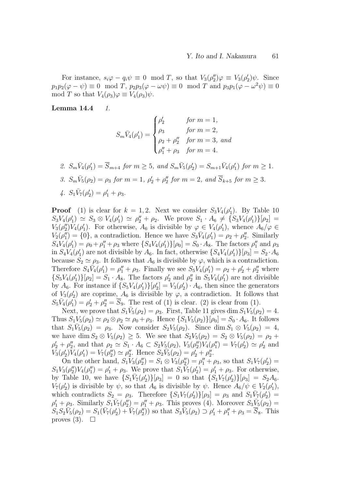For instance,  $s_i\varphi - q_i\psi \equiv 0 \mod T$ , so that  $V_3(\rho_2'')\varphi \equiv V_3(\rho_2')\psi$ . Since  $p_1p_2(\varphi - \psi) \equiv 0 \mod T$ ,  $p_2p_3(\varphi - \omega \psi) \equiv 0 \mod T$  and  $p_3p_1(\varphi - \omega^2 \psi) \equiv 0$ mod T so that  $V_4(\rho_3)\varphi \equiv V_4(\rho_3)\psi$ .

Lemma  $14.4$  1.

$$
S_m \bar{V}_4(\rho'_1) = \begin{cases} \rho'_2 & \text{for } m = 1, \\ \rho_3 & \text{for } m = 2, \\ \rho_2 + \rho''_2 & \text{for } m = 3, \text{ and} \\ \rho''_1 + \rho_3 & \text{for } m = 4. \end{cases}
$$

\n- \n
$$
S_m \bar{V}_4(\rho'_1) = \overline{S}_{m+4}
$$
 for  $m \geq 5$ , and  $S_m \bar{V}_5(\rho'_2) = S_{m+1} \bar{V}_4(\rho'_1)$  for  $m \geq 1$ .\n
\n- \n $S_m \bar{V}_5(\rho_2) = \rho_3$  for  $m = 1$ ,  $\rho'_2 + \rho''_2$  for  $m = 2$ , and  $\overline{S}_{k+5}$  for  $m \geq 3$ .\n
\n- \n $S_1 \bar{V}_7(\rho'_2) = \rho'_1 + \rho_3$ .\n
\n

**Proof** (1) is clear for  $k = 1, 2$ . Next we consider  $S_3V_4(\rho'_1)$ . By Table 10  $S_3V_4(\rho'_1) \simeq S_3 \otimes V_4(\rho'_1) \simeq \rho''_2 + \rho_2$ . We prove  $S_1 \cdot A_6 \neq \{S_3V_4(\rho'_1)\}[\rho_2] =$  $V_3(\rho_2'')V_4(\rho_1')$ . For otherwise,  $A_6$  is divisible by  $\varphi \in V_4(\rho_1')$ , whence  $A_6/\varphi \in$  $V_2(\rho_1'') = \{0\}$ , a contradiction. Hence we have  $S_3\bar{V}_4(\rho_1') = \rho_2 + \rho_2''$ . Similarly  $S_4V_4(\rho'_1) = \rho_0 + \rho''_1 + \rho_3$  where  $\{S_4V_4(\rho'_1)\}[\rho_0] = S_0 \cdot A_8$ . The factors  $\rho''_1$  and  $\rho_3$ in  $S_4V_4(\rho'_1)$  are not divisible by  $A_6$ . In fact, otherwise  $\{S_4V_4(\rho'_1)\}[\rho_3] = S_2 \cdot A_6$ because  $S_2 \simeq \rho_3$ . It follows that  $A_6$  is divisible by  $\varphi$ , which is a contradiction. Therefore  $S_4\bar{V}_4(\rho'_1) = \rho''_1 + \rho_3$ . Finally we see  $S_5V_4(\rho'_1) = \rho_2 + \rho'_2 + \rho''_2$  where  $\{S_5V_4(\rho'_1)\}[\rho_2] = S_1 \cdot A_8$ . The factors  $\rho'_2$  and  $\rho''_2$  in  $S_5V_4(\rho'_1)$  are not divisible by  $A_6$ . For instance if  $\{S_5V_4(\rho'_1)\}[\rho'_2] = V_3(\rho'_2) \cdot A_6$ , then since the generators of  $V_3(\rho'_2)$  are coprime,  $A_6$  is divisible by  $\varphi$ , a contradiction. It follows that  $S_5\bar{V}_4(\rho'_1) = \rho'_2 + \rho''_2 = \bar{S}_9$ . The rest of (1) is clear. (2) is clear from (1).

Next, we prove that  $S_1\bar{V}_5(\rho_2) = \rho_3$ . First, Table 11 gives dim  $S_1\bar{V}_5(\rho_2) = 4$ . Thus  $S_1V_5(\rho_2) \simeq \rho_2 \otimes \rho_2 \simeq \rho_0 + \rho_3$ . Hence  $\{S_1V_5(\rho_2)\}[\rho_0] = S_0 \cdot A_6$ . It follows that  $S_1\bar{V}_5(\rho_2) = \rho_3$ . Now consider  $S_2V_5(\rho_2)$ . Since dim  $S_1 \otimes V_5(\rho_2) = 4$ , we have dim  $S_2 \otimes V_5(\rho_2) \geq 5$ . We see that  $S_2V_5(\rho_2) = S_2 \otimes V_5(\rho_2) = \rho_2 +$  $\rho'_2 + \rho''_2$ , and that  $\rho_2 \simeq S_1 \cdot A_6 \subset S_2V_5(\rho_2)$ ,  $V_3(\rho''_2)V_4(\rho''_1) = V_7(\rho'_2) \simeq \rho'_2$  and  $V_3(\rho'_2)V_4(\rho'_1) = V_7(\rho''_2) \simeq \rho''_2$ . Hence  $S_2\bar{V}_5(\rho_2) = \rho'_2 + \rho''_2$ .

On the other hand,  $S_1 V_3(\rho_2'') = S_1 \otimes V_3(\rho_2'') = \rho_1'' + \rho_3$ , so that  $S_1 V_7(\rho_2') =$  $S_1V_3(\rho_2'')V_4(\rho_1'') = \rho_1' + \rho_3$ . We prove that  $S_1\overline{V}_7(\rho_2') = \rho_1' + \rho_3$ . For otherwise, by Table 10, we have  $\{S_1\bar{V}_7(\rho'_2)\}[\rho_3] = 0$  so that  $\{S_1V_7(\rho'_2)\}[\rho_3] = S_2A_6$ .  $V_7(\rho'_2)$  is divisible by  $\psi$ , so that  $A_6$  is divisible by  $\psi$ . Hence  $A_6/\psi \in V_2(\rho'_1)$ , which contradicts  $S_2 = \rho_3$ . Therefore  $\{S_1 V_7(\rho'_2)\} [\rho_3] = \rho_3$  and  $S_1 \overline{V}_7(\rho'_2) =$  $\rho'_1 + \rho_3$ . Similarly  $S_1\bar{V}_7(\rho''_2) = \rho''_1 + \rho_3$ . This proves (4). Moreover  $S_3\bar{V}_5(\rho_2) =$  $S_1S_2\bar{V}_5(\rho_2) = S_1(\bar{V}_7(\rho_2') + \bar{V}_7(\rho_2''))$  so that  $S_3\bar{V}_5(\rho_2) \supset \rho_1' + \rho_1'' + \rho_3 = \bar{S}_8$ . This proves  $(3)$ .  $\Box$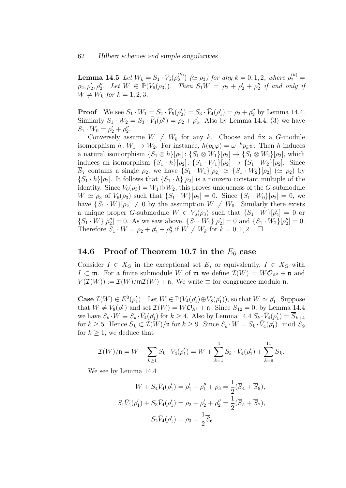${\bf Lemma \ 14.5 \ \ } Let \ W_k = S_1 \cdot \bar{V}_5(\rho_2^{(k)})$  $2^{(k)}_2$  ( $\simeq \rho_3$ ) for any  $k = 0, 1, 2$ , where  $\rho_2^{(k)} =$  $\rho_2, \rho'_2, \rho''_2$ . Let  $W \in \mathbb{P}(V_6(\rho_3))$ . Then  $S_1W = \rho_2 + \rho'_2 + \rho''_2$  if and only if  $W \neq W_k$  for  $k = 1, 2, 3$ .

**Proof** We see  $S_1 \cdot W_1 = S_2 \cdot \bar{V}_5(\rho'_2) = S_3 \cdot \bar{V}_4(\rho'_1) = \rho_2 + \rho''_2$  by Lemma 14.4. Similarly  $S_1 \cdot W_2 = S_3 \cdot \bar{V}_4(\rho_1'') = \rho_2 + \rho_2'$ . Also by Lemma 14.4, (3) we have  $S_1 \cdot W_0 = \rho'_2 + \rho''_2.$ 

Conversely assume  $W \neq W_k$  for any k. Choose and fix a G-module isomorphism  $h: W_1 \to W_2$ . For instance,  $h(p_k\varphi) = \omega^{-k}p_k\psi$ . Then h induces a natural isomorphism  $\{S_1 \otimes h\}[\rho_2]: \{S_1 \otimes W_1\}[\rho_2] \to \{S_1 \otimes W_2\}[\rho_2]$ , which induces an isomorphism  $\{S_1 \cdot h\}[\rho_2] : \{S_1 \cdot W_1\}[\rho_2] \rightarrow \{S_1 \cdot W_2\}[\rho_2]$ . Since  $\overline{S}_7$  contains a single  $\rho_2$ , we have  $\{S_1 \cdot W_1\}[\rho_2] \simeq \{S_1 \cdot W_2\}[\rho_2] \; (\simeq \rho_2)$  by  $\{S_1 \cdot h\}[\rho_2]$ . It follows that  $\{S_1 \cdot h\}[\rho_2]$  is a nonzero constant multiple of the identity. Since  $V_6(\rho_3) = W_1 \oplus W_2$ , this proves uniqueness of the G-submodule  $W \simeq \rho_3$  of  $V_6(\rho_3)$  such that  $\{S_1 \cdot W\}[\rho_2] = 0$ . Since  $\{S_1 \cdot W_0\}[\rho_2] = 0$ , we have  $\{S_1 \cdot W\}[\rho_2] \neq 0$  by the assumption  $W \neq W_0$ . Similarly there exists a unique proper G-submodule  $W \in V_6(\rho_3)$  such that  $\{S_1 \cdot W\}[\rho'_2] = 0$  or  $\{S_1 \cdot W\}[\rho''_2] = 0$ . As we saw above,  $\{S_1 \cdot W_1\}[\rho'_2] = 0$  and  $\{S_1 \cdot W_2\}[\rho''_2] = 0$ . Therefore  $S_1 \cdot W = \rho_2 + \rho_2' + \rho_2''$  if  $W \neq W_k$  for  $k = 0, 1, 2$ .

## 14.6 Proof of Theorem 10.7 in the  $E_6$  case

Consider  $I \in X_G$  in the exceptional set E, or equivalently,  $I \in X_G$  with  $I \subset \mathfrak{m}$ . For a finite submodule W of  $\mathfrak{m}$  we define  $\mathcal{I}(W) = W\mathcal{O}_{\mathbb{A}^2} + \mathfrak{n}$  and  $V(\mathcal{I}(W)) := \mathcal{I}(W)/m\mathcal{I}(W) + \mathfrak{n}$ . We write  $\equiv$  for congruence modulo  $\mathfrak{n}$ .

**Case**  $\mathcal{I}(W) \in E^0(\rho'_1)$  Let  $W \in \mathbb{P}(V_4(\rho'_1) \oplus V_8(\rho'_1))$ , so that  $W \simeq \rho'_1$ . Suppose that  $W \neq V_8(\rho'_1)$  and set  $\mathcal{I}(W) = W\mathcal{O}_{\mathbb{A}^2} + \mathfrak{n}$ . Since  $\overline{S}_{12} = 0$ , by Lemma 14.4 we have  $S_k \cdot W \equiv S_k \cdot \bar{V}_4(\rho'_1)$  for  $k \geq 4$ . Also by Lemma 14.4  $S_k \cdot \bar{V}_4(\rho'_1) = \overline{S}_{k+4}$ for  $k \ge 5$ . Hence  $\overline{S}_k \subset \mathcal{I}(W)/\mathfrak{n}$  for  $k \ge 9$ . Since  $S_k \cdot W = S_k \cdot \overline{V}_4(\rho'_1) \mod \overline{S}_9$ for  $k \geq 1$ , we deduce that

$$
\mathcal{I}(W)/\mathfrak{n} = W + \sum_{k \ge 1} S_k \cdot \bar{V}_4(\rho'_1) = W + \sum_{k=1}^4 S_k \cdot \bar{V}_4(\rho'_1) + \sum_{k=9}^{11} \overline{S}_k.
$$

We see by Lemma 14.4

$$
W + S_4 \bar{V}_4(\rho'_1) = \rho'_1 + \rho''_1 + \rho_3 = \frac{1}{2} (\overline{S}_4 + \overline{S}_8),
$$
  

$$
S_1 \bar{V}_4(\rho'_1) + S_3 \bar{V}_4(\rho'_1) = \rho_2 + \rho'_2 + \rho''_2 = \frac{1}{2} (\overline{S}_5 + \overline{S}_7),
$$
  

$$
S_2 \bar{V}_4(\rho'_1) = \rho_3 = \frac{1}{2} \overline{S}_6.
$$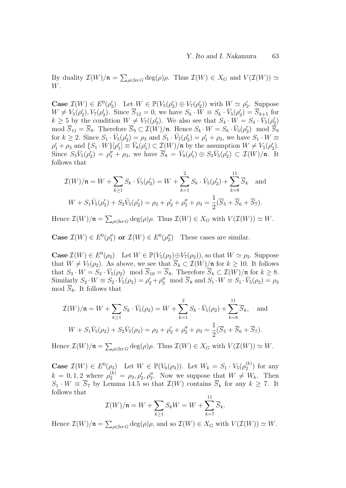By duality  $\mathcal{I}(W)/\mathfrak{n} = \sum_{\rho \in \text{Irr } G} \deg(\rho) \rho$ . Thus  $\mathcal{I}(W) \in X_G$  and  $V(\mathcal{I}(W)) \simeq$ W.

Case  $\mathcal{I}(W) \in E^0(\rho'_2)$  Let  $W \in \mathbb{P}(V_5(\rho'_2) \oplus V_7(\rho'_2))$  with  $W \simeq \rho'_2$ . Suppose  $W \neq V_5(\rho'_2), V_7(\rho'_2)$ . Since  $\overline{S}_{12} = 0$ , we have  $S_k \cdot \overline{W} \equiv S_k \cdot \overline{V}_5(\rho'_2) = \overline{S}_{k+5}$  for  $k \geq 5$  by the condition  $W \neq V_7((\rho'_2)$ . We also see that  $S_4 \cdot W = S_4 \cdot V_5(\rho'_2)$ mod  $\overline{S}_{11} = \overline{S}_9$ . Therefore  $\overline{S}_9 \subset \mathcal{I}(W)/\mathfrak{n}$ . Hence  $S_k \cdot W = S_k \cdot \overline{V}_5(\rho_2') \mod \overline{\overline{S}}_9$ for  $k \geq 2$ . Since  $S_1 \cdot \bar{V}_5(\rho'_2) = \rho_3$  and  $S_1 \cdot \bar{V}_7(\rho'_2) = \rho'_1 + \rho_3$ , we have  $S_1 \cdot W \equiv$  $\rho'_1 + \rho_3$  and  $\{S_1 \cdot W\}[\rho'_1] \equiv \bar{V}_8(\rho'_1) \subset \mathcal{I}(W)/\mathfrak{n}$  by the assumption  $W \neq V_5(\rho'_2)$ . Since  $S_3\bar{V}_5(\rho'_2) = \rho''_1 + \rho_3$ , we have  $\bar{S}_8 = \bar{V}_8(\rho'_1) \oplus S_3\bar{V}_5(\rho'_2) \subset \mathcal{I}(W)/\mathfrak{n}$ . It follows that

$$
\mathcal{I}(W)/\mathfrak{n} = W + \sum_{k \ge 1} S_k \cdot \bar{V}_5(\rho'_2) = W + \sum_{k=1}^2 S_k \cdot \bar{V}_5(\rho'_2) + \sum_{k=8}^{11} \overline{S}_k \text{ and}
$$
  
 
$$
W + S_1 \bar{V}_5(\rho'_2) + S_2 \bar{V}_5(\rho'_2) = \rho_2 + \rho'_2 + \rho''_2 + \rho_3 = \frac{1}{2} (\overline{S}_5 + \overline{S}_6 + \overline{S}_7).
$$

Hence  $\mathcal{I}(W)/\mathfrak{n} = \sum_{\rho \in \text{Irr } G} \deg(\rho)\rho$ . Thus  $\mathcal{I}(W) \in X_G$  with  $V(\mathcal{I}(W)) \simeq W$ .

**Case**  $\mathcal{I}(W) \in E^0(\rho_1'')$  or  $\mathcal{I}(W) \in E^0(\rho_2'')$  These cases are similar.

**Case**  $\mathcal{I}(W) \in E^0(\rho_2)$  Let  $W \in \mathbb{P}(V_5(\rho_2) \oplus V_7(\rho_2))$ , so that  $W \simeq \rho_2$ . Suppose that  $W \neq V_7(\rho_2)$ . As above, we see that  $\overline{S}_k \subset \mathcal{I}(W)/\mathfrak{n}$  for  $k \geq 10$ . It follows that  $S_3 \cdot W = S_3 \cdot \bar{V}_5(\rho_2) \mod \overline{S}_{10} = \overline{S}_8$ . Therefore  $\overline{S}_k \subset \mathcal{I}(W)/\mathfrak{n}$  for  $k \geq 8$ . Similarly  $S_2 \cdot W \equiv S_2 \cdot \bar{V}_5(\rho_2) = \rho_2' + \rho_2'' \mod \overline{S}_8$  and  $S_1 \cdot W \equiv S_1 \cdot \bar{V}_5(\rho_2) = \rho_3$ mod  $\overline{S}_8$ . It follows that

$$
\mathcal{I}(W)/\mathfrak{n} = W + \sum_{k \ge 1} S_k \cdot \bar{V}_5(\rho_2) = W + \sum_{k=1}^2 S_k \cdot \bar{V}_5(\rho_2) + \sum_{k=8}^{11} \overline{S}_k, \text{ and}
$$
  
 
$$
W + S_1 \bar{V}_5(\rho_2) + S_2 \bar{V}_5(\rho_2) = \rho_2 + \rho_2' + \rho_2'' + \rho_3 = \frac{1}{2} (\overline{S}_5 + \overline{S}_6 + \overline{S}_7).
$$

Hence  $\mathcal{I}(W)/\mathfrak{n} = \sum_{\rho \in \text{Irr } G} \deg(\rho)\rho$ . Thus  $\mathcal{I}(W) \in X_G$  with  $V(\mathcal{I}(W)) \simeq W$ .

**Case**  $\mathcal{I}(W) \in E^{0}(\rho_3)$  Let  $W \in \mathbb{P}(V_6(\rho_3))$ . Let  $W_k = S_1 \cdot V_5(\rho_2^{(k)})$  $2^{(\kappa)}$  for any  $k = 0, 1, 2$  where  $\rho_2^{(k)} = \rho_2, \rho_2', \rho_2''$ . Now we suppose that  $W \neq W_k$ . Then  $S_1 \cdot W \equiv S_7$  by Lemma 14.5 so that  $\mathcal{I}(W)$  contains  $S_k$  for any  $k \geq 7$ . It follows that 11

$$
\mathcal{I}(W)/\mathfrak{n} = W + \sum_{k \ge 1} S_k W = W + \sum_{k=7}^{11} \overline{S}_k.
$$

Hence  $\mathcal{I}(W)/\mathfrak{n} = \sum_{\rho \in \text{Irr } G} \deg(\rho)\rho$ , and so  $\mathcal{I}(W) \in X_G$  with  $V(\mathcal{I}(W)) \simeq W$ .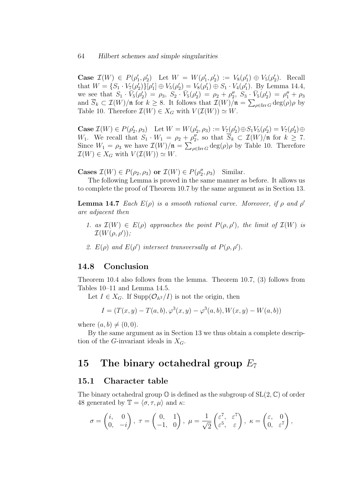#### 64 Hilbert schemes and simple singularities

Case  $\mathcal{I}(W) \in P(\rho'_1, \rho'_2)$  Let  $W = W(\rho'_1, \rho'_2) := V_8(\rho'_1) \oplus V_5(\rho'_2)$ . Recall that  $W = \{S_1 \cdot V_7(\rho'_2)\} [\rho'_1] \oplus V_5(\rho'_2) = V_8(\rho'_1) \oplus S_1 \cdot V_4(\rho'_1)$ . By Lemma 14.4, we see that  $S_1 \cdot \overline{V}_5(\rho'_2) = \rho_3$ ,  $S_2 \cdot \overline{V}_5(\rho'_2) = \rho_2 + \rho''_2$ ,  $S_3 \cdot \overline{V}_5(\rho'_2) = \rho''_1 + \rho_3$ and  $\overline{S}_k \subset \mathcal{I}(W)/\mathfrak{n}$  for  $k \geq 8$ . It follows that  $\mathcal{I}(W)/\mathfrak{n} = \sum_{\rho \in \text{Irr } G} \text{deg}(\rho) \rho$  by Table 10. Therefore  $\mathcal{I}(W) \in X_G$  with  $V(\mathcal{I}(W)) \simeq W$ .

Case  $\mathcal{I}(W) \in P(\rho'_2, \rho_3)$  Let  $W = W(\rho'_2, \rho_3) := V_7(\rho'_2) \oplus S_1 V_5(\rho'_2) = V_7(\rho'_2) \oplus$ W<sub>1</sub>. We recall that  $S_1 \cdot W_1 = \rho_2 + \rho_2''$ , so that  $\overline{S}_k \subset \mathcal{I}(W)/\mathfrak{n}$  for  $k \geq 7$ . Since  $W_1 = \rho_3$  we have  $\mathcal{I}(W)/\mathfrak{n} = \sum_{\rho \in \text{Irr } G} \text{deg}(\rho) \rho$  by Table 10. Therefore  $\mathcal{I}(W) \in X_G$  with  $V(\mathcal{I}(W)) \simeq W$ .

Cases  $\mathcal{I}(W) \in P(\rho_2, \rho_3)$  or  $\mathcal{I}(W) \in P(\rho_2'', \rho_3)$  Similar.

The following Lemma is proved in the same manner as before. It allows us to complete the proof of Theorem 10.7 by the same argument as in Section 13.

**Lemma 14.7** Each  $E(\rho)$  is a smooth rational curve. Moreover, if  $\rho$  and  $\rho'$ are adjacent then

- 1. as  $\mathcal{I}(W) \in E(\rho)$  approaches the point  $P(\rho, \rho')$ , the limit of  $\mathcal{I}(W)$  is  $\mathcal{I}(W(\rho,\rho'))$ ;
- 2.  $E(\rho)$  and  $E(\rho')$  intersect transversally at  $P(\rho, \rho')$ .

### 14.8 Conclusion

Theorem 10.4 also follows from the lemma. Theorem 10.7, (3) follows from Tables 10–11 and Lemma 14.5.

Let  $I \in X_G$ . If Supp $(\mathcal{O}_{A^2}/I)$  is not the origin, then

$$
I = (T(x, y) - T(a, b), \varphi^{3}(x, y) - \varphi^{3}(a, b), W(x, y) - W(a, b))
$$

where  $(a, b) \neq (0, 0)$ .

By the same argument as in Section 13 we thus obtain a complete description of the G-invariant ideals in  $X_G$ .

## 15 The binary octahedral group  $E_7$

#### 15.1 Character table

The binary octahedral group  $\mathbb O$  is defined as the subgroup of  $SL(2,\mathbb C)$  of order 48 generated by  $\mathbb{T} = \langle \sigma, \tau, \mu \rangle$  and  $\kappa$ :

$$
\sigma = \begin{pmatrix} i, & 0 \\ 0, & -i \end{pmatrix}, \ \tau = \begin{pmatrix} 0, & 1 \\ -1, & 0 \end{pmatrix}, \ \mu = \frac{1}{\sqrt{2}} \begin{pmatrix} \varepsilon^7, & \varepsilon^7 \\ \varepsilon^5, & \varepsilon \end{pmatrix}, \ \kappa = \begin{pmatrix} \varepsilon, & 0 \\ 0, & \varepsilon^7 \end{pmatrix},
$$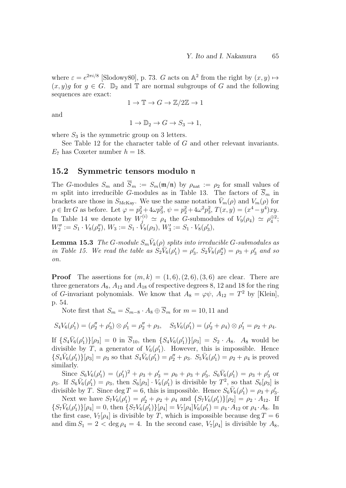where  $\varepsilon = e^{2\pi i/8}$  [Slodowy80], p. 73. G acts on  $\mathbb{A}^2$  from the right by  $(x, y) \mapsto$  $(x, y)$ g for  $g \in G$ .  $\mathbb{D}_2$  and  $\mathbb{T}$  are normal subgroups of G and the following sequences are exact:

$$
1 \to \mathbb{T} \to G \to \mathbb{Z}/2\mathbb{Z} \to 1
$$

and

$$
1 \to \mathbb{D}_2 \to G \to S_3 \to 1,
$$

where  $S_3$  is the symmetric group on 3 letters.

See Table 12 for the character table of G and other relevant invariants.  $E_7$  has Coxeter number  $h = 18$ .

#### 15.2 Symmetric tensors modulo n

The G-modules  $S_m$  and  $\overline{S}_m := S_m(\mathfrak{m}/\mathfrak{n})$  by  $\rho_{\text{nat}} := \rho_2$  for small values of m split into irreducible G-modules as in Table 13. The factors of  $\overline{S}_m$  in brackets are those in  $S_{\text{McKay}}$ . We use the same notation  $\bar{V}_m(\rho)$  and  $V_m(\rho)$  for  $\rho \in \text{Irr } G$  as before. Let  $\varphi = p_2^2 + 4\omega p_3^2$ ,  $\psi = p_2^2 + 4\omega^2 p_3^2$ ,  $T(x, y) = (x^4 - y^4)xy$ . In Table 14 we denote by  $W_j^{(i)} \simeq \rho_4$  the G-submodules of  $V_9(\rho_4) \simeq \rho_4^{\oplus 2}$ ;  $W_2'':= S_1 \cdot V_8(\rho_2''), W_3:= S_1 \cdot V_8(\rho_3), W_3':= S_1 \cdot V_8(\rho_3'),$ 

**Lemma 15.3** The G-module  $S_m \bar{V}_k(\rho)$  splits into irreducible G-submodules as in Table 15. We read the table as  $S_2\bar{V}_6(\rho'_1) = \rho'_3$ ,  $S_2\bar{V}_8(\rho''_2) = \rho_3 + \rho'_3$  and so on.

**Proof** The assertions for  $(m, k) = (1, 6), (2, 6), (3, 6)$  are clear. There are three generators  $A_8$ ,  $A_{12}$  and  $A_{18}$  of respective degrees 8, 12 and 18 for the ring of G-invariant polynomials. We know that  $A_8 = \varphi \psi$ ,  $A_{12} = T^2$  by [Klein], p. 54.

Note first that  $S_m = S_{m-8} \cdot A_8 \oplus \overline{S}_m$  for  $m = 10, 11$  and

$$
S_4V_6(\rho'_1)=(\rho''_2+\rho'_3)\otimes\rho'_1=\rho''_2+\rho_3,\quad S_5V_6(\rho'_1)=(\rho'_2+\rho_4)\otimes\rho'_1=\rho_2+\rho_4.
$$

If  $\{S_4\bar{V}_6(\rho'_1)\}[\rho_3] = 0$  in  $\bar{S}_{10}$ , then  $\{S_4V_6(\rho'_1)\}[\rho_3] = S_2 \cdot A_8$ .  $A_8$  would be divisible by T, a generator of  $V_6(\rho'_1)$ . However, this is impossible. Hence  $\{S_4\bar{V}_6(\rho'_1)\}[\rho_3] = \rho_3$  so that  $S_4\bar{V}_6(\rho'_1) = \rho''_2 + \rho_3$ .  $S_5\bar{V}_6(\rho'_1) = \rho_2 + \rho_4$  is proved similarly.

Since  $S_6V_6(\rho'_1) = (\rho'_1)^2 + \rho_3 + \rho'_3 = \rho_0 + \rho_3 + \rho'_3$ ,  $S_6\bar{V}_6(\rho'_1) = \rho_3 + \rho'_3$  or  $\rho_3$ . If  $S_6\bar{V}_6(\rho'_1) = \rho_3$ , then  $S_6[\rho_3] \cdot V_6(\rho'_1)$  is divisible by  $T^2$ , so that  $S_6[\rho_3]$  is divisible by T. Since  $\deg T = 6$ , this is impossible. Hence  $S_6\bar{V}_6(\rho'_1) = \rho_3 + \rho'_3$ .

Next we have  $S_7V_6(\rho'_1) = \rho'_2 + \rho_2 + \rho_4$  and  $\{S_7V_6(\rho'_1)\}[\rho_2] = \rho_2 \cdot A_{12}$ . If  $\{S_7\bar{V}_6(\rho'_1)\}[\rho_4] = 0$ , then  $\{S_7V_6(\rho'_1)\}[\rho_4] = V_7[\rho_4]V_6(\rho'_1) = \rho_4 \cdot A_{12}$  or  $\rho_4 \cdot A_8$ . In the first case,  $V_7[\rho_4]$  is divisible by T, which is impossible because deg  $T = 6$ and dim  $S_1 = 2 < \deg \rho_4 = 4$ . In the second case,  $V_7[\rho_4]$  is divisible by  $A_8$ ,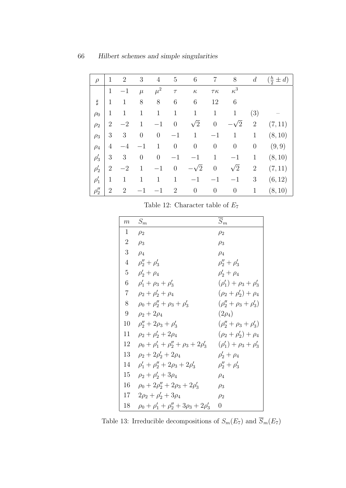| $\rho$     | 1              | $\overline{2}$ | 3                | 4              | $\overline{5}$ | 6              | 7                | 8                | $\boldsymbol{d}$ | $(\frac{h}{2} \pm d)$ |
|------------|----------------|----------------|------------------|----------------|----------------|----------------|------------------|------------------|------------------|-----------------------|
|            | 1              | $-1$           | $\mu$            | $\mu^2$        | $\tau$         | $\kappa$       | $\tau\kappa$     | $\kappa^3$       |                  |                       |
| Ħ          | 1              | 1              | 8                | 8              | 6              | 6              | 12               | 6                |                  |                       |
| $\rho_0$   | 1              | $\mathbf{1}$   | $\mathbf 1$      | $\mathbf{1}$   | $\mathbf{1}$   | $\mathbf{1}$   | 1                | $\mathbf{1}$     | (3)              |                       |
| $\rho_2$   | $\overline{2}$ | $-2$           | $\mathbf{1}$     | $^{-1}$        | $\overline{0}$ | $\sqrt{2}$     | $\boldsymbol{0}$ | $-\sqrt{2}$      | $\sqrt{2}$       | (7, 11)               |
| $\rho_3$   | 3              | 3              | $\boldsymbol{0}$ | $\theta$       | $-1$           | $\mathbf{1}$   | $-1$             | $\mathbf{1}$     | $\mathbf{1}$     | (8, 10)               |
| $\rho_4$   | $\overline{4}$ | $-4$           |                  | $\mathbf{1}$   | $\overline{0}$ | $\overline{0}$ | $\theta$         | $\overline{0}$   | $\theta$         | (9,9)                 |
| $\rho'_3$  | 3              | 3              | $\boldsymbol{0}$ | $\overline{0}$ | $-1$           | $-1$           | 1                | $-1$             | $\mathbf{1}$     | (8, 10)               |
| $\rho'_2$  | $\overline{2}$ | $-2$           | 1                | $-1$           | $\overline{0}$ | $\sqrt{2}$     | $\boldsymbol{0}$ | $\sqrt{2}$       | $\overline{2}$   | (7, 11)               |
| $\rho'_1$  | 1              | 1              | 1                | $\mathbf{1}$   | $\mathbf{1}$   | $-1$           | $^{-1}$          | $-1$             | 3                | (6, 12)               |
| $\rho''_2$ | $\overline{2}$ | $\overline{2}$ |                  | $-1$           | $\overline{2}$ | $\overline{0}$ | $\boldsymbol{0}$ | $\boldsymbol{0}$ | 1                | (8, 10)               |

Table 12: Character table of  $E_7$ 

| m              | $S_m$                                              | $S_m$                           |
|----------------|----------------------------------------------------|---------------------------------|
| 1              | $\rho_2$                                           | $\rho_2$                        |
| $\overline{2}$ | $\rho_3$                                           | $\rho_3$                        |
| 3              | $\rho_4$                                           | $\rho_4$                        |
| 4              | $\rho''_2 + \rho'_3$                               | $\rho''_2 + \rho'_3$            |
| 5              | $\rho'_2 + \rho_4$                                 | $\rho'_2 + \rho_4$              |
| 6              | $\rho'_1 + \rho_3 + \rho'_3$                       | $(\rho'_1) + \rho_3 + \rho'_3$  |
| $\overline{7}$ | $\rho_2 + \rho'_2 + \rho_4$                        | $(\rho_2 + \rho'_2) + \rho_4$   |
| 8              | $\rho_0 + \rho_2'' + \rho_3 + \rho_3'$             | $(\rho''_2 + \rho_3 + \rho'_3)$ |
| 9              | $\rho_2 + 2\rho_4$                                 | $(2\rho_4)$                     |
| 10             | $\rho''_2 + 2\rho_3 + \rho'_3$                     | $(\rho_2'' + \rho_3 + \rho_3')$ |
| 11             | $\rho_2 + \rho'_2 + 2\rho_4$                       | $(\rho_2 + \rho'_2) + \rho_4$   |
| 12             | $\rho_0 + \rho'_1 + \rho''_2 + \rho_3 + 2\rho'_3$  | $(\rho'_1) + \rho_3 + \rho'_3$  |
| 13             | $\rho_2 + 2\rho'_2 + 2\rho_4$                      | $\rho'_2 + \rho_4$              |
| 14             | $\rho'_1 + \rho''_2 + 2\rho_3 + 2\rho'_3$          | $\rho''_2 + \rho'_3$            |
| 15             | $\rho_2 + \rho'_2 + 3\rho_4$                       | $\rho_4$                        |
| 16             | $\rho_0 + 2\rho_2'' + 2\rho_3 + 2\rho_3'$          | $\rho_3$                        |
| 17             | $2\rho_2 + \rho'_2 + 3\rho_4$                      | $\rho_2$                        |
| 18             | $\rho_0 + \rho'_1 + \rho''_2 + 3\rho_3 + 2\rho'_3$ | $\theta$                        |

Table 13: Irreducible decompositions of  $S_m(E_7)$  and  $\overline{S}_m(E_7)$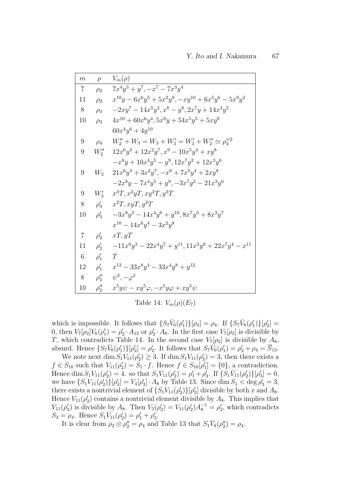| $\,m$          | $\rho$      | $V_m(\rho)$                                                                      |
|----------------|-------------|----------------------------------------------------------------------------------|
| $\overline{7}$ | $\rho_2$    | $7x^4y^3 + y^7, -x^7 - 7x^3y^4$                                                  |
| 11             | $\rho_2$    | $x^{10}y - 6x^6y^5 + 5x^2y^9, -xy^{10} + 6x^5y^6 - 5x^9y^2$                      |
| 8              | $\rho_3$    | $-2xy^7 - 14x^5y^3, x^8 - y^8, 2x^7y + 14x^3y^5$                                 |
| 10             | $\rho_3$    | $4x^{10} + 60x^6y^4$ , $5x^9y + 54x^5y^5 + 5xy^9$                                |
|                |             | $60x^4y^6 + 4y^{10}$                                                             |
| 9              | $\rho_4$    | $W''_2 + W_3 = W_3 + W'_3 = W'_3 + W''_2 \simeq \rho_4^{\oplus 2}$               |
| 9              |             | $W_2''$ $12x^6y^3 + 12x^2y^7$ , $x^9 - 10x^5y^4 + xy^8$                          |
|                |             | $-x^8y+10x^4y^5-y^9, 12x^7y^2+12x^3y^6$                                          |
| 9              |             | $W_3$ $21x^6y^3 + 3x^2y^7, -x^9 + 7x^5y^4 + 2xy^8$                               |
|                |             | $-2x^8y - 7x^4y^5 + y^9, -3x^7y^2 - 21x^3y^6$                                    |
| 9              |             | $W'_3$ $x^3T, x^2yT, xy^2T, y^3T$                                                |
| 8              |             | $\rho'_3$ $x^2T, xyT, y^2T$                                                      |
| 10             |             | $\rho'_3$ $-3x^8y^2 - 14x^4y^6 + y^{10}, 8x^7y^3 + 8x^3y^7$                      |
|                |             | $x^{10} - 14x^6y^4 - 3x^2y^8$                                                    |
| $\overline{7}$ | $\rho'_{2}$ | xT, yT                                                                           |
| 11             | $\rho'_2$   | $-11x^{8}y^{3} - 22x^{4}y^{7} + y^{11}$ , $11x^{3}y^{8} + 22x^{7}y^{4} - x^{11}$ |
| $\,6\,$        | $\rho'_1$ T |                                                                                  |
| 12             |             | $\rho'_1$ $x^{12} - 33x^8y^4 - 33x^4y^8 + y^{12}$                                |
| 8              |             | $\rho''_2$ $\psi^2$ , $-\varphi^2$                                               |
| 10             | $\rho''_2$  | $x^5y\psi - xy^5\varphi, -x^5y\varphi + xy^5\psi$                                |

Table 14:  $V_m(\rho)(E_7)$ 

which is impossible. It follows that  $\{S_7\bar{V}_6(\rho'_1)\}[\rho_4] = \rho_4$ . If  $\{S_7\bar{V}_6(\rho'_1)\}[\rho'_2] =$ 0, then  $V_7[\rho_2]V_6(\rho'_1) = \rho'_2 \cdot A_{12}$  or  $\rho'_2 \cdot A_8$ . In the first case  $V_7[\rho_2]$  is divisible by T, which contradicts Table 14. In the second case  $V_7[\rho_2]$  is divisible by  $A_8$ , absurd. Hence  $\{S_7\bar{V}_6(\rho'_1)\}[\rho'_2] = \rho'_2$ . It follows that  $S_7\bar{V}_6(\rho'_1) = \rho'_2 + \rho_4 = \overline{S}_{13}$ .

We note next dim  $S_1V_{11}(\rho'_2) \geq 3$ . If dim  $S_1V_{11}(\rho'_2) = 3$ , then there exists a  $f \in S_{10}$  such that  $V_{11}(\rho'_2) = S_1 \cdot f$ . Hence  $f \in S_{10}[\rho'_1] = \{0\}$ , a contradiction. Hence dim  $S_1V_{11}(\rho'_2) = 4$ . so that  $S_1V_{11}(\rho'_2) = \rho'_1 + \rho'_3$ . If  $\{S_1\bar{V}_{11}(\rho'_2)\}[\rho'_3] = 0$ , we have  $\{S_1V_{11}(\rho'_2)\}[\rho'_3] = V_4[\rho'_3] \cdot A_8$  by Table 13. Since dim  $S_1 < \deg \rho'_3 = 3$ , there exists a nontrivial element of  $\{S_1V_{11}(\rho'_2)\}[\rho'_3]$  divisible by both x and  $A_8$ . Hence  $V_{11}(\rho'_2)$  contains a nontrivial element divisible by  $A_8$ . This implies that  $V_{11}(\rho'_2)$  is divisible by  $A_8$ . Then  $V_3(\rho'_2) = V_{11}(\rho'_2)A_8^{-1} = \rho'_2$ , which contradicts  $S_3 = \rho_4$ . Hence  $S_1 \overline{V}_{11} (\rho'_2) = \rho'_1 + \rho'_3$ .

It is clear from  $\rho_2 \otimes \rho_2'' = \rho_4$  and Table 13 that  $S_1 \bar{V}_8(\rho_2'') = \rho_4$ .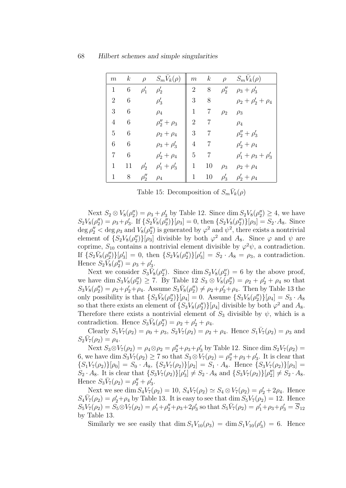| m              | $\boldsymbol{k}$ | $\rho$     | $S_m V_k(\rho)$     | m              | $\boldsymbol{k}$ | $\rho$     | $S_m V_k(\rho)$              |
|----------------|------------------|------------|---------------------|----------------|------------------|------------|------------------------------|
| 1              | 6                | $\rho'_1$  | $\rho'_2$           | $\overline{2}$ | $8\,$            | $\rho''_2$ | $\rho_3 + \rho'_3$           |
| $\overline{2}$ | 6                |            | $\rho'_3$           | 3              | 8                |            | $\rho_2 + \rho'_2 + \rho_4$  |
| 3              | 6                |            | $\rho_4$            | $\mathbf{1}$   | 7                | $\rho_2$   | $\rho_3$                     |
| 4              | 6                |            | $\rho''_2 + \rho_3$ | $\overline{2}$ |                  |            | $\rho_4$                     |
| 5              | 6                |            | $\rho_2 + \rho_4$   | 3              | 7                |            | $\rho''_2 + \rho'_3$         |
| 6              | 6                |            | $\rho_3 + \rho'_3$  | $\overline{4}$ | 7                |            | $\rho'_2 + \rho_4$           |
| 7              | 6                |            | $\rho'_2 + \rho_4$  | 5              | 7                |            | $\rho'_1 + \rho_3 + \rho'_3$ |
| 1              | 11               | $\rho'_2$  | $\rho'_1 + \rho'_3$ | $\mathbf{1}$   | 10               | $\rho_3$   | $\rho_2 + \rho_4$            |
| 1              | 8                | $\rho''_2$ | $\rho_4$            | $\mathbf{1}$   | 10               | $\rho'_3$  | $\rho'_2 + \rho_4$           |

Table 15: Decomposition of  $S_m \bar{V}_k(\rho)$ 

Next  $S_2 \otimes V_8(\rho_2'') = \rho_3 + \rho_3'$  by Table 12. Since  $\dim S_2V_8(\rho_2'') \geq 4$ , we have  $S_2V_8(\rho_2'') = \rho_3 + \rho_3'$ . If  $\{S_2\bar{V}_8(\rho_2'')\}[\rho_3] = 0$ , then  $\{S_2V_8(\rho_2'')\}[\rho_3] = S_2 \cdot A_8$ . Since  $\deg \rho_2'' < \deg \rho_3$  and  $V_8(\rho_2'')$  is generated by  $\varphi^2$  and  $\psi^2$ , there exists a nontrivial element of  $\{S_2V_8(\rho_2'')\}[\rho_3]$  divisible by both  $\varphi^2$  and  $A_8$ . Since  $\varphi$  and  $\psi$  are coprime,  $S_{10}$  contains a nontrivial element divisible by  $\varphi^2 \psi$ , a contradiction. If  $\{S_2\bar{V}_8(\rho''_2)\}[\rho'_3] = 0$ , then  $\{S_2V_8(\rho''_2)\}[\rho'_3] = S_2 \cdot A_8 = \rho_3$ , a contradiction. Hence  $S_2 \overline{V}_8(\rho_2'') = \rho_3 + \rho_3'$ .

Next we consider  $S_3\bar{V}_8(\rho_2'')$ . Since dim  $S_2V_8(\rho_2'')=6$  by the above proof, we have dim  $S_3V_8(\rho_2'') \geq 7$ . By Table 12  $S_3 \otimes V_8(\rho_2'') = \rho_2 + \rho_2' + \rho_4$  so that  $S_3V_8(\rho_2'') = \rho_2 + \rho_2' + \rho_4$ . Assume  $S_3\bar{V}_8(\rho_2'') \neq \rho_2 + \rho_2' + \rho_4$ . Then by Table 13 the only possibility is that  $\{S_3\bar{V}_8(\rho_2'')\}[\rho_4] = 0$ . Assume  $\{S_3V_8(\rho_2'')\}[\rho_4] = S_3 \cdot A_8$ so that there exists an element of  $\{S_3V_8(\rho''_2)\}[\rho_4]$  divisible by both  $\varphi^2$  and  $A_8$ . Therefore there exists a nontrivial element of  $S_3$  divisible by  $\psi$ , which is a contradiction. Hence  $S_3\bar{V}_8(\rho_2'') = \rho_2 + \rho_2' + \rho_4$ .

Clearly  $S_1V_7(\rho_2) = \rho_0 + \rho_3$ ,  $S_2V_7(\rho_2) = \rho_2 + \rho_4$ . Hence  $S_1\bar{V}_7(\rho_2) = \rho_3$  and  $S_2 \bar{V}_7(\rho_2) = \rho_4.$ 

Next  $S_3 \otimes V_7(\rho_2) = \rho_4 \otimes \rho_2 = \rho_2'' + \rho_3 + \rho_3'$  by Table 12. Since dim  $S_2 V_7(\rho_2) =$ 6, we have dim  $S_3V_7(\rho_2) \ge 7$  so that  $S_3 \otimes V_7(\rho_2) = \rho_2'' + \rho_3 + \rho_3'$ . It is clear that  ${S_1V_7(\rho_2)}[\rho_0] = S_0 \cdot A_8$ ,  ${S_2V_7(\rho_2)}[\rho_2] = S_1 \cdot A_8$ . Hence  ${S_3V_7(\rho_2)}[\rho_3] =$  $S_2 \cdot A_8$ . It is clear that  $\{S_3 V_7(\rho_2)\}[\rho'_3] \neq S_2 \cdot A_8$  and  $\{S_3 V_7(\rho_2)\}[\rho''_2] \neq S_2 \cdot A_8$ . Hence  $S_3 \bar{V}_7(\rho_2) = \rho_2'' + \rho_3'$ .

Next we see dim  $S_4V_7(\rho_2) = 10$ ,  $S_4V_7(\rho_2) \simeq S_4 \otimes V_7(\rho_2) = \rho'_2 + 2\rho_4$ . Hence  $S_4\bar{V}_7(\rho_2) = \rho'_2 + \rho_4$  by Table 13. It is easy to see that  $\dim S_5V_7(\rho_2) = 12$ . Hence  $S_5V_7(\rho_2) = S_5 \otimes V_7(\rho_2) = \rho'_1 + \rho''_2 + \rho_3 + 2\rho'_3$  so that  $S_5\bar{V}_7(\rho_2) = \rho'_1 + \rho_3 + \rho'_3 = \overline{S}_{12}$ by Table 13.

Similarly we see easily that  $\dim S_1V_{10}(\rho_3) = \dim S_1V_{10}(\rho_3') = 6$ . Hence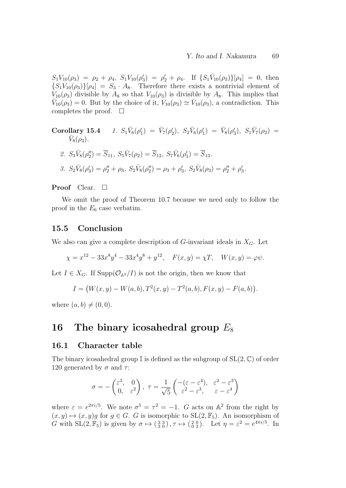$S_1V_{10}(\rho_3) = \rho_2 + \rho_4$ ,  $S_1V_{10}(\rho'_3) = \rho'_2 + \rho_4$ . If  $\{S_1\bar{V}_{10}(\rho_3)\}[\rho_4] = 0$ , then  ${S_1V_{10}(\rho_3)}[\rho_4] = S_3 \cdot A_8$ . Therefore there exists a nontrivial element of  $V_{10}(\rho_3)$  divisible by  $A_8$  so that  $V_{10}(\rho_3)$  is divisible by  $A_8$ . This implies that  $\bar{V}_{10}(\rho_3) = 0$ . But by the choice of it,  $V_{10}(\rho_3) \simeq \bar{V}_{10}(\rho_3)$ , a contradiction. This completes the proof.  $\square$ 

Corollary 15.4 1. 
$$
S_1\bar{V}_6(\rho'_1) = \bar{V}_7(\rho'_2)
$$
,  $S_2\bar{V}_6(\rho'_1) = \bar{V}_8(\rho'_3)$ ,  $S_1\bar{V}_7(\rho_2) = \bar{V}_8(\rho_3)$ .  
\n2.  $S_3\bar{V}_8(\rho''_2) = \overline{S}_{11}$ ,  $S_5\bar{V}_7(\rho_2) = \overline{S}_{12}$ ,  $S_7\bar{V}_6(\rho'_1) = \overline{S}_{13}$ .  
\n3.  $S_2\bar{V}_8(\rho'_3) = \rho''_2 + \rho_3$ ,  $S_2\bar{V}_8(\rho''_2) = \rho_3 + \rho'_3$ ,  $S_2\bar{V}_8(\rho_3) = \rho''_2 + \rho'_3$ .

Proof Clear.  $\square$ 

We omit the proof of Theorem 10.7 because we need only to follow the proof in the  $E_6$  case verbatim.

#### 15.5 Conclusion

We also can give a complete description of  $G$ -invariant ideals in  $X_G$ . Let

$$
\chi = x^{12} - 33x^8y^4 - 33x^4y^8 + y^{12}, \quad F(x, y) = \chi T, \quad W(x, y) = \varphi \psi.
$$

Let  $I \in X_G$ . If Supp $(\mathcal{O}_{A^2}/I)$  is not the origin, then we know that

$$
I = (W(x, y) - W(a, b), T^{2}(x, y) - T^{2}(a, b), F(x, y) - F(a, b)).
$$

where  $(a, b) \neq (0, 0)$ .

## 16 The binary icosahedral group  $E_8$

#### 16.1 Character table

The binary icosahedral group  $\mathbb{I}$  is defined as the subgroup of  $SL(2,\mathbb{C})$  of order 120 generated by  $\sigma$  and  $\tau$ :

$$
\sigma = -\begin{pmatrix} \varepsilon^3, & 0\\ 0, & \varepsilon^2 \end{pmatrix}, \ \tau = \frac{1}{\sqrt{5}} \begin{pmatrix} -(\varepsilon - \varepsilon^4), & \varepsilon^2 - \varepsilon^3\\ \varepsilon^2 - \varepsilon^3, & \varepsilon - \varepsilon^4 \end{pmatrix}
$$

where  $\varepsilon = e^{2\pi i/5}$ . We note  $\sigma^5 = \tau^2 = -1$ . G acts on  $\mathbb{A}^2$  from the right by  $(x, y) \mapsto (x, y)g$  for  $g \in G$ . G is isomorphic to  $SL(2, \mathbb{F}_5)$ . An isomorphism of G with  $SL(2, \mathbb{F}_5)$  is given by  $\sigma \mapsto (\frac{3}{3} \frac{3}{0}), \tau \mapsto (\frac{2}{0} \frac{0}{3})$ . Let  $\eta = \varepsilon^2 = e^{4\pi i/5}$ . In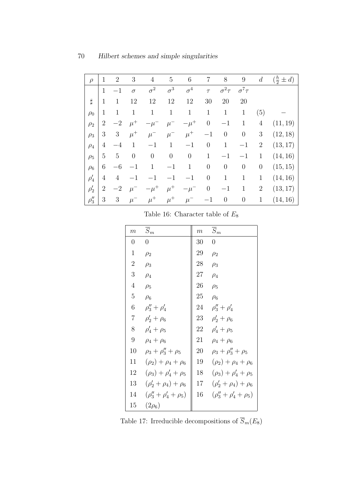| $\mathcal{D}$ | 1              | $\overline{2}$ | 3                | $\overline{4}$   | 5                | 6            | 7                | $8\,$            | $\boldsymbol{9}$ | $\boldsymbol{d}$ | $(\frac{h}{2} \pm d)$ |
|---------------|----------------|----------------|------------------|------------------|------------------|--------------|------------------|------------------|------------------|------------------|-----------------------|
|               | $\mathbf{1}$   | $-1$           | $\sigma$         | $\sigma^2$       | $\sigma^3$       | $\sigma^4$   | $\tau$           | $\sigma^2 \tau$  | $\sigma^7\tau$   |                  |                       |
| $\sharp$      | $\mathbf{1}$   | $\mathbf{1}$   | 12               | 12               | 12               | 12           | 30               | 20               | 20               |                  |                       |
| $\rho_0$      | $\mathbf{1}$   | $\mathbf{1}$   | $\mathbf{1}$     | $\mathbf 1$      | $\mathbf{1}$     | $\mathbf{1}$ | $\mathbf{1}$     | $\mathbf{1}$     | $\mathbf{1}$     | (5)              |                       |
| $\rho_2$      | $\overline{2}$ | $-2$           | $\mu^+$          | $-\mu^-$         | $\mu^-$          | $-\mu^+$     | $\boldsymbol{0}$ | $^{-1}$          | $\mathbf{1}$     | $\overline{4}$   | (11, 19)              |
| $\rho_3$      | 3              | $\mathfrak{Z}$ | $\mu^+$          | $\mu^-$          | $\mu^-$          | $\mu^+$      | $^{-1}$          | $\boldsymbol{0}$ | $\theta$         | 3                | (12, 18)              |
| $\rho_4$      | 4              | $-4$           | $\mathbf{1}$     | $-1$             | $\mathbf{1}$     | $-1$         | $\overline{0}$   | $\mathbf{1}$     | $^{-1}$          | $\overline{2}$   | (13, 17)              |
| $\rho_5$      | 5              | $\overline{5}$ | $\boldsymbol{0}$ | $\boldsymbol{0}$ | $\boldsymbol{0}$ | $\theta$     | $\mathbf{1}$     | $-1$             | $^{-1}$          | $\mathbf{1}$     | (14, 16)              |
| $\rho_6$      | 6              | $-6$           |                  | $\mathbf{1}$     | $-1$             | $\mathbf{1}$ | $\overline{0}$   | $\theta$         | $\theta$         | $\theta$         | (15, 15)              |
| $\rho_4'$     | 4              | $\overline{4}$ |                  |                  | $^{-1}$          | $-1$         | $\overline{0}$   | $\mathbf{1}$     | $\mathbf{1}$     | $\mathbf{1}$     | (14, 16)              |
| $\rho'_2$     | $\overline{2}$ | $-2$           | $\mu^-$          | $-\mu^+$         | $\mu^+$          | $-\mu^-$     | $\boldsymbol{0}$ | $-1$             | $\mathbf{1}$     | $\overline{2}$   | (13, 17)              |
| $\rho_3''$    | 3              | $\mathfrak{Z}$ | $\mu^-$          | $\mu^+$          | $\mu^+$          | $\mu^-$      | $^{-1}$          | $\boldsymbol{0}$ | $\theta$         | $\mathbf{1}$     | (14, 16)              |

Table 16: Character table of  $E_8$ 

| $\overline{m}$ | $\overline{S}_m$                | $\boldsymbol{m}$ | $\overline{S}_m$                |
|----------------|---------------------------------|------------------|---------------------------------|
| 0              | $\overline{0}$                  | 30               | $\overline{0}$                  |
| $\mathbf{1}$   | $\rho_2$                        | 29               | $\rho_2$                        |
| $\overline{2}$ | $\rho_3$                        | 28               | $\rho_3$                        |
| 3              | $\rho_4$                        | $27\,$           | $\rho_4$                        |
| $\overline{4}$ | $\rho_5$                        | 26               | $\rho_5$                        |
| 5              | $\rho_6$                        | 25               | $\rho_6$                        |
| 6              | $\rho_3'' + \rho_4'$            | 24               | $\rho_3'' + \rho_4'$            |
| $\overline{7}$ | $\rho'_2 + \rho_6$              | 23               | $\rho'_2 + \rho_6$              |
| 8              | $\rho_4' + \rho_5$              | 22               | $\rho_4' + \rho_5$              |
| 9              | $\rho_4+\rho_6$                 | 21               | $\rho_4+\rho_6$                 |
| 10             | $\rho_3 + \rho_3'' + \rho_5$    | 20               | $\rho_3 + \rho_3'' + \rho_5$    |
| 11             | $(\rho_2) + \rho_4 + \rho_6$    | 19               | $(\rho_2) + \rho_4 + \rho_6$    |
| 12             | $(\rho_3) + \rho'_4 + \rho_5$   | 18               | $(\rho_3) + \rho'_4 + \rho_5$   |
| 13             | $(\rho'_2 + \rho_4) + \rho_6$   | 17               | $(\rho'_2 + \rho_4) + \rho_6$   |
| 14             | $(\rho_3'' + \rho_4' + \rho_5)$ | 16               | $(\rho_3'' + \rho_4' + \rho_5)$ |
| 15             | $(2\rho_6)$                     |                  |                                 |

Table 17: Irreducible decompositions of  $\overline{S}_m(E_8)$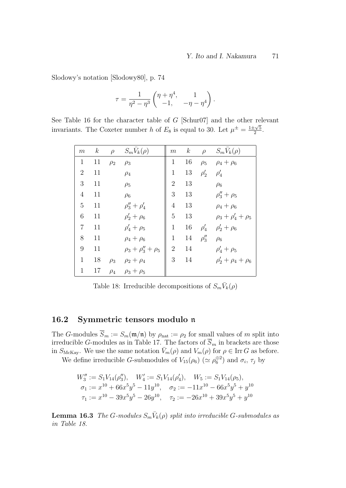Slodowy's notation [Slodowy80], p. 74

$$
\tau = \frac{1}{\eta^2 - \eta^3} \begin{pmatrix} \eta + \eta^4, & 1 \\ -1, & -\eta - \eta^4 \end{pmatrix}.
$$

See Table 16 for the character table of G [Schur07] and the other relevant invariants. The Coxeter number h of  $E_8$  is equal to 30. Let  $\mu^{\pm} = \frac{1 \pm \sqrt{5}}{2}$  $rac{1}{2}$ .

| m              | $\boldsymbol{k}$ | $\rho$   | $S_m V_k(\rho)$              | $\boldsymbol{m}$ | $\boldsymbol{k}$ | $\rho$     | $S_m V_k(\rho)$             |
|----------------|------------------|----------|------------------------------|------------------|------------------|------------|-----------------------------|
| $\mathbf{1}$   | 11               | $\rho_2$ | $\rho_3$                     | $\mathbf{1}$     | 16               |            | $\rho_5$ $\rho_4 + \rho_6$  |
| $\overline{2}$ | 11               |          | $\rho_4$                     | $\mathbf{1}$     | 13               | $\rho'_2$  | $\rho_4'$                   |
| 3              | 11               |          | $\rho_5$                     | $\overline{2}$   | 13               |            | $\rho_6$                    |
| $\overline{4}$ | 11               |          | $\rho_6$                     | 3                | 13               |            | $\rho''_3 + \rho_5$         |
| 5              | 11               |          | $\rho_3'' + \rho_4'$         | $\overline{4}$   | 13               |            | $\rho_4 + \rho_6$           |
| 6              | 11               |          | $\rho'_2 + \rho_6$           | $\overline{5}$   | 13               |            | $\rho_3 + \rho'_4 + \rho_5$ |
| $\overline{7}$ | 11               |          | $\rho_4' + \rho_5$           | $\mathbf{1}$     | 16               | $\rho_4'$  | $\rho'_2 + \rho_6$          |
| 8              | 11               |          | $\rho_4 + \rho_6$            | $\mathbf{1}$     | 14               | $\rho_3''$ | $\rho_6$                    |
| 9              | 11               |          | $\rho_3 + \rho''_3 + \rho_5$ | $\overline{2}$   | 14               |            | $\rho_4' + \rho_5$          |
| $\mathbf{1}$   | 18               | $\rho_3$ | $\rho_2 + \rho_4$            | 3                | 14               |            | $\rho'_2 + \rho_4 + \rho_6$ |
| 1              | 17               | $\rho_4$ | $\rho_3+\rho_5$              |                  |                  |            |                             |

Table 18: Irreducible decompositions of  $S_m \bar{V}_k(\rho)$ 

### 16.2 Symmetric tensors modulo n

The G-modules  $S_m := S_m(\mathfrak{m}/\mathfrak{n})$  by  $\rho_{\text{nat}} := \rho_2$  for small values of m split into irreducible G-modules as in Table 17. The factors of  $S_m$  in brackets are those in  $S_{\text{McKay}}$ . We use the same notation  $\bar{V}_m(\rho)$  and  $V_m(\rho)$  for  $\rho \in \text{Irr } G$  as before.

We define irreducible *G*-submodules of  $V_{15}(\rho_6)$  ( $\simeq \rho_6^{\oplus 2}$ ) and  $\sigma_i$ ,  $\tau_j$  by

$$
W_3'' := S_1 V_{14}(\rho_3''), \quad W_4' := S_1 V_{14}(\rho_4'), \quad W_5 := S_1 V_{14}(\rho_5),
$$
  
\n
$$
\sigma_1 := x^{10} + 66x^5y^5 - 11y^{10}, \quad \sigma_2 := -11x^{10} - 66x^5y^5 + y^{10}
$$
  
\n
$$
\tau_1 := x^{10} - 39x^5y^5 - 26y^{10}, \quad \tau_2 := -26x^{10} + 39x^5y^5 + y^{10}
$$

**Lemma 16.3** The G-modules  $S_m \overline{V}_k(\rho)$  split into irreducible G-submodules as in Table 18.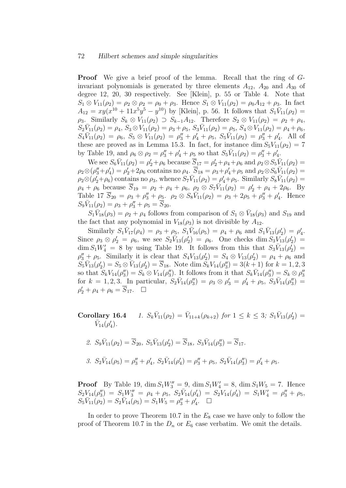#### 72 Hilbert schemes and simple singularities

**Proof** We give a brief proof of the lemma. Recall that the ring of Ginvariant polynomials is generated by three elements  $A_{12}$ ,  $A_{20}$  and  $A_{30}$  of degree 12, 20, 30 respectively. See [Klein], p. 55 or Table 4. Note that  $S_1 \otimes V_{11}(\rho_2) = \rho_2 \otimes \rho_2 = \rho_0 + \rho_3$ . Hence  $S_1 \otimes V_{11}(\rho_2) = \rho_0 A_{12} + \rho_3$ . In fact  $A_{12} = xy(x^{10} + 11x^5y^5 - y^{10})$  by [Klein], p. 56. It follows that  $S_1\bar{V}_{11}(\rho_2) =$  $\rho_3$ . Similarly  $S_k \otimes V_{11}(\rho_2) \supset S_{k-1}A_{12}$ . Therefore  $S_2 \otimes V_{11}(\rho_2) = \rho_2 + \rho_4$ ,  $S_{2}\bar{V}_{11}(\rho_{2})=\rho_{4},\,S_{3}\otimes V_{11}(\rho_{2})=\rho_{3}+\rho_{5},\,S_{3}\bar{V}_{11}(\rho_{2})=\rho_{5},\,S_{4}\otimes V_{11}(\rho_{2})=\rho_{4}+\rho_{6},$  $S_4\bar{V}_{11}(\rho_2) = \rho_6$ ,  $S_5 \otimes V_{11}(\rho_2) = \rho_3'' + \rho_4' + \rho_5$ ,  $S_5\bar{V}_{11}(\rho_2) = \rho_3'' + \rho_4'$ . All of these are proved as in Lemma 15.3. In fact, for instance dim  $S_5V_{11}(\rho_2) = 7$ by Table 19, and  $\rho_6 \otimes \rho_2 = \rho_3'' + \rho_4' + \rho_5$  so that  $S_5\bar{V}_{11}(\rho_2) = \rho_3'' + \rho_4'$ .

We see  $S_6\bar{V}_{11}(\rho_2) = \rho'_2 + \rho_6$  because  $\bar{S}_{17} = \rho'_2 + \rho_4 + \rho_6$  and  $\rho_2 \otimes S_5\bar{V}_{11}(\rho_2) =$  $\rho_2 \otimes (\rho_3'' + \rho_4') = \rho_2' + 2\rho_6$  contains no  $\rho_4$ .  $\overline{S}_{18} = \rho_3 + \rho_4' + \rho_5$  and  $\rho_2 \otimes S_6 \overline{V}_{11}(\rho_2) =$  $\rho_2 \otimes (\rho'_2 + \rho_6)$  contains no  $\rho_3$ , whence  $S_7 \bar{V}_{11}(\rho_2) = \rho'_4 + \rho_5$ . Similarly  $S_8 \bar{V}_{11}(\rho_2) =$  $\rho_4 + \rho_6$  because  $\overline{S}_{19} = \rho_2 + \rho_4 + \rho_6$ ,  $\rho_2 \otimes S_7 \overline{V}_{11}(\rho_2) = \rho'_2 + \rho_4 + 2\rho_6$ . By Table 17  $\overline{S}_{20} = \rho_3 + \rho_3'' + \rho_5$ .  $\rho_2 \otimes S_8 \overline{V}_{11}(\rho_2) = \rho_3 + 2\rho_5 + \rho_3'' + \rho_4'$ . Hence  $S_9\bar{V}_{11}(\rho_2) = \rho_3 + \rho_3'' + \rho_5 = \overline{S}_{20}.$ 

 $S_1 \bar{V}_{18}(\rho_3) = \rho_2 + \rho_4$  follows from comparison of  $S_1 \otimes \bar{V}_{18}(\rho_3)$  and  $S_{19}$  and the fact that any polynomial in  $V_{18}(\rho_3)$  is not divisible by  $A_{12}$ .

Similarly  $S_1\bar{V}_{17}(\rho_4) = \rho_3 + \rho_5$ ,  $S_1\bar{V}_{16}(\rho_5) = \rho_4 + \rho_6$  and  $S_1\bar{V}_{13}(\rho'_2) = \rho'_4$ . Since  $\rho_3 \otimes \rho'_2 = \rho_6$ , we see  $S_2 \bar{V}_{13}(\rho'_2) = \rho_6$ . One checks dim  $S_3 \bar{V}_{13}(\rho'_2) =$  $\dim S_1W'_4 = 8$  by using Table 19. It follows from this that  $S_3\bar{V}_{13}(\rho'_2) =$  $\rho_3'' + \rho_5$ . Similarly it is clear that  $S_4V_{13}(\rho_2') = S_4 \otimes V_{13}(\rho_2') = \rho_4 + \rho_6$  and  $S_5\bar{V}_{13}(\rho'_2) = S_5 \otimes \bar{V}_{13}(\rho'_2) = \overline{S}_{18}$ . Note dim  $S_kV_{14}(\rho''_3) = 3(k+1)$  for  $k = 1, 2, 3$ so that  $S_kV_{14}(\rho_3'')=S_k\otimes V_{14}(\rho_3'')$ . It follows from it that  $S_k\bar{V}_{14}(\rho_3'')=S_k\otimes \rho_3''$ for  $k = 1, 2, 3$ . In particular,  $S_2 \bar{V}_{14}(\rho_3) = \rho_3 \otimes \rho_3' = \rho_4' + \rho_5$ ,  $S_3 \bar{V}_{14}(\rho_3'') =$  $\rho'_2 + \rho_4 + \rho_6 = \overline{S}_{17}$ .  $\Box$ 

Corollary 16.4  $\bar{V}_{11}(\rho_2) = \bar{V}_{11+k}(\rho_{k+2})$  for  $1 \leq k \leq 3$ ;  $S_1 \bar{V}_{13}(\rho'_2) =$  $\bar{V}_{14}(\rho _{4}^{\prime }).$ 

2. 
$$
S_9\overline{V}_{11}(\rho_2) = \overline{S}_{20}
$$
,  $S_5\overline{V}_{13}(\rho'_2) = \overline{S}_{18}$ ,  $S_3\overline{V}_{14}(\rho''_3) = \overline{S}_{17}$ .

3.  $S_2\bar{V}_{14}(\rho_5) = \rho_3'' + \rho_4', S_2\bar{V}_{14}(\rho_4') = \rho_3'' + \rho_5, S_2\bar{V}_{14}(\rho_3'') = \rho_4' + \rho_5.$ 

**Proof** By Table 19,  $\dim S_1 W_3'' = 9$ ,  $\dim S_1 W_4' = 8$ ,  $\dim S_1 W_5 = 7$ . Hence  $S_2V_{14}(\rho_3'') = S_1W_3'' = \rho_4 + \rho_5$ ,  $S_2\bar{V}_{14}(\rho_4') = S_2V_{14}(\rho_4') = S_1W_4' = \rho_3'' + \rho_5$ ,  $S_5\bar{V}_{11}(\rho_2) = S_2\bar{V}_{14}(\rho_5) = S_1W_5 = \rho_3'' + \rho_4'$ .

In order to prove Theorem 10.7 in the  $E_8$  case we have only to follow the proof of Theorem 10.7 in the  $D_n$  or  $E_6$  case verbatim. We omit the details.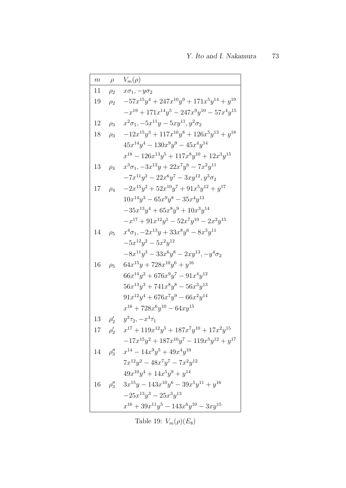| $\,m$ | $\rho$    | $V_m(\rho)$                                                              |
|-------|-----------|--------------------------------------------------------------------------|
| 11    | $\rho_2$  | $x\sigma_1, -y\sigma_2$                                                  |
| 19    | $\rho_2$  | $-57x^{15}y^4 + 247x^{10}y^9 + 171x^5y^{14} + y^{19}$                    |
|       |           | $-x^{19} + 171x^{14}y^5 - 247x^9y^{10} - 57x^4y^{15}$                    |
| 12    | $\rho_3$  | $x^2\sigma_1, -5x^{11}y - 5xy^{11}, y^2\sigma_2$                         |
| 18    | $\rho_3$  | $-12x^{15}y^3 + 117x^{10}y^8 + 126x^5y^{13} + y^{18}$                    |
|       |           | $45x^{14}y^4 - 130x^9y^9 - 45x^4y^{14}$                                  |
|       |           | $x^{18} - 126x^{13}y^5 + 117x^8y^{10} + 12x^3y^{15}$                     |
| 13    | $\rho_4$  | $x^3\sigma_1$ , $-3x^{12}y + 22x^7y^6 - 7x^2y^{11}$                      |
|       |           | $-7x^{11}y^2 - 22x^6y^7 - 3xy^{12}, y^3\sigma_2$                         |
| 17    | $\rho_4$  | $-2x^{15}y^2 + 52x^{10}y^7 + 91x^5y^{12} + y^{17}$                       |
|       |           | $10x^{14}y^3 - 65x^9y^8 - 35x^4y^{13}$                                   |
|       |           | $-35x^{13}y^4 + 65x^8y^9 + 10x^3y^{14}$                                  |
|       |           | $-x^{17} + 91x^{12}y^5 - 52x^7y^{10} - 2x^2y^{15}$                       |
| 14    | $\rho_5$  | $x^4\sigma_1$ , $-2x^{13}y + 33x^8y^6 - 8x^3y^{11}$                      |
|       |           | $-5x^{12}y^2 - 5x^2y^{12}$                                               |
|       |           | $-8x^{11}y^3 - 33x^6y^8 - 2xy^{13}, -y^4\sigma_2$                        |
| 16    | $\rho_5$  | $64x^{15}y + 728x^{10}y^6 + y^{16}$                                      |
|       |           | $66x^{14}y^2 + 676x^9y^7 - 91x^4y^{12}$                                  |
|       |           | $56x^{13}y^3 + 741x^8y^8 - 56x^3y^{13}$                                  |
|       |           | $91x^{12}y^4 + 676x^7y^9 - 66x^2y^{14}$                                  |
|       |           | $x^{16} + 728x^6y^{10} - 64xy^{15}$                                      |
| 13    | $\rho'_2$ | $y^3\tau_2, -x^3\tau_1$                                                  |
| 17    | $\rho'_2$ | $x^{17} + 119x^{12}y^5 + 187x^7y^{10} + 17x^2y^{15}$                     |
|       |           | $-17x^{15}y^2 + 187x^{10}y^7 - 119x^5y^{12} + y^{17}$                    |
|       |           | 14 $\rho_3''$ $x^{14} - 14x^9y^5 + 49x^4y^{10}$                          |
|       |           | $7x^{12}y^2 - 48x^7y^7 - 7x^2y^{12}$                                     |
|       |           | $49x^{10}y^4 + 14x^5y^9 + y^{14}$                                        |
|       |           | $16 \quad \rho_3'' \quad 3x^{15}y - 143x^{10}y^6 - 39x^5y^{11} + y^{16}$ |
|       |           | $-25x^{13}y^3 - 25x^3y^{13}$                                             |
|       |           | $x^{16} + 39x^{11}y^5 - 143x^6y^{10} - 3xy^{15}$                         |

Table 19:  $V_m(\rho)(E_8)$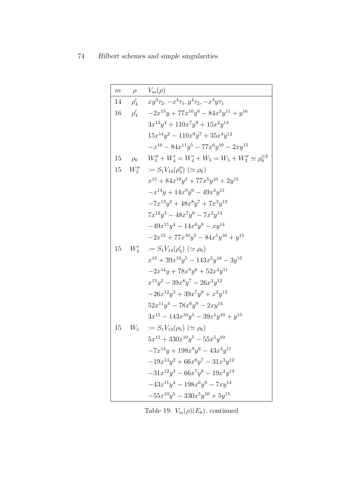$$
\begin{array}{|c|c|} \hline m & \rho & V_m(\rho) \\ \hline 14 & \rho'_4 & xy^3 \tau_2, -x^4 \tau_1, y^4 \tau_2, -x^3 y \tau_1 \\ 16 & \rho'_4 & -2x^{15} y + 77x^{10} y^6 - 84x^5 y^{11} + y^{16} \\ 3x^{12} y^4 + 110x^7 y^9 + 15x^2 y^{14} \\ 15x^{14} y^2 - 110x^9 y^7 + 35x^4 y^{12} \\ -x^{16} - 84x^{11} y^5 - 77x^6 y^{10} - 2xy^{15} \\ 15 & \rho_6 & W''_3 + W'_4 = W'_4 + W_5 = W_5 + W''_3 \simeq \rho_6^{\oplus 2} \\ 15 & W''_3 &:= S_1 V_{14}(\rho''_3) \; (\simeq \rho_6) \\ x^{15} + 84x^{10} y^5 + 77x^5 y^{10} + 2y^{15} \\ -x^{14} y + 14x^9 y^6 - 49x^4 y^{11} \\ -7x^{13} y^2 + 48x^8 y^7 + 7x^3 y^{12} \\ 7x^{12} y^3 - 48x^7 y^8 - 7x^2 y^{13} \\ -49x^{11} y^4 - 14x^6 y^9 - xy^{14} \\ -2x^{15} + 77x^{10} y^5 - 84x^5 y^{10} + y^{15} \\ 15 & W'_4 &:= S_1 V_{14}(\rho'_4) \; (\simeq \rho_6) \\ x^{15} + 39x^{10} y^5 - 143x^5 y^{10} - 3y^{15} \\ -2x^{14} y + 78x^9 y^6 + 52x^4 y^{11} \\ x^{13} y^2 - 39x^8 y^7 - 26x^3 y^{12} \\ 52x^{11} y^4 - 78x^6 y^9 - 2xy^{14} \\ 3x^{15} - 143x^{10} y^5 - 39x^5 y^{10} + y^{15} \\ 15 & W_5 &:= S_1 V_{14}(\rho_5) \; (\simeq \rho_6) \\ 5x^{15} + 3
$$

Table 19:  $V_m(\rho)(E_8)$ , continued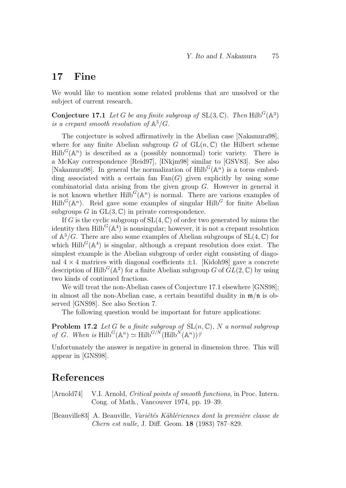## 17 Fine

We would like to mention some related problems that are unsolved or the subject of current research.

**Conjecture 17.1** Let G be any finite subgroup of SL $(3, \mathbb{C})$ . Then Hilb<sup>G</sup> $(\mathbb{A}^3)$ is a crepant smooth resolution of  $\mathbb{A}^3/G$ .

The conjecture is solved affirmatively in the Abelian case [Nakamura98], where for any finite Abelian subgroup G of  $GL(n, \mathbb{C})$  the Hilbert scheme  $Hilb<sup>G</sup>(\mathbb{A}^n)$  is described as a (possibly nonnormal) toric variety. There is a McKay correspondence [Reid97], [INkjm98] similar to [GSV83]. See also [Nakamura98]. In general the normalization of  $Hilb<sup>G</sup>(\mathbb{A}^n)$  is a torus embedding associated with a certain fan  $Fan(G)$  given explicitly by using some combinatorial data arising from the given group  $G$ . However in general it is not known whether  $\text{Hilb}^G(\mathbb{A}^n)$  is normal. There are various examples of  $Hilb<sup>G</sup>(\mathbb{A}^n)$ . Reid gave some examples of singular Hilb<sup>G</sup> for finite Abelian subgroups G in  $GL(3,\mathbb{C})$  in private correspondence.

If G is the cyclic subgroup of  $SL(4,\mathbb{C})$  of order two generated by minus the identity then  $\text{Hilb}^G(\mathbb{A}^4)$  is nonsingular; however, it is not a crepant resolution of  $\mathbb{A}^3/G$ . There are also some examples of Abelian subgroups of  $SL(4,\mathbb{C})$  for which  $\text{Hilb}^G(\mathbb{A}^4)$  is singular, although a crepant resolution does exist. The simplest example is the Abelian subgroup of order eight consisting of diagonal  $4 \times 4$  matrices with diagonal coefficients  $\pm 1$ . [Kidoh98] gave a concrete description of Hilb<sup>G</sup>( $\mathbb{A}^2$ ) for a finite Abelian subgroup G of  $GL(2,\mathbb{C})$  by using two kinds of continued fractions.

We will treat the non-Abelian cases of Conjecture 17.1 elsewhere [GNS98]; in almost all the non-Abelian case, a certain beautiful duality in  $\mathfrak{m}/\mathfrak{n}$  is observed [GNS98]. See also Section 7.

The following question would be important for future applications:

**Problem 17.2** Let G be a finite subgroup of  $SL(n, \mathbb{C})$ , N a normal subgroup of G. When is  $\text{Hilb}^G(\mathbb{A}^n) \simeq \text{Hilb}^{G/N}(\text{Hilb}^N(\mathbb{A}^n))$ ?

Unfortunately the answer is negative in general in dimension three. This will appear in [GNS98].

## References

[Arnold74] V.I. Arnold, Critical points of smooth functions, in Proc. Intern. Cong. of Math., Vancouver 1974, pp. 19–39.

[Beauville83] A. Beauville, *Variétés Kählériennes dont la première classe de* Chern est nulle, J. Diff. Geom. 18 (1983) 787–829.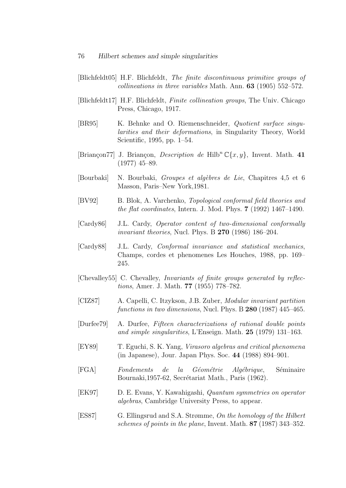- [Blichfeldt05] H.F. Blichfeldt, The finite discontinuous primitive groups of collineations in three variables Math. Ann. 63 (1905) 552–572.
- [Blichfeldt17] H.F. Blichfeldt, Finite collineation groups, The Univ. Chicago Press, Chicago, 1917.
- [BR95] K. Behnke and O. Riemenschneider, Quotient surface singularities and their deformations, in Singularity Theory, World Scientific, 1995, pp. 1–54.
- [Briançon77] J. Briançon, *Description de* Hilb<sup>n</sup>  $\mathbb{C}\{x, y\}$ , Invent. Math. 41 (1977) 45–89.
- [Bourbaki] N. Bourbaki, *Groupes et algèbres de Lie*, Chapitres 4,5 et 6 Masson, Paris–New York,1981.
- [BV92] B. Blok, A. Varchenko, Topological conformal field theories and the flat coordinates, Intern. J. Mod. Phys. 7 (1992) 1467–1490.
- [Cardy86] J.L. Cardy, Operator content of two-dimensional conformally *invariant theories*, Nucl. Phys. B  $270$  (1986) 186–204.
- [Cardy88] J.L. Cardy, Conformal invariance and statistical mechanics, Champs, cordes et phenomenes Les Houches, 1988, pp. 169– 245.
- [Chevalley55] C. Chevalley, Invariants of finite groups generated by reflections, Amer. J. Math. 77 (1955) 778–782.
- [CIZ87] A. Capelli, C. Itzykson, J.B. Zuber, Modular invariant partition functions in two dimensions, Nucl. Phys. B 280 (1987) 445–465.
- [Durfee79] A. Durfee, Fifteen characterizations of rational double points and simple singularities, L'Enseign. Math. 25 (1979) 131–163.
- [EY89] T. Eguchi, S. K. Yang, Virasoro algebras and critical phenomena (in Japanese), Jour. Japan Phys. Soc. 44 (1988) 894–901.
- [FGA] Fondements de la Géométrie Algébrique, Séminaire Bournaki, 1957-62, Secrétariat Math., Paris (1962).
- [EK97] D. E. Evans, Y. Kawahigashi, Quantum symmetries on operator algebras, Cambridge University Press, to appear.
- [ES87] G. Ellingsrud and S.A. Strømme, On the homology of the Hilbert schemes of points in the plane, Invent. Math. 87 (1987) 343–352.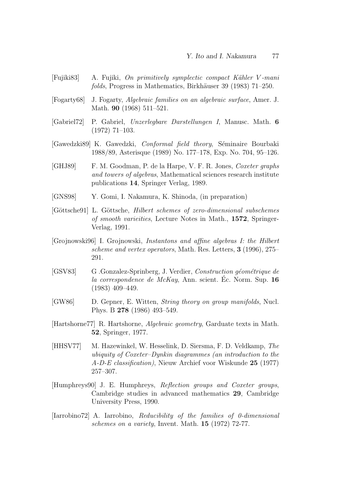- [Fujiki83] A. Fujiki, On primitively symplectic compact K¨ahler V -mani  $folds$ , Progress in Mathematics, Birkhäuser 39 (1983) 71–250.
- [Fogarty68] J. Fogarty, Algebraic families on an algebraic surface, Amer. J. Math. 90 (1968) 511–521.
- [Gabriel72] P. Gabriel, Unzerlegbare Darstellungen I, Manusc. Math. 6 (1972) 71–103.
- [Gawedzki89] K. Gawedzki, *Conformal field theory*, Séminaire Bourbaki 1988/89, Asterisque (1989) No. 177–178, Exp. No. 704, 95–126.
- [GHJ89] F. M. Goodman, P. de la Harpe, V. F. R. Jones, Coxeter graphs and towers of algebras, Mathematical sciences research institute publications 14, Springer Verlag, 1989.
- [GNS98] Y. Gomi, I. Nakamura, K. Shinoda, (in preparation)
- [Göttsche91] L. Göttsche, Hilbert schemes of zero-dimensional subschemes of smooth varieities, Lecture Notes in Math., 1572, Springer-Verlag, 1991.
- [Grojnowski96] I. Grojnowski, Instantons and affine algebras I: the Hilbert scheme and vertex operators, Math. Res. Letters, 3 (1996), 275– 291.
- [GSV83] G. Gonzalez-Sprinberg, J. Verdier, Construction géométrique de la correspondence de McKay, Ann. scient. Ec. Norm. Sup.  $16$ (1983) 409–449.
- [GW86] D. Gepner, E. Witten, String theory on group manifolds, Nucl. Phys. B 278 (1986) 493–549.
- [Hartshorne77] R. Hartshorne, Algebraic geometry, Garduate texts in Math. 52, Springer, 1977.
- [HHSV77] M. Hazewinkel, W. Hesselink, D. Siersma, F. D. Veldkamp, The ubiquity of Coxeter–Dynkin diagrammes (an introduction to the A-D-E classification), Nieuw Archief voor Wiskunde 25 (1977) 257–307.
- [Humphreys90] J. E. Humphreys, Reflection groups and Coxeter groups, Cambridge studies in advanced mathematics 29, Cambridge University Press, 1990.
- [Iarrobino72] A. Iarrobino, Reducibility of the families of 0-dimensional schemes on a variety, Invent. Math. 15 (1972) 72-77.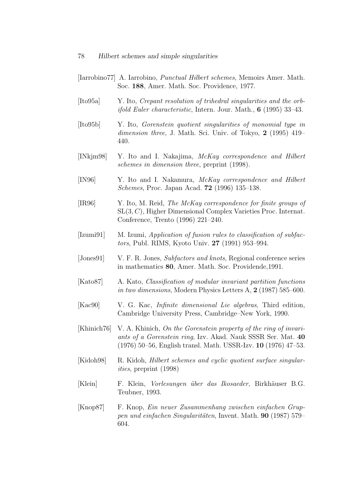- [Iarrobino77] A. Iarrobino, Punctual Hilbert schemes, Memoirs Amer. Math. Soc. 188, Amer. Math. Soc. Providence, 1977.
- [Ito95a] Y. Ito, Crepant resolution of trihedral singularities and the orb*ifold Euler characteristic*, Intern. Jour. Math.,  $6$  (1995) 33-43.
- [Ito95b] Y. Ito, Gorenstein quotient singularities of monomial type in dimension three, J. Math. Sci. Univ. of Tokyo, 2 (1995) 419-440.
- [INkjm98] Y. Ito and I. Nakajima, McKay correspondence and Hilbert schemes in dimension three, preprint (1998).
- [IN96] Y. Ito and I. Nakamura, McKay correspondence and Hilbert Schemes, Proc. Japan Acad. 72 (1996) 135–138.
- [IR96] Y. Ito, M. Reid, The McKay correspondence for finite groups of SL(3, C), Higher Dimensional Complex Varieties Proc. Internat. Conference, Trento (1996) 221–240.
- [Izumi91] M. Izumi, Application of fusion rules to classification of subfactors, Publ. RIMS, Kyoto Univ. 27 (1991) 953–994.
- [Jones91] V. F. R. Jones, Subfactors and knots, Regional conference series in mathematics 80, Amer. Math. Soc. Providende,1991.
- [Kato87] A. Kato, Classification of modular invariant partition functions in two dimensions, Modern Physics Letters A, 2 (1987) 585–600.
- [Kac90] V. G. Kac, Infinite dimensional Lie algebras, Third edition, Cambridge University Press, Cambridge–New York, 1990.
- [Khinich76] V. A. Khinich, On the Gorenstein property of the ring of invariants of a Gorenstein ring, Izv. Akad. Nauk SSSR Ser. Mat. 40 (1976) 50–56, English transl. Math. USSR-Izv. 10 (1976) 47–53.
- [Kidoh98] R. Kidoh, Hilbert schemes and cyclic quotient surface singularities, preprint (1998)
- [Klein] F. Klein, Vorlesungen ¨uber das Ikosaeder, Birkh¨auser B.G. Teubner, 1993.
- [Knop87] F. Knop, Ein neuer Zusammenhang zwischen einfachen Gruppen und einfachen Singularitäten, Invent. Math. 90 (1987) 579– 604.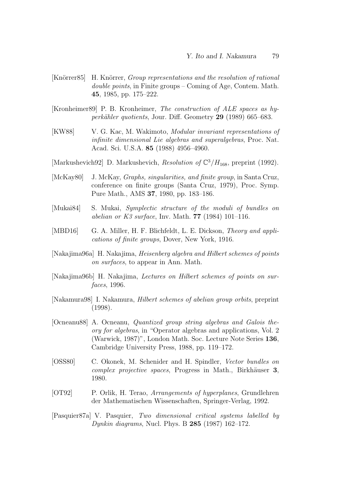- [Knörrer85] H. Knörrer, *Group representations and the resolution of rational* double points, in Finite groups – Coming of Age, Contem. Math. 45, 1985, pp. 175–222.
- [Kronheimer89] P. B. Kronheimer, The construction of ALE spaces as hyperkähler quotients, Jour. Diff. Geometry 29 (1989) 665–683.
- [KW88] V. G. Kac, M. Wakimoto, Modular invariant representations of infinite dimensional Lie algebras and superalgebras, Proc. Nat. Acad. Sci. U.S.A. 85 (1988) 4956–4960.
- [Markushevich92] D. Markushevich, Resolution of  $\mathbb{C}^3/H_{168}$ , preprint (1992).
- [McKay80] J. McKay, *Graphs, singularities, and finite group*, in Santa Cruz, conference on finite groups (Santa Cruz, 1979), Proc. Symp. Pure Math., AMS 37, 1980, pp. 183–186.
- [Mukai84] S. Mukai, Symplectic structure of the moduli of bundles on abelian or K3 surface, Inv. Math. **77** (1984) 101–116.
- [MBD16] G. A. Miller, H. F. Blichfeldt, L. E. Dickson, Theory and applications of finite groups, Dover, New York, 1916.
- [Nakajima96a] H. Nakajima, Heisenberg algebra and Hilbert schemes of points on surfaces, to appear in Ann. Math.
- [Nakajima96b] H. Nakajima, Lectures on Hilbert schemes of points on surfaces, 1996.
- [Nakamura98] I. Nakamura, Hilbert schemes of abelian group orbits, preprint (1998).
- [Ocneanu88] A. Ocneanu, Quantized group string algebras and Galois theory for algebras, in "Operator algebras and applications, Vol. 2 (Warwick, 1987)", London Math. Soc. Lecture Note Series 136, Cambridge University Press, 1988, pp. 119–172.
- [OSS80] C. Okonek, M. Schenider and H. Spindler, Vector bundles on complex projective spaces, Progress in Math., Birkhäuser 3, 1980.
- [OT92] P. Orlik, H. Terao, Arrangements of hyperplanes, Grundlehren der Mathematischen Wissenschaften, Springer-Verlag, 1992.
- [Pasquier87a] V. Pasquier, Two dimensional critical systems labelled by *Dynkin diagrams*, Nucl. Phys. B  $285$  (1987) 162–172.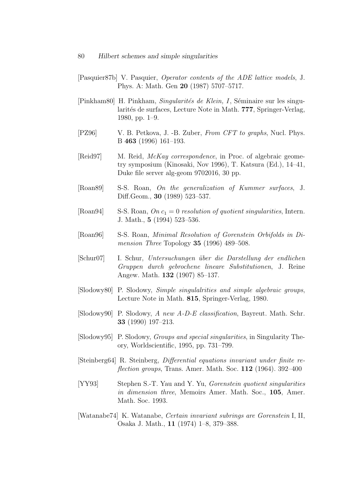- [Pasquier87b] V. Pasquier, Operator contents of the ADE lattice models, J. Phys. A: Math. Gen 20 (1987) 5707–5717.
- [Pinkham80] H. Pinkham, *Singularités de Klein*, *I*, Séminaire sur les singularités de surfaces, Lecture Note in Math. 777, Springer-Verlag, 1980, pp. 1–9.
- [PZ96] V. B. Petkova, J. -B. Zuber, From CFT to graphs, Nucl. Phys. B 463 (1996) 161–193.
- [Reid97] M. Reid, *McKay correspondence*, in Proc. of algebraic geometry symposium (Kinosaki, Nov 1996), T. Katsura (Ed.), 14–41, Duke file server alg-geom 9702016, 30 pp.
- [Roan89] S-S. Roan, On the generalization of Kummer surfaces, J. Diff.Geom., 30 (1989) 523–537.
- [Roan94] S-S. Roan,  $On\ c_1 = 0$  resolution of quotient singularities, Intern. J. Math., 5 (1994) 523–536.
- [Roan96] S-S. Roan, Minimal Resolution of Gorenstein Orbifolds in Dimension Three Topology  $35$  (1996) 489–508.
- [Schur07] I. Schur, Untersuchungen ¨uber die Darstellung der endlichen Gruppen durch gebrochene lineare Substitutionen, J. Reine Angew. Math. 132 (1907) 85–137.
- [Slodowy80] P. Slodowy, Simple singulalrities and simple algebraic groups, Lecture Note in Math. 815, Springer-Verlag, 1980.
- [Slodowy90] P. Slodowy, A new A-D-E classification, Bayreut. Math. Schr. 33 (1990) 197–213.
- [Slodowy95] P. Slodowy, Groups and special singularities, in Singularity Theory, Worldscientific, 1995, pp. 731–799.
- [Steinberg64] R. Steinberg, Differential equations invariant under finite re*flection groups*, Trans. Amer. Math. Soc.  $112$  (1964). 392–400
- [YY93] Stephen S.-T. Yau and Y. Yu, Gorenstein quotient singularities in dimension three, Memoirs Amer. Math. Soc., 105, Amer. Math. Soc. 1993.
- [Watanabe74] K. Watanabe, Certain invariant subrings are Gorenstein I, II, Osaka J. Math., 11 (1974) 1–8, 379–388.